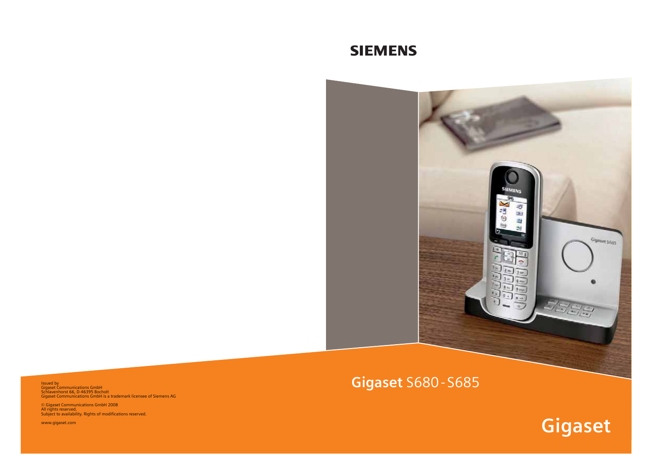# **SIEMENS**



Issued by Schlavenhorst 66, D-46395 Bocholt Gigaset Communications GmbH is a trademark licensee of Siemens AG

© Gigaset Communications GmbH 2008 All rights reserved. Subject to availability. Rights of modifications reserved.

www.gigaset.com

**Gigaset**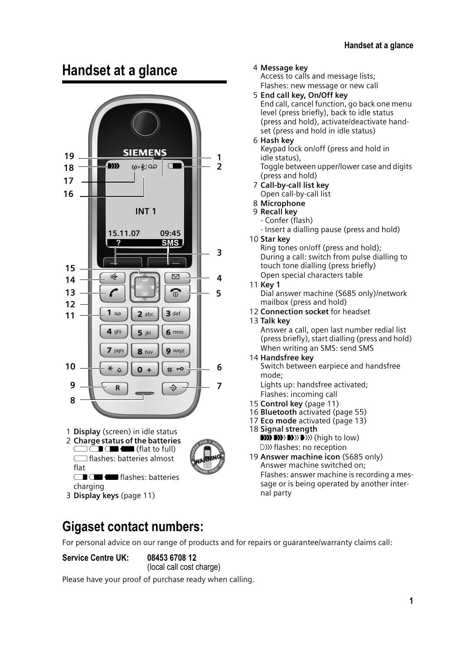# **Handset at a glance**





3 **Display keys** (page 11)

4 **Message key**

Access to calls and message lists; Flashes: new message or new call

- 5 **End call key, On/Off key** End call, cancel function, go back one menu level (press briefly), back to idle status (press and hold), activate/deactivate handset (press and hold in idle status)
- 6 **Hash key**

Keypad lock on/off (press and hold in idle status), Toggle between upper/lower case and digits (press and hold)

- 7 **Call-by-call list key** Open call-by-call list
- 8 **Microphone**
- 9 **Recall key**
	- Confer (flash)
	- Insert a dialling pause (press and hold)
- 10 **Star key** Ring tones on/off (press and hold); During a call: switch from pulse dialling to touch tone dialling (press briefly) Open special characters table
- 11 **Key 1**
	- Dial answer machine (S685 only)/network mailbox (press and hold)
- 12 **Connection socket** for headset
- 13 **Talk key**

Answer a call, open last number redial list (press briefly), start dialling (press and hold) When writing an SMS: send SMS

14 **Handsfree key** Switch between earpiece and handsfree mode;

Lights up: handsfree activated; Flashes: incoming call

- 15 **Control key** (page 11)
- 16 **Bluetooth** activated (page 55)
- 17 **Eco mode** activated (page 13)
- 18 **Signal strength**  $\mathbf{D}$   $\mathbf{D}$   $\mathbf{D}$   $\mathbf{D}$   $\mathbf{D}$   $\mathbf{D}$  (high to low) D>>>>>>> flashes: no reception
- 19 **Answer machine icon** (S685 only) Answer machine switched on; Flashes: answer machine is recording a message or is being operated by another internal party

### **Gigaset contact numbers:**

For personal advice on our range of products and for repairs or guarantee/warranty claims call:

**Service Centre UK: 08453 6708 12**

(local call cost charge) Please have your proof of purchase ready when calling.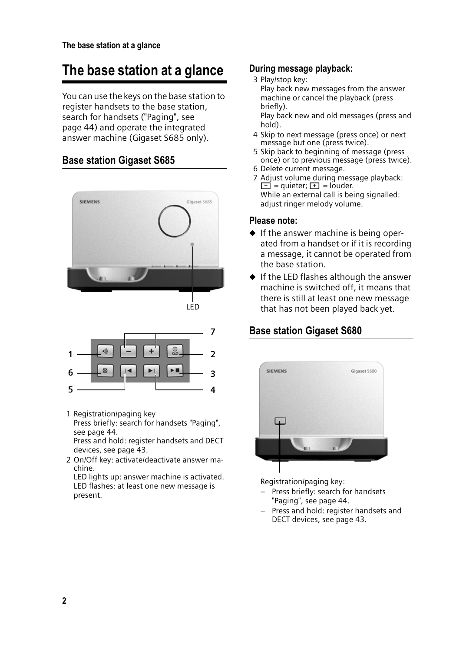# **The base station at a glance**

You can use the keys on the base station to register handsets to the base station, search for handsets ("Paging", see page 44) and operate the integrated answer machine (Gigaset S685 only).

#### **Base station Gigaset S685**







1 Registration/paging key

Press briefly: search for handsets "Paging", see page 44.

Press and hold: register handsets and DECT devices, see page 43.

2 On/Off key: activate/deactivate answer machine.

LED lights up: answer machine is activated. LED flashes: at least one new message is present.

#### **During message playback:**

3 Play/stop key: Play back new messages from the answer machine or cancel the playback (press briefly). Play back new and old messages (press and

hold).

- 4 Skip to next message (press once) or next message but one (press twice).
- 5 Skip back to beginning of message (press once) or to previous message (press twice).
- 6 Delete current message.
- 7 Adjust volume during message playback:  $\boxed{\blacksquare}$  = quieter;  $\boxed{\blacksquare}$  = louder. While an external call is being signalled: adjust ringer melody volume.

#### **Please note:**

- $\triangle$  If the answer machine is being operated from a handset or if it is recording a message, it cannot be operated from the base station.
- $\blacklozenge$  If the LED flashes although the answer machine is switched off, it means that there is still at least one new message that has not been played back yet.

#### **Base station Gigaset S680**



Registration/paging key:

- Press briefly: search for handsets "Paging", see page 44.
- Press and hold: register handsets and DECT devices, see page 43.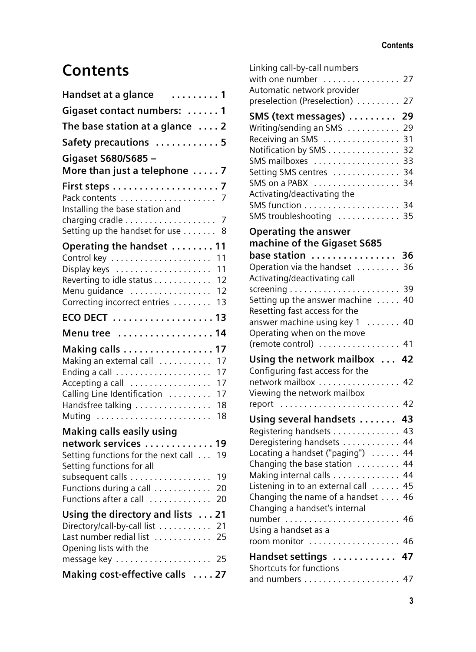# **Contents**

| Handset at a glance<br>. 1                                                                                                                                          |
|---------------------------------------------------------------------------------------------------------------------------------------------------------------------|
| Gigaset contact numbers:  1                                                                                                                                         |
| The base station at a glance $\dots$ 2                                                                                                                              |
| Safety precautions  5                                                                                                                                               |
| Gigaset S680/S685 -<br>More than just a telephone  7                                                                                                                |
| Installing the base station and<br>7<br>Setting up the handset for use 8                                                                                            |
| Operating the handset  11                                                                                                                                           |
| 11<br>11<br>Display keys<br>12<br>Reverting to idle status<br>Menu guidance<br>12<br>Correcting incorrect entries<br>13                                             |
| 13                                                                                                                                                                  |
| Menu tree<br>14                                                                                                                                                     |
| 17<br>Making calls<br>Making an external call<br>17<br>17<br>17<br>Accepting a call<br>Calling Line Identification<br>17<br>Handsfree talking<br>18<br>Muting<br>18 |
| <b>Making calls easily using</b>                                                                                                                                    |
| network services<br>19<br>Setting functions for the next call<br>19<br>Setting functions for all                                                                    |
| subsequent calls<br>19<br>Functions during a call<br>20<br>Functions after a call<br>20                                                                             |
| Using the directory and lists<br>21<br>Directory/call-by-call list<br>21<br>Last number redial list<br>25<br>Opening lists with the                                 |
| Making cost-effective calls  27                                                                                                                                     |
|                                                                                                                                                                     |

| Linking call-by-call numbers               |          |
|--------------------------------------------|----------|
| with one number  27                        |          |
| Automatic network provider                 | 27       |
| preselection (Preselection)                |          |
| SMS (text messages)                        | 29       |
| Writing/sending an SMS                     | 29       |
| Receiving an SMS                           | 31       |
| Notification by SMS                        | 32       |
| SMS mailboxes<br>Setting SMS centres       | 33<br>34 |
| SMS on a PABX                              | 34       |
| Activating/deactivating the                |          |
|                                            |          |
| SMS troubleshooting  35                    |          |
| <b>Operating the answer</b>                |          |
| machine of the Gigaset S685                |          |
| base station                               | 36       |
| Operation via the handset                  | 36       |
| Activating/deactivating call               |          |
|                                            | 39       |
| Setting up the answer machine $\dots$      | 40       |
| Resetting fast access for the              |          |
| answer machine using key 1                 | 40       |
| Operating when on the move                 |          |
| (remote control)                           | 41       |
| Using the network mailbox  42              |          |
| Configuring fast access for the            |          |
| network mailbox                            | 42       |
| Viewing the network mailbox                |          |
| report                                     | 42       |
| Using several handsets                     | 43       |
| Registering handsets                       | 43       |
| Deregistering handsets                     | 44       |
| Locating a handset ("paging")              | 44       |
| Changing the base station                  | 44       |
| Making internal calls                      | 44       |
| Listening in to an external call $\dots$ . | 45       |
| Changing the name of a handset             | 46       |
| Changing a handset's internal              |          |
| Using a handset as a                       |          |
| room monitor                               | 46       |
|                                            |          |
| Handset settings                           | 47       |
| Shortcuts for functions                    |          |
|                                            |          |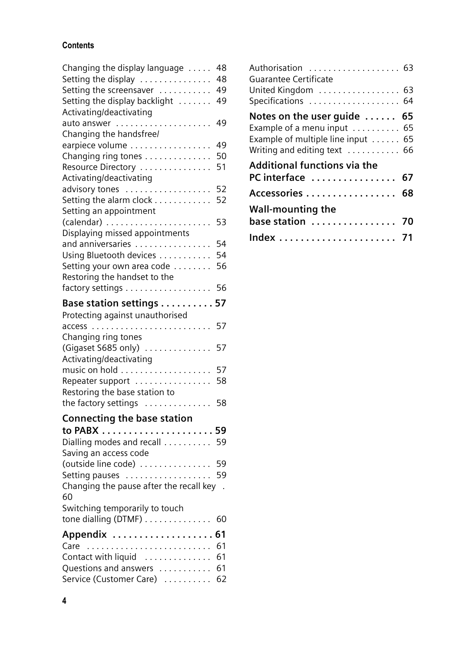#### **Contents**

| Changing the display language             | 48                   |
|-------------------------------------------|----------------------|
| Setting the display                       | 48                   |
| Setting the screensaver                   | 49                   |
| Setting the display backlight             | 49                   |
| <b>Activating/deactivating</b>            |                      |
|                                           | 49                   |
| Changing the handsfree/                   |                      |
| earpiece volume                           | 49                   |
| Changing ring tones                       | 50                   |
| Resource Directory                        | 51                   |
| Activating/deactivating                   |                      |
|                                           | 52                   |
| advisory tones<br>Setting the alarm clock |                      |
|                                           | 52                   |
| Setting an appointment                    |                      |
| (calendar)                                | 53                   |
| Displaying missed appointments            |                      |
| and anniversaries                         | 54                   |
| Using Bluetooth devices                   | 54                   |
| Setting your own area code                | 56                   |
| Restoring the handset to the              |                      |
| factory settings                          | 56                   |
| Base station settings                     | 57                   |
| Protecting against unauthorised           |                      |
|                                           | 57                   |
| Changing ring tones                       |                      |
| (Gigaset S685 only)                       | 57                   |
| Activating/deactivating                   |                      |
|                                           | 57                   |
| Repeater support                          |                      |
| Restoring the base station to             | 58                   |
|                                           |                      |
| the factory settings                      | 58                   |
| <b>Connecting the base station</b>        |                      |
|                                           |                      |
| Dialling modes and recall 59              |                      |
| Saving an access code                     |                      |
| (outside line code)                       | 59                   |
| Setting pauses                            | 59                   |
| Changing the pause after the recall key   | $\ddot{\phantom{a}}$ |
| 60                                        |                      |
| Switching temporarily to touch            |                      |
| tone dialling (DTMF)                      | 60                   |
|                                           |                      |
| Appendix  61                              |                      |
|                                           | 61                   |
| Contact with liquid                       | 61                   |
| Questions and answers                     | 61                   |
| Service (Customer Care)                   | 62                   |

| Authorisation  63<br><b>Guarantee Certificate</b> |  |
|---------------------------------------------------|--|
| United Kingdom  63                                |  |
| Specifications  64                                |  |
| Notes on the user guide  65                       |  |
| Example of a menu input  65                       |  |
| Example of multiple line input  65                |  |
| Writing and editing text  66                      |  |
| <b>Additional functions via the</b>               |  |
| PC interface  67                                  |  |
| Accessories  68                                   |  |
| <b>Wall-mounting the</b>                          |  |
| base station  70                                  |  |
|                                                   |  |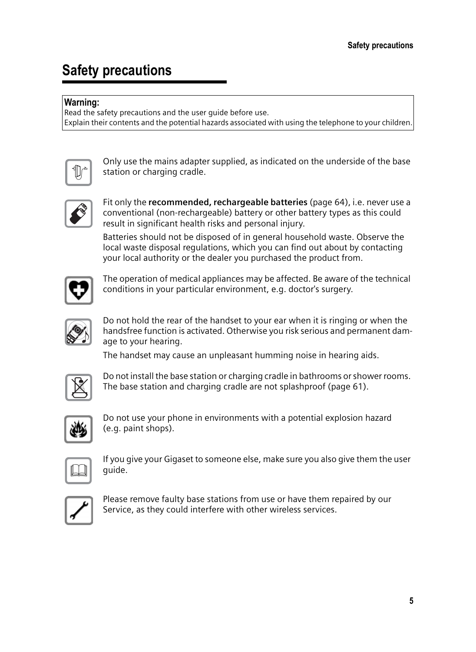# **Safety precautions**

#### **Warning:**

Read the safety precautions and the user guide before use. Explain their contents and the potential hazards associated with using the telephone to your children.



Only use the mains adapter supplied, as indicated on the underside of the base station or charging cradle.



Fit only the **recommended, rechargeable batteries** (page 64), i.e. never use a conventional (non-rechargeable) battery or other battery types as this could result in significant health risks and personal injury.

Batteries should not be disposed of in general household waste. Observe the local waste disposal regulations, which you can find out about by contacting your local authority or the dealer you purchased the product from.



The operation of medical appliances may be affected. Be aware of the technical conditions in your particular environment, e.g. doctor's surgery.



Do not hold the rear of the handset to your ear when it is ringing or when the handsfree function is activated. Otherwise you risk serious and permanent damage to your hearing.

The handset may cause an unpleasant humming noise in hearing aids.



Do not install the base station or charging cradle in bathrooms or shower rooms. The base station and charging cradle are not splashproof (page 61).



Do not use your phone in environments with a potential explosion hazard (e.g. paint shops).

If you give your Gigaset to someone else, make sure you also give them the user guide.



Please remove faulty base stations from use or have them repaired by our Service, as they could interfere with other wireless services.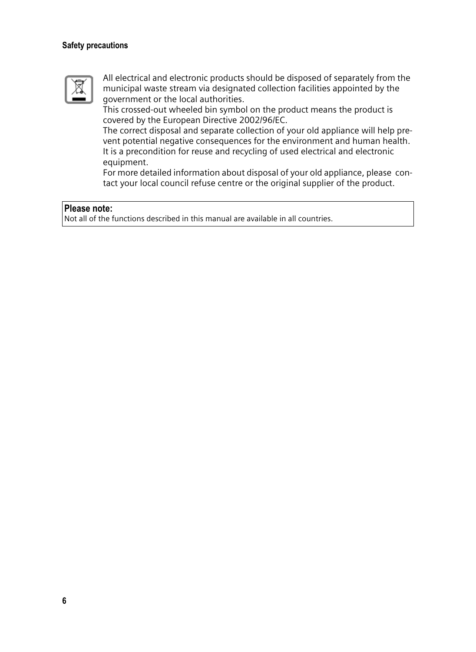#### **Safety precautions**



All electrical and electronic products should be disposed of separately from the municipal waste stream via designated collection facilities appointed by the government or the local authorities.

This crossed-out wheeled bin symbol on the product means the product is covered by the European Directive 2002/96/EC.

The correct disposal and separate collection of your old appliance will help prevent potential negative consequences for the environment and human health. It is a precondition for reuse and recycling of used electrical and electronic equipment.

For more detailed information about disposal of your old appliance, please contact your local council refuse centre or the original supplier of the product.

#### **Please note:**

Not all of the functions described in this manual are available in all countries.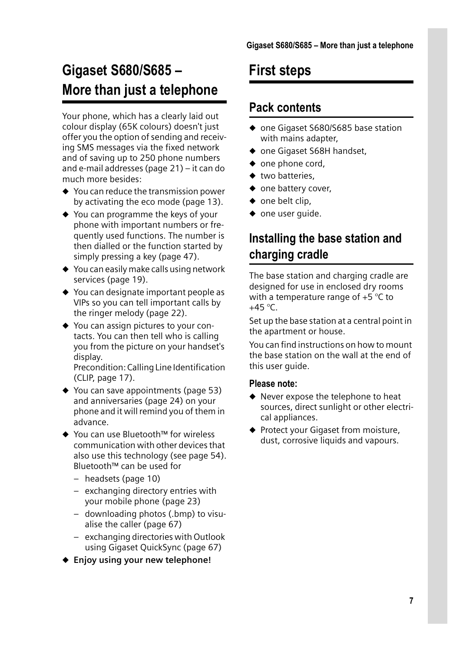# **Gigaset S680/S685 – More than just a telephone**

Your phone, which has a clearly laid out colour display (65K colours) doesn't just offer you the option of sending and receiving SMS messages via the fixed network and of saving up to 250 phone numbers and e-mail addresses (page 21) – it can do much more besides:

- $\blacklozenge$  You can reduce the transmission power by activating the eco mode (page 13).
- $\triangle$  You can programme the keys of your phone with important numbers or frequently used functions. The number is then dialled or the function started by simply pressing a key (page 47).
- $\triangle$  You can easily make calls using network services (page 19).
- $\blacklozenge$  You can designate important people as VIPs so you can tell important calls by the ringer melody (page 22).
- $\blacklozenge$  You can assign pictures to your contacts. You can then tell who is calling you from the picture on your handset's display.

Precondition: Calling Line Identification (CLIP, page 17).

- $\blacklozenge$  You can save appointments (page 53) and anniversaries (page 24) on your phone and it will remind you of them in advance.
- ◆ You can use Bluetooth™ for wireless communication with other devices that also use this technology (see page 54). Bluetooth™ can be used for
	- headsets (page 10)
	- exchanging directory entries with your mobile phone (page 23)
	- downloading photos (.bmp) to visualise the caller (page 67)
	- exchanging directories with Outlook using Gigaset QuickSync (page 67)
- ◆ Enjoy using your new telephone!

# **First steps**

### **Pack contents**

- ◆ one Gigaset S680/S685 base station with mains adapter,
- ◆ one Gigaset S68H handset,
- $\bullet$  one phone cord,
- $\bullet$  two batteries.
- $\bullet$  one battery cover,
- $\bullet$  one belt clip,
- $\bullet$  one user quide.

## **Installing the base station and charging cradle**

The base station and charging cradle are designed for use in enclosed dry rooms with a temperature range of  $+5$  °C to  $+45$  °C.

Set up the base station at a central point in the apartment or house.

You can find instructions on how to mount the base station on the wall at the end of this user guide.

#### **Please note:**

- $\blacklozenge$  Never expose the telephone to heat sources, direct sunlight or other electrical appliances.
- $\blacklozenge$  Protect your Gigaset from moisture, dust, corrosive liquids and vapours.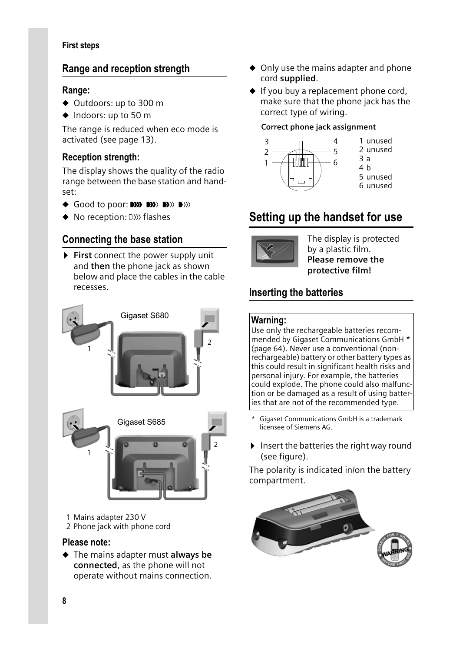#### **First steps**

#### **Range and reception strength**

#### **Range:**

- ◆ Outdoors: up to 300 m
- $\triangleleft$  Indoors: up to 50 m

The range is reduced when eco mode is activated (see page 13).

#### **Reception strength:**

The display shows the quality of the radio range between the base station and handset:

- ◆ Good to poor: DIN
BIN DIN
BIN
- $\blacklozenge$  No reception:  $\triangle$  *N*) flashes

#### **Connecting the base station**

▶ First connect the power supply unit and **then** the phone jack as shown below and place the cables in the cable recesses.



1 Mains adapter 230 V 2 Phone jack with phone cord

#### **Please note:**

◆ The mains adapter must **always be connected**, as the phone will not operate without mains connection.

- $\triangle$  Only use the mains adapter and phone cord **supplied**.
- $\blacklozenge$  If you buy a replacement phone cord, make sure that the phone jack has the correct type of wiring.

#### **Correct phone jack assignment**



### **Setting up the handset for use**



The display is protected by a plastic film. **Please remove the protective film!**

#### **Inserting the batteries**

#### **Warning:**

Use only the rechargeable batteries recommended by Gigaset Communications GmbH \* (page 64). Never use a conventional (nonrechargeable) battery or other battery types as this could result in significant health risks and personal injury. For example, the batteries could explode. The phone could also malfunction or be damaged as a result of using batteries that are not of the recommended type.

- Gigaset Communications GmbH is a trademark licensee of Siemens AG.
- $\blacktriangleright$  Insert the batteries the right way round (see figure).

The polarity is indicated in/on the battery compartment.

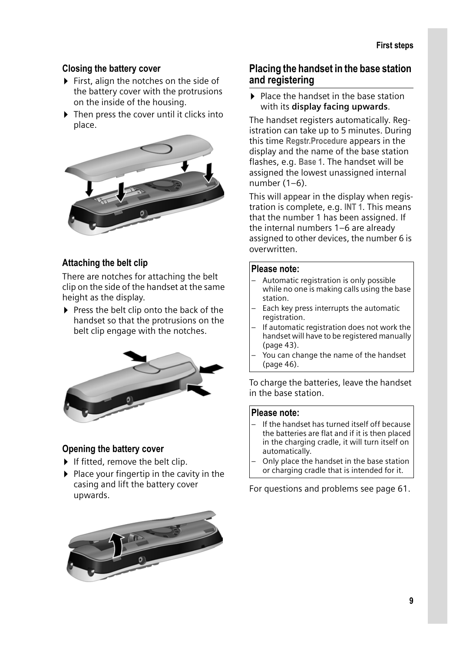#### **Closing the battery cover**

- $\triangleright$  First, align the notches on the side of the battery cover with the protrusions on the inside of the housing.
- $\triangleright$  Then press the cover until it clicks into place.



#### **Attaching the belt clip**

There are notches for attaching the belt clip on the side of the handset at the same height as the display.

 $\triangleright$  Press the belt clip onto the back of the handset so that the protrusions on the belt clip engage with the notches.



#### **Opening the battery cover**

- $\blacktriangleright$  If fitted, remove the belt clip.
- $\blacktriangleright$  Place your fingertip in the cavity in the casing and lift the battery cover upwards.



#### **Placing the handset in the base station and registering**

 $\blacktriangleright$  Place the handset in the base station with its **display facing upwards**.

The handset registers automatically. Registration can take up to 5 minutes. During this time **Regstr.Procedure** appears in the display and the name of the base station flashes, e.g. **Base 1**. The handset will be assigned the lowest unassigned internal number  $(1-6)$ .

This will appear in the display when registration is complete, e.g. **INT 1**. This means that the number 1 has been assigned. If the internal numbers 1–6 are already assigned to other devices, the number 6 is overwritten.

#### **Please note:**

- Automatic registration is only possible while no one is making calls using the base station.
- Each key press interrupts the automatic registration.
- If automatic registration does not work the handset will have to be registered manually (page 43).
- You can change the name of the handset (page 46).

To charge the batteries, leave the handset in the base station.

#### **Please note:**

- If the handset has turned itself off because the batteries are flat and if it is then placed in the charging cradle, it will turn itself on automatically.
- Only place the handset in the base station or charging cradle that is intended for it.

For questions and problems see page 61.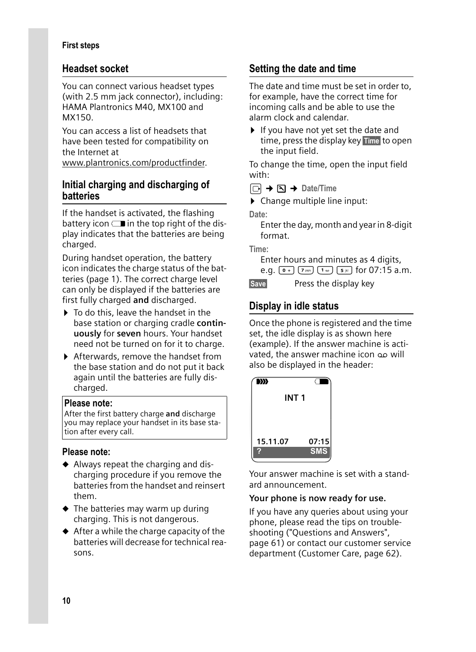#### **First steps**

#### **Headset socket**

You can connect various headset types (with 2.5 mm jack connector), including: HAMA Plantronics M40, MX100 and MX150.

You can access a list of headsets that have been tested for compatibility on the Internet at

www.plantronics.com/productfinder.

#### **Initial charging and discharging of batteries**

If the handset is activated, the flashing battery icon  $\Box$  in the top right of the display indicates that the batteries are being charged.

During handset operation, the battery icon indicates the charge status of the batteries (page 1). The correct charge level can only be displayed if the batteries are first fully charged **and** discharged.

- $\blacktriangleright$  To do this, leave the handset in the base station or charging cradle **continuously** for **seven** hours. Your handset need not be turned on for it to charge.
- ▶ Afterwards, remove the handset from the base station and do not put it back again until the batteries are fully discharged.

#### **Please note:**

After the first battery charge **and** discharge you may replace your handset in its base station after every call.

#### **Please note:**

- $\blacklozenge$  Always repeat the charging and discharging procedure if you remove the batteries from the handset and reinsert them.
- $\blacklozenge$  The batteries may warm up during charging. This is not dangerous.
- $\triangle$  After a while the charge capacity of the batteries will decrease for technical reasons.

#### **Setting the date and time**

The date and time must be set in order to, for example, have the correct time for incoming calls and be able to use the alarm clock and calendar.

 $\blacktriangleright$  If you have not yet set the date and time, press the display key Time to open the input field.

To change the time, open the input field with:

 $\Box \rightarrow \Box \rightarrow$  Date/Time

 $\triangleright$  Change multiple line input:

**Date:**

Enter the day, month and year in 8-digit format.

**Time:**

Enter hours and minutes as 4 digits, e.g.  $\boxed{0 +}$   $\boxed{7 \text{ ps}}$   $\boxed{1 \text{ m}}$   $\boxed{5 \text{ m}}$  for 07:15 a.m.

**Save** Press the display key

### **Display in idle status**

Once the phone is registered and the time set, the idle display is as shown here (example). If the answer machine is activated, the answer machine icon oo will also be displayed in the header:



Your answer machine is set with a standard announcement.

#### **Your phone is now ready for use.**

If you have any queries about using your phone, please read the tips on troubleshooting ("Questions and Answers", page 61) or contact our customer service department (Customer Care, page 62).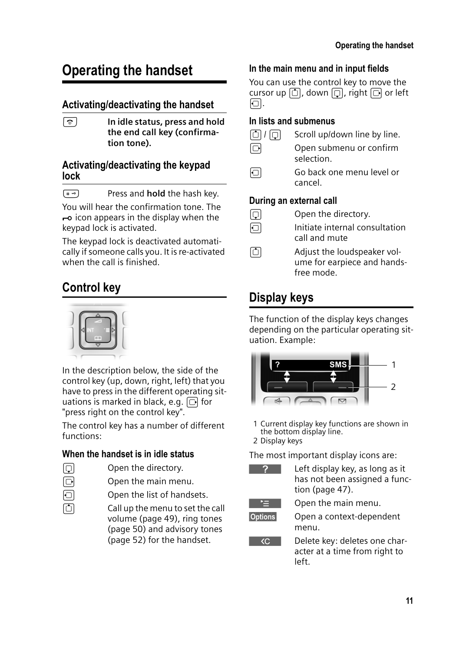# **Operating the handset**

#### **Activating/deactivating the handset**

a **In idle status, press and hold the end call key (confirmation tone).**

#### **Activating/deactivating the keypad lock**

 $(\overline{a} \cdot \overline{b})$  Press and **hold** the hash key.

You will hear the confirmation tone. The  $\rightarrow$  icon appears in the display when the keypad lock is activated.

The keypad lock is deactivated automatically if someone calls you. It is re-activated when the call is finished.

## **Control key**



In the description below, the side of the control key (up, down, right, left) that you have to press in the different operating situations is marked in black, e.g.  $\Box$  for "press right on the control key".

The control key has a number of different functions:

#### **When the handset is in idle status**

- $\Box$  Open the directory.
- $\Box$  Open the main menu.
- $\Box$  Open the list of handsets.
- $\Box$  Call up the menu to set the call volume (page 49), ring tones (page 50) and advisory tones (page 52) for the handset.

#### **In the main menu and in input fields**

You can use the control key to move the cursor up  $\boxed{\bigcirc}$ , down  $\boxed{\bigcirc}$ , right  $\boxed{\bigcirc}$  or left b.

#### **In lists and submenus**

- $\boxed{0}$  /  $\boxed{0}$  Scroll up/down line by line.
- $\Box$  Open submenu or confirm selection.
- Go back one menu level or cancel.

#### **During an external call**

- $\Box$  Open the directory.
- $\Box$  Initiate internal consultation call and mute
- $\Box$  Adjust the loudspeaker volume for earpiece and handsfree mode.

# **Display keys**

The function of the display keys changes depending on the particular operating situation. Example:



1 Current display key functions are shown in the bottom display line.

2 Display keys

The most important display icons are:



Left display key, as long as it has not been assigned a func tion (page 47).



Open the main menu.



§Options§ Open a context-dependent menu.



Delete key: deletes one character at a time from right to left.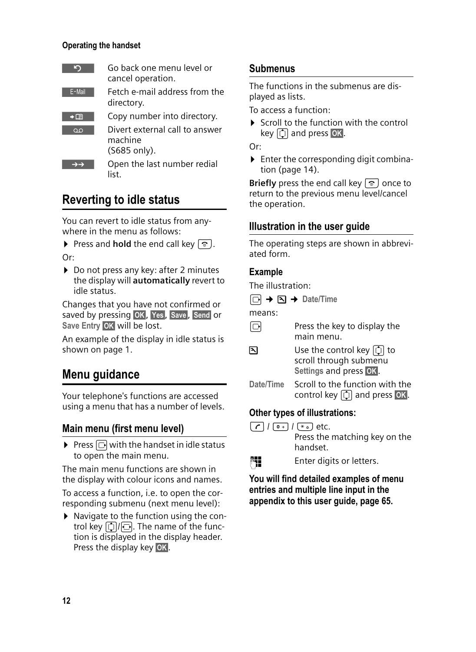#### **Operating the handset**

| Тe                   | Go back one menu level or<br>cancel operation.                      |
|----------------------|---------------------------------------------------------------------|
| E-Mail               | Fetch e-mail address from the<br>directory.                         |
| $\rightarrow$ $\Box$ | Copy number into directory.                                         |
| $\overline{O}$       | Divert external call to answer<br>machine<br>$(5685 \text{ only}).$ |
|                      | Open the last number redial<br>list                                 |

### **Reverting to idle status**

You can revert to idle status from anywhere in the menu as follows:

- **Press and hold** the end call key  $\lceil \hat{\mathcal{B}} \rceil$ .
- Or:
- ▶ Do not press any key: after 2 minutes the display will **automatically** revert to idle status.

Changes that you have not confirmed or saved by pressing OK, Yes, Save, Send or Save Entry **OK** will be lost.

An example of the display in idle status is shown on page 1.

### **Menu guidance**

Your telephone's functions are accessed using a menu that has a number of levels.

#### **Main menu (first menu level)**

 $\triangleright$  Press  $\Box$  with the handset in idle status to open the main menu.

The main menu functions are shown in the display with colour icons and names.

To access a function, i.e. to open the corresponding submenu (next menu level):

▶ Navigate to the function using the control key  $\lbrack \mathbb{Q} \rbrack / \lbrack \mathbb{Q} \rbrack$ . The name of the function is displayed in the display header. Press the display key OK.

#### **Submenus**

The functions in the submenus are displayed as lists.

To access a function:

 $\triangleright$  Scroll to the function with the control key  $\textcircled{c}$  and press **OK**.

Or:

 $\blacktriangleright$  Enter the corresponding digit combination (page 14).

**Briefly** press the end call key  $\lceil \hat{\mathcal{E}} \rceil$  once to return to the previous menu level/cancel the operation.

#### **Illustration in the user guide**

The operating steps are shown in abbreviated form.

#### **Example**

The illustration:

```
□ → □ → Date/Time
```
means:

- $\Box$  Press the key to display the main menu.
- $\mathbb{R}$  Use the control key  $\mathbb{C}$  to scroll through submenu **Settings and press OK**.
- **Date/Time** Scroll to the function with the control key  $\textcircled{1}$  and press **OK**.

#### **Other types of illustrations:**

- $\boxed{\frown}$  /  $\boxed{0+}$  /  $\boxed{*_4}$  etc. Press the matching key on the handset.
- Fill Enter digits or letters.

**You will find detailed examples of menu entries and multiple line input in the appendix to this user guide, page 65.**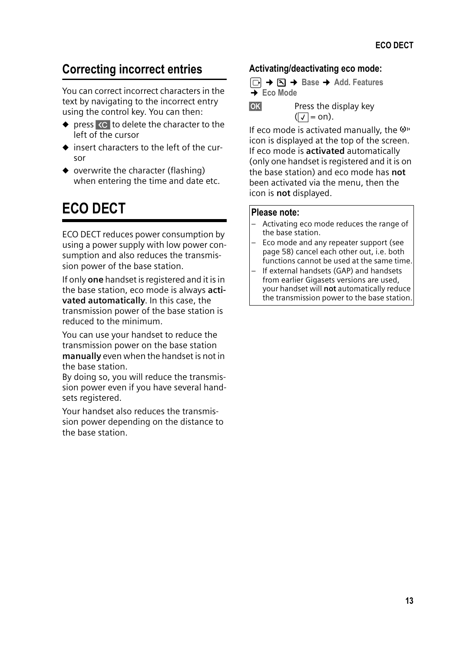## **Correcting incorrect entries**

You can correct incorrect characters in the text by navigating to the incorrect entry using the control key. You can then:

- $\bullet$  press  $\&c$  to delete the character to the left of the cursor
- $\bullet$  insert characters to the left of the cursor
- $\bullet$  overwrite the character (flashing) when entering the time and date etc.

# **ECO DECT**

ECO DECT reduces power consumption by using a power supply with low power consumption and also reduces the transmission power of the base station.

If only **one** handset is registered and it is in the base station, eco mode is always **activated automatically**. In this case, the transmission power of the base station is reduced to the minimum.

You can use your handset to reduce the transmission power on the base station **manually** even when the handset is not in the base station.

By doing so, you will reduce the transmission power even if you have several handsets registered.

Your handset also reduces the transmission power depending on the distance to the base station.

#### **Activating/deactivating eco mode:**

<sup>v</sup>¢ ¢**Base** ¢**Add. Features**  ¢**Eco Mode**

**OK** Press the display key  $(\sqrt{)} = \text{on}.$ 

If eco mode is activated manually, the  $\Psi$ <sup>"</sup> icon is displayed at the top of the screen. If eco mode is **activated** automatically (only one handset is registered and it is on the base station) and eco mode has **not** been activated via the menu, then the icon is **not** displayed.

#### **Please note:**

- Activating eco mode reduces the range of the base station.
- Eco mode and any repeater support (see page 58) cancel each other out, i.e. both functions cannot be used at the same time.
- If external handsets (GAP) and handsets from earlier Gigasets versions are used, your handset will **not** automatically reduce the transmission power to the base station.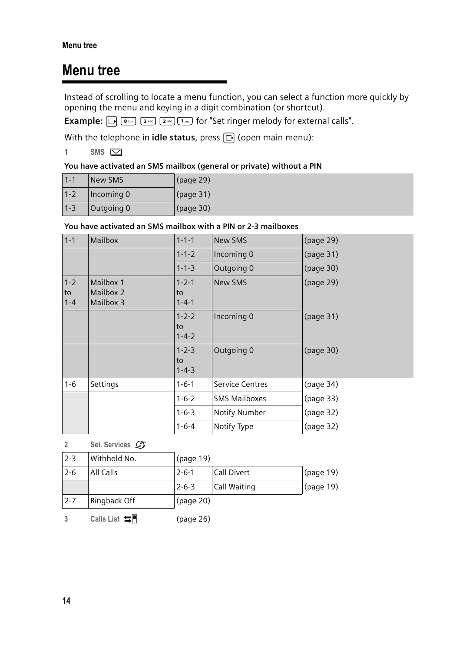# **Menu tree**

Instead of scrolling to locate a menu function, you can select a function more quickly by opening the menu and keying in a digit combination (or shortcut).

**Example:**  $\boxed{\bigcirc}$   $\boxed{8}$   $\boxed{8}$   $\boxed{2}$   $\boxed{2}$   $\boxed{2}$   $\boxed{2}$   $\boxed{3}$   $\boxed{1}$   $\boxed{0}$  for "Set ringer melody for external calls".

With the telephone in *idle status*, press  $\Box$  (open main menu):

1 SMS  $\boxed{\bigcirc}$ 

#### **You have activated an SMS mailbox (general or private) without a PIN**

| $1 - 1$ | New SMS    | $\vert$ (page 29) |
|---------|------------|-------------------|
| $1 - 2$ | Incoming 0 | (page 31)         |
| $1 - 3$ | Outgoing 0 | $\vert$ (page 30) |

#### **You have activated an SMS mailbox with a PIN or 2-3 mailboxes**

| $1-1$                    | <b>Mailbox</b>                      | $1 - 1 - 1$                      | <b>New SMS</b>         | (page 29) |
|--------------------------|-------------------------------------|----------------------------------|------------------------|-----------|
|                          |                                     | $1 - 1 - 2$                      | Incoming 0             | (page 31) |
|                          |                                     | $1 - 1 - 3$                      | Outgoing 0             | (page 30) |
| $1 - 2$<br>to<br>$1 - 4$ | Mailbox 1<br>Mailbox 2<br>Mailbox 3 | $1 - 2 - 1$<br>to<br>$1 - 4 - 1$ | <b>New SMS</b>         | (page 29) |
|                          |                                     | $1 - 2 - 2$<br>to<br>$1 - 4 - 2$ | Incoming 0             | (page 31) |
|                          |                                     | $1 - 2 - 3$<br>to<br>$1 - 4 - 3$ | Outgoing 0             | (page 30) |
| $1 - 6$                  | Settings                            | $1 - 6 - 1$                      | <b>Service Centres</b> | (page 34) |
|                          |                                     | $1 - 6 - 2$                      | <b>SMS Mailboxes</b>   | (page 33) |
|                          |                                     | $1 - 6 - 3$                      | Notify Number          | (page 32) |
|                          |                                     | $1 - 6 - 4$                      | Notify Type            | (page 32) |

2 Sel. Services  $C\mathcal{T}$ 

| $2 - 3$ | Withhold No. | (page 19)   |              |           |
|---------|--------------|-------------|--------------|-----------|
| $2 - 6$ | All Calls    | $2 - 6 - 1$ | Call Divert  | (page 19) |
|         |              | $2 - 6 - 3$ | Call Waiting | (page 19) |
| $2 - 7$ | Ringback Off | (page 20)   |              |           |

**3** Calls List  $\equiv$  **T** (page 26)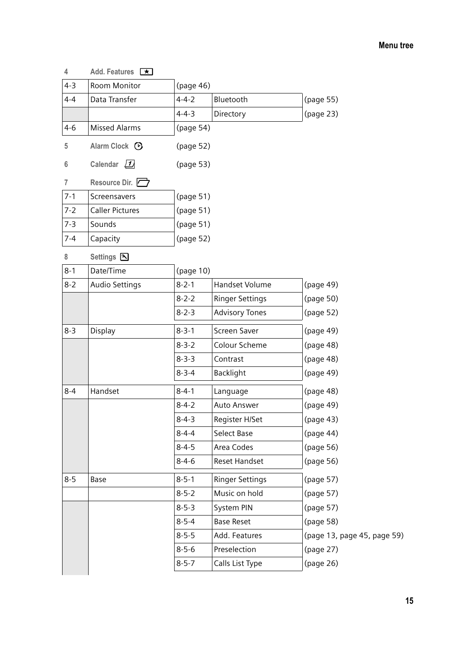#### **Menu tree**

| 4       | Add. Features <b>K</b> |             |                        |                             |
|---------|------------------------|-------------|------------------------|-----------------------------|
| $4 - 3$ | <b>Room Monitor</b>    | (page 46)   |                        |                             |
| $4 - 4$ | Data Transfer          | $4 - 4 - 2$ | Bluetooth              | (page 55)                   |
|         |                        | $4 - 4 - 3$ | Directory              | (page 23)                   |
| $4 - 6$ | <b>Missed Alarms</b>   | (page 54)   |                        |                             |
| 5       | Alarm Clock $\odot$    | (page 52)   |                        |                             |
| 6       | Calendar $\sqrt{1}$    | (page 53)   |                        |                             |
| 7       | Resource Dir.          |             |                        |                             |
| $7 - 1$ | Screensavers           | (page 51)   |                        |                             |
| $7-2$   | <b>Caller Pictures</b> | (page 51)   |                        |                             |
| $7 - 3$ | Sounds                 | (page 51)   |                        |                             |
| $7 - 4$ | Capacity               | (page 52)   |                        |                             |
| 8       | Settings 3             |             |                        |                             |
| $8 - 1$ | Date/Time              | (page 10)   |                        |                             |
| $8-2$   | Audio Settings         | $8 - 2 - 1$ | <b>Handset Volume</b>  | (page 49)                   |
|         |                        | $8 - 2 - 2$ | Ringer Settings        | (page 50)                   |
|         |                        | $8 - 2 - 3$ | <b>Advisory Tones</b>  | (page 52)                   |
| $8 - 3$ | Display                | $8 - 3 - 1$ | Screen Saver           | (page 49)                   |
|         |                        | $8 - 3 - 2$ | Colour Scheme          | (page 48)                   |
|         |                        | $8 - 3 - 3$ | Contrast               | (page 48)                   |
|         |                        | $8 - 3 - 4$ | Backlight              | (page 49)                   |
| $8 - 4$ | Handset                | $8 - 4 - 1$ | Language               | (page 48)                   |
|         |                        | $8 - 4 - 2$ | Auto Answer            | (page 49)                   |
|         |                        | $8 - 4 - 3$ | Register H/Set         | (page 43)                   |
|         |                        | $8 - 4 - 4$ | Select Base            | (page 44)                   |
|         |                        | $8 - 4 - 5$ | Area Codes             | (page 56)                   |
|         |                        | 8-4-6       | Reset Handset          | (page 56)                   |
| $8 - 5$ | Base                   | $8 - 5 - 1$ | <b>Ringer Settings</b> | (page 57)                   |
|         |                        | $8 - 5 - 2$ | Music on hold          | (page 57)                   |
|         |                        | $8 - 5 - 3$ | System PIN             | (page 57)                   |
|         |                        | $8 - 5 - 4$ | <b>Base Reset</b>      | (page 58)                   |
|         |                        | $8 - 5 - 5$ | Add. Features          | (page 13, page 45, page 59) |
|         |                        | $8 - 5 - 6$ | Preselection           | (page 27)                   |
|         |                        | $8 - 5 - 7$ | Calls List Type        | (page 26)                   |
|         |                        |             |                        |                             |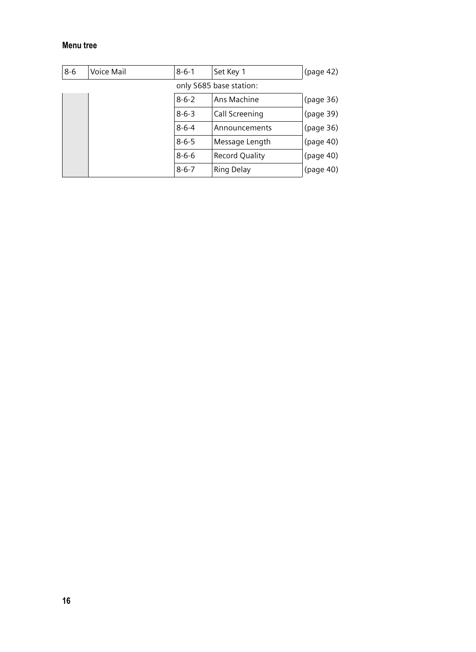#### **Menu tree**

| $8 - 6$ | Voice Mail | $8 - 6 - 1$ | Set Key 1               | (page 42) |
|---------|------------|-------------|-------------------------|-----------|
|         |            |             | only S685 base station: |           |
|         |            | $8 - 6 - 2$ | Ans Machine             | (page 36) |
|         |            | $8 - 6 - 3$ | Call Screening          | (page 39) |
|         |            | $8 - 6 - 4$ | Announcements           | (page 36) |
|         |            | $8 - 6 - 5$ | Message Length          | (page 40) |
|         |            | $8 - 6 - 6$ | <b>Record Quality</b>   | (page 40) |
|         |            | $8 - 6 - 7$ | Ring Delay              | (page 40) |
|         |            |             |                         |           |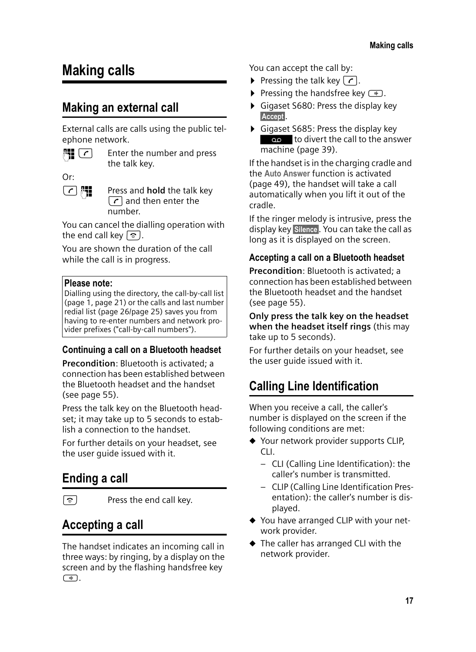# **Making calls**

### **Making an external call**

External calls are calls using the public telephone network.

 $\mathbb{F}$   $\left[\begin{array}{cc} \mathbf{c} \end{array}\right]$  Enter the number and press

the talk key.

Or:

**c PI** Press and **hold** the talk key  $\lceil \cdot \rceil$  and then enter the number.

You can cancel the dialling operation with the end call key  $\lceil \hat{z} \rceil$ .

You are shown the duration of the call while the call is in progress.

#### **Please note:**

Dialling using the directory, the call-by-call list (page 1, page 21) or the calls and last number redial list (page 26/page 25) saves you from having to re-enter numbers and network provider prefixes ("call-by-call numbers").

#### **Continuing a call on a Bluetooth headset**

**Precondition**: Bluetooth is activated; a connection has been established between the Bluetooth headset and the handset (see page 55).

Press the talk key on the Bluetooth headset; it may take up to 5 seconds to establish a connection to the handset.

For further details on your headset, see the user guide issued with it.

# **Ending a call**

 $\boxed{\circ}$  Press the end call key.

### **Accepting a call**

The handset indicates an incoming call in three ways: by ringing, by a display on the screen and by the flashing handsfree key  $\sqrt{4}$ .

You can accept the call by:

- **Pressing the talk key**  $\lceil \cdot \rceil$ **.**
- Pressing the handsfree key  $\left(\frac{1}{2}\right)$ .
- ▶ Gigaset S680: Press the display key Accept.
- ▶ Gigaset S685: Press the display key as to divert the call to the answer machine (page 39).

If the handset is in the charging cradle and the **Auto Answer** function is activated (page 49), the handset will take a call automatically when you lift it out of the cradle.

If the ringer melody is intrusive, press the display key Silence. You can take the call as long as it is displayed on the screen.

#### **Accepting a call on a Bluetooth headset**

**Precondition**: Bluetooth is activated; a connection has been established between the Bluetooth headset and the handset (see page 55).

**Only press the talk key on the headset when the headset itself rings** (this may take up to 5 seconds).

For further details on your headset, see the user guide issued with it.

# **Calling Line Identification**

When you receive a call, the caller's number is displayed on the screen if the following conditions are met:

- ◆ Your network provider supports CLIP, CLI.
	- CLI (Calling Line Identification): the caller's number is transmitted.
	- CLIP (Calling Line Identification Presentation): the caller's number is displayed.
- ◆ You have arranged CLIP with your network provider.
- $\blacklozenge$  The caller has arranged CLI with the network provider.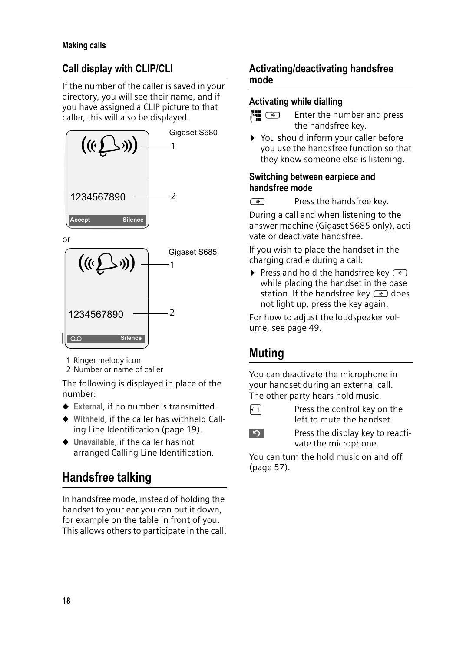### **Call display with CLIP/CLI**

If the number of the caller is saved in your directory, you will see their name, and if you have assigned a CLIP picture to that caller, this will also be displayed.



or



1 Ringer melody icon

2 Number or name of caller

The following is displayed in place of the number:

- **← External, if no number is transmitted.**
- ◆ Withheld, if the caller has withheld Calling Line Identification (page 19).
- u **Unavailable**, if the caller has not arranged Calling Line Identification.

# **Handsfree talking**

In handsfree mode, instead of holding the handset to your ear you can put it down, for example on the table in front of you. This allows others to participate in the call.

#### **Activating/deactivating handsfree mode**

#### **Activating while dialling**

- **Fig.**  $\bullet$  Enter the number and press the handsfree key.
- ▶ You should inform your caller before you use the handsfree function so that they know someone else is listening.

#### **Switching between earpiece and handsfree mode**

 $\sqrt{\frac{4}{x}}$  Press the handsfree key.

During a call and when listening to the answer machine (Gigaset S685 only), activate or deactivate handsfree.

If you wish to place the handset in the charging cradle during a call:

Press and hold the handsfree key  $\boxed{\bullet}$ while placing the handset in the base station. If the handsfree key  $\rightarrow$  does not light up, press the key again.

For how to adjust the loudspeaker volume, see page 49.

# **Muting**

You can deactivate the microphone in your handset during an external call. The other party hears hold music.

- $\Box$  Press the control key on the left to mute the handset.
	-

**Press the display key to reacti**vate the microphone.

You can turn the hold music on and off (page 57).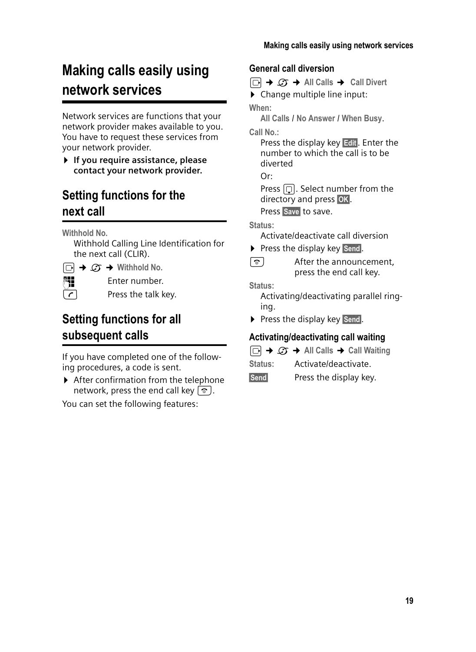# **Making calls easily using network services**

Network services are functions that your network provider makes available to you. You have to request these services from your network provider.

¤ **If you require assistance, please contact your network provider.**

### **Setting functions for the next call**

**Withhold No.** 

Withhold Calling Line Identification for the next call (CLIR).

 $\Box \rightarrow \mathcal{L}$  $\rightarrow$  Withhold No. **Fill** Enter number.

 $\sqrt{r}$  Press the talk key.

### **Setting functions for all subsequent calls**

If you have completed one of the following procedures, a code is sent.

 $\blacktriangleright$  After confirmation from the telephone network, press the end call key  $\lceil \hat{\mathcal{B}} \rceil$ .

You can set the following features:

**General call diversion** 

<sup>v</sup>¢ <sup>ê</sup> ¢**All Calls** ¢ **Call Divert**   $\triangleright$  Change multiple line input: **When: All Calls** / **No Answer** / **When Busy**. **Call No.:** Press the display key Fill. Enter the number to which the call is to be diverted  $Or$ 

Press  $\Box$ . Select number from the directory and press OK. Press Save to save.

#### **Status:**

Activate/deactivate call diversion

- $\triangleright$  Press the display key Send.
- $\boxed{\circ}$  After the announcement, press the end call key.

**Status:** 

Activating/deactivating parallel ringing.

▶ Press the display key Send.

#### **Activating/deactivating call waiting**

- $\Box$  $\rightarrow$  $\mathcal{L}$   $\rightarrow$  All Calls  $\rightarrow$  Call Waiting
- **Status:** Activate/deactivate.
- Send Press the display key.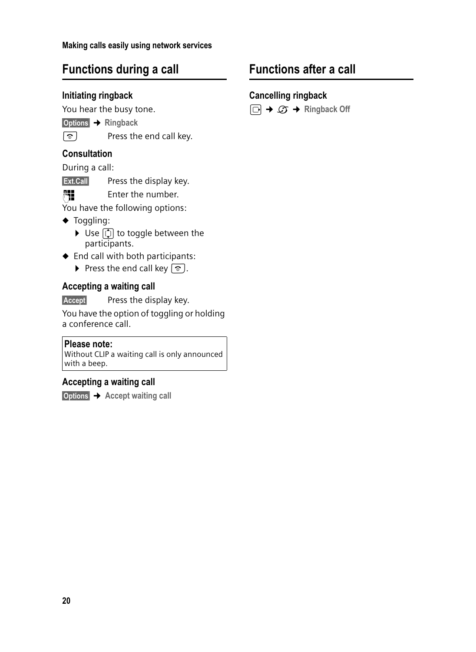### **Functions during a call**

#### **Initiating ringback**

You hear the busy tone.

§Options§¢**Ringback**

- 
- $\boxed{\circ}$  Press the end call key.

#### **Consultation**

During a call:

**Ext.Call** Press the display key.

Fill Enter the number.

You have the following options:

- $\blacklozenge$  Toggling:
	- $\triangleright$  Use  $\lbrack \mathbf{\hat{u}} \rbrack$  to toggle between the participants.
- $\blacklozenge$  End call with both participants:
	- Press the end call key  $\boxed{\circ}$ .

#### **Accepting a waiting call**

Accept Press the display key.

You have the option of toggling or holding a conference call.

#### **Please note:**

Without CLIP a waiting call is only announced with a beep.

#### **Accepting a waiting call**

§Options§ ¢ **Accept waiting call**

### **Functions after a call**

#### **Cancelling ringback**

 $\Box$   $\rightarrow$   $\mathcal{Q}$   $\rightarrow$  Ringback Off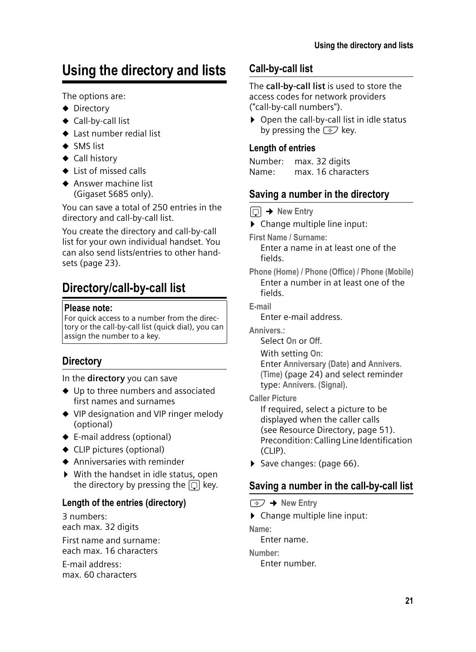# **Using the directory and lists**

The options are:

- $\blacklozenge$  Directory
- $\triangleleft$  Call-by-call list
- $\triangle$  Last number redial list
- $\triangle$  SMS list
- $\triangleleft$  Call history
- $\triangle$  List of missed calls
- $\triangle$  Answer machine list (Gigaset S685 only).

You can save a total of 250 entries in the directory and call-by-call list.

You create the directory and call-by-call list for your own individual handset. You can also send lists/entries to other handsets (page 23).

# **Directory/call-by-call list**

#### **Please note:**

For quick access to a number from the directory or the call-by-call list (quick dial), you can assign the number to a key.

#### **Directory**

In the **directory** you can save

- $\blacklozenge$  Up to three numbers and associated first names and surnames
- ◆ VIP designation and VIP ringer melody (optional)
- $\triangleq$  E-mail address (optional)
- $\blacklozenge$  CLIP pictures (optional)
- $\triangle$  Anniversaries with reminder
- $\triangleright$  With the handset in idle status, open the directory by pressing the  $\Box$  key.

#### **Length of the entries (directory)**

3 numbers: each max. 32 digits First name and surname: each max. 16 characters E-mail address:

max. 60 characters

#### **Call-by-call list**

The **call-by-call list** is used to store the access codes for network providers ("call-by-call numbers").

 $\triangleright$  Open the call-by-call list in idle status by pressing the  $\odot$  key.

#### **Length of entries**

Number: max. 32 digits Name: max. 16 characters

#### **Saving a number in the directory**

 $\Box$  **→ New Entry** 

 $\triangleright$  Change multiple line input:

**First Name / Surname:**

Enter a name in at least one of the fields.

**Phone (Home) / Phone (Office) / Phone (Mobile)** Enter a number in at least one of the fields.

**E-mail**

Enter e-mail address.

**Annivers.:**

Select **On** or **Off**.

With setting **On:**

Enter **Anniversary (Date)** and **Annivers. (Time)** (page 24) and select reminder type: **Annivers. (Signal)**.

**Caller Picture**

If required, select a picture to be displayed when the caller calls (see Resource Directory, page 51). Precondition: Calling Line Identification (CLIP).

 $\triangleright$  Save changes: (page 66).

#### **Saving a number in the call-by-call list**

#### $\rightarrow$  New Entry

 $\triangleright$  Change multiple line input:

**Name:**

Enter name.

**Number:**

Enter number.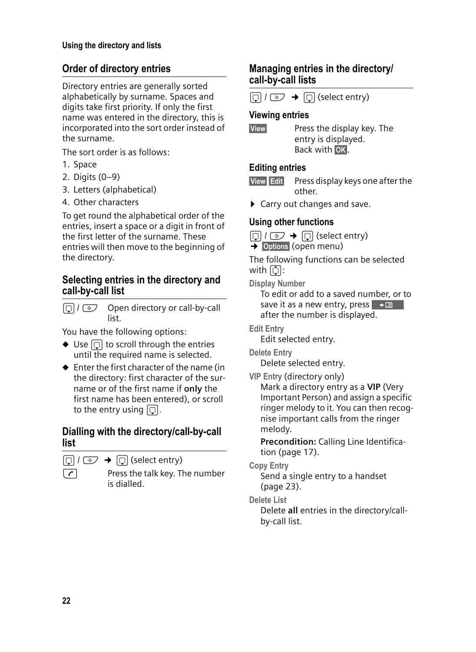#### **Order of directory entries**

Directory entries are generally sorted alphabetically by surname. Spaces and digits take first priority. If only the first name was entered in the directory, this is incorporated into the sort order instead of the surname.

The sort order is as follows:

- 1. Space
- 2. Digits (0–9)
- 3. Letters (alphabetical)
- 4. Other characters

To get round the alphabetical order of the entries, insert a space or a digit in front of the first letter of the surname. These entries will then move to the beginning of the directory.

#### **Selecting entries in the directory and call-by-call list**

 $\Box$  I  $\odot$  Open directory or call-by-call list.

You have the following options:

- $\blacklozenge$  Use  $\lceil \bigcirc \rceil$  to scroll through the entries until the required name is selected.
- $\triangle$  Enter the first character of the name (in the directory: first character of the surname or of the first name if **only** the first name has been entered), or scroll to the entry using  $\boxed{)}$ .

#### **Dialling with the directory/call-by-call list**

 $\Box$  /  $\odot$   $\rightarrow$   $\Box$  (select entry)

 $\lceil \cdot \rceil$  Press the talk key. The number is dialled.

#### **Managing entries in the directory/ call-by-call lists**

 $\Box$  /  $\odot$   $\rightarrow$   $\Box$  (select entry)

#### **Viewing entries**

**View** Press the display key. The

entry is displayed. Back with **OK**.

#### **Editing entries**

- **View** Edit Press display keys one after the other.
- ▶ Carry out changes and save.

#### **Using other functions**

 $\Box$  /  $\odot$  +  $\Box$  (select entry)

 $\rightarrow$  Options (open menu)

The following functions can be selected with  $\lceil \overline{\bigcirc} \rceil$ :

**Display Number** 

To edit or add to a saved number, or to save it as a new entry, press + D after the number is displayed.

**Edit Entry** 

Edit selected entry.

**Delete Entry** 

Delete selected entry.

**VIP Entry** (directory only)

Mark a directory entry as a **VIP** (Very Important Person) and assign a specific ringer melody to it. You can then recognise important calls from the ringer melody.

**Precondition:** Calling Line Identification (page 17).

**Copy Entry** 

Send a single entry to a handset (page 23).

**Delete List** 

Delete **all** entries in the directory/callby-call list.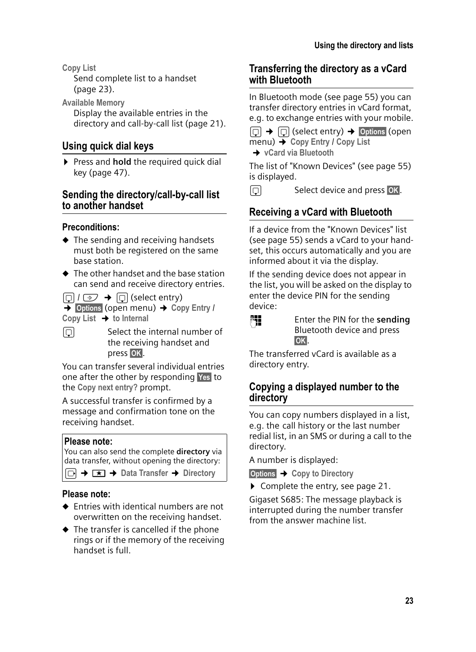**Copy List** 

Send complete list to a handset (page 23).

**Available Memory** 

Display the available entries in the directory and call-by-call list (page 21).

### **Using quick dial keys**

▶ Press and **hold** the required quick dial key (page 47).

#### **Sending the directory/call-by-call list to another handset**

#### **Preconditions:**

- $\triangle$  The sending and receiving handsets must both be registered on the same base station.
- $\triangle$  The other handset and the base station can send and receive directory entries.

 $\Box$  /  $\odot$   $\rightarrow$   $\Box$  (select entry)

 $\rightarrow$  Options (open menu) → Copy Entry / **Copy List** ¢**to Internal**

 $\Box$  Select the internal number of the receiving handset and press **OK**.

You can transfer several individual entries one after the other by responding Yes to the **Copy next entry?** prompt.

A successful transfer is confirmed by a message and confirmation tone on the receiving handset.

#### **Please note:**

You can also send the complete **directory** via data transfer, without opening the directory:

<sup>v</sup>¢í¢**Data Transfer** ¢**Directory**

#### **Please note:**

- $\triangle$  Entries with identical numbers are not overwritten on the receiving handset.
- $\blacklozenge$  The transfer is cancelled if the phone rings or if the memory of the receiving handset is full.

#### **Transferring the directory as a vCard with Bluetooth**

In Bluetooth mode (see page 55) you can transfer directory entries in vCard format, e.g. to exchange entries with your mobile.

 $\Box$   $\rightarrow$   $\Box$  (select entry)  $\rightarrow$  Options (open menu)¢**Copy Entry** / **Copy List** 

 $→$  vCard via Bluetooth

The list of "Known Devices" (see page 55) is displayed.

### $\Box$  Select device and press OK.

### **Receiving a vCard with Bluetooth**

If a device from the "Known Devices" list (see page 55) sends a vCard to your handset, this occurs automatically and you are informed about it via the display.

If the sending device does not appear in the list, you will be asked on the display to enter the device PIN for the sending device:



~ Enter the PIN for the **sending** Bluetooth device and press §OK§.

The transferred vCard is available as a directory entry.

#### **Copying a displayed number to the directory**

You can copy numbers displayed in a list, e.g. the call history or the last number redial list, in an SMS or during a call to the directory.

A number is displayed:

§Options§¢**Copy to Directory**

▶ Complete the entry, see page 21.

Gigaset S685: The message playback is interrupted during the number transfer from the answer machine list.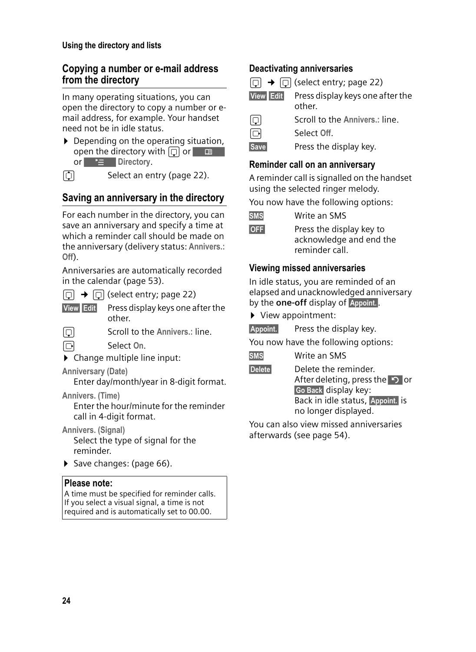#### **Copying a number or e-mail address from the directory**

In many operating situations, you can open the directory to copy a number or email address, for example. Your handset need not be in idle status.

- $\triangleright$  Depending on the operating situation, or **E** Directory. open the directory with  $\boxed{\Box}$  or  $\boxed{\Box}$
- 

 $\Box$  Select an entry (page 22).

### **Saving an anniversary in the directory**

For each number in the directory, you can save an anniversary and specify a time at which a reminder call should be made on the anniversary (delivery status: **Annivers.: Off**).

Anniversaries are automatically recorded in the calendar (page 53).

 $\Box \rightarrow \Box$  (select entry; page 22)

- **View** Edit Press display keys one after the other.
- **nance in Scroll to the Annivers.: line.**
- v Select **On**.
- $\triangleright$  Change multiple line input:

#### **Anniversary (Date)**

Enter day/month/year in 8-digit format.

**Annivers. (Time)**

Enter the hour/minute for the reminder call in 4-digit format.

**Annivers. (Signal)**

Select the type of signal for the reminder.

 $\triangleright$  Save changes: (page 66).

#### **Please note:**

A time must be specified for reminder calls. If you select a visual signal, a time is not required and is automatically set to 00.00.

#### **Deactivating anniversaries**

- $\Box \rightarrow \Box$  (select entry; page 22) **View** Edit Press display keys one after the other. **Scroll to the Annivers.: line.** v Select **Off**.
- Save Press the display key.

#### **Reminder call on an anniversary**

A reminder call is signalled on the handset using the selected ringer melody.

You now have the following options:

**OFF** Press the display key to acknowledge and end the reminder call.

#### **Viewing missed anniversaries**

In idle status, you are reminded of an elapsed and unacknowledged anniversary by the **one-off** display of Appoint.

- ▶ View appointment:
- Appoint. Press the display key.

You now have the following options:

| Write an SMS<br><b>SMS</b> |  |
|----------------------------|--|
|----------------------------|--|

Delete Delete the reminder. After deleting, press the  $\Box$  or Go Back display key: Back in idle status, Appoint. is no longer displayed.

You can also view missed anniversaries afterwards (see page 54).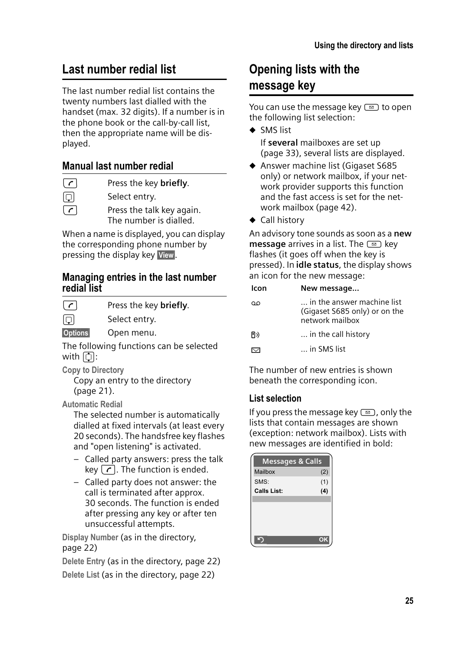## **Last number redial list**

The last number redial list contains the twenty numbers last dialled with the handset (max. 32 digits). If a number is in the phone book or the call-by-call list, then the appropriate name will be displayed.

### **Manual last number redial**

c Press the key **briefly**.

同 Select entry.

 $\lceil \cdot \rceil$  Press the talk key again. The number is dialled.

When a name is displayed, you can display the corresponding phone number by pressing the display key View.

#### **Managing entries in the last number redial list**

| $\lfloor c \rfloor$                | Press the key briefly.                  |
|------------------------------------|-----------------------------------------|
| IOI                                | Select entry.                           |
| <b>Options</b>                     | Open menu.                              |
|                                    | The following functions can be selected |
| with $\lceil \mathbf{C} \rceil$ :  |                                         |
| $\sim$ $\sim$ $\sim$ $\sim$ $\sim$ |                                         |

**Copy to Directory** Copy an entry to the directory (page 21).

**Automatic Redial** 

The selected number is automatically dialled at fixed intervals (at least every 20 seconds). The handsfree key flashes and "open listening" is activated.

- Called party answers: press the talk key  $\lceil \cdot \rceil$ . The function is ended.
- Called party does not answer: the call is terminated after approx. 30 seconds. The function is ended after pressing any key or after ten unsuccessful attempts.

**Display Number** (as in the directory, page 22)

**Delete Entry** (as in the directory, page 22) **Delete List** (as in the directory, page 22)

### **Opening lists with the message key**

You can use the message key  $\text{I}$  to open the following list selection:

- $\triangleleft$  SMS list If **several** mailboxes are set up (page 33), several lists are displayed.
- ◆ Answer machine list (Gigaset S685 only) or network mailbox, if your network provider supports this function and the fast access is set for the network mailbox (page 42).
- $\triangleleft$  Call history

An advisory tone sounds as soon as a **new message** arrives in a list. The **s** key flashes (it goes off when the key is pressed). In **idle status**, the display shows an icon for the new message:

| lcon | New message                                                                    |
|------|--------------------------------------------------------------------------------|
| הר   | in the answer machine list<br>(Gigaset S685 only) or on the<br>network mailbox |
| FD)  | in the call history                                                            |
|      | in SMS list                                                                    |

The number of new entries is shown beneath the corresponding icon.

#### **List selection**

If you press the message key  $\text{I}$ , only the lists that contain messages are shown (exception: network mailbox). Lists with new messages are identified in bold:

| <b>Messages &amp; Calls</b> |     |
|-----------------------------|-----|
| Mailbox                     | (2) |
| SMS:                        | (1) |
| <b>Calls List:</b>          | (4) |
|                             |     |
|                             |     |
|                             |     |
|                             |     |
|                             | OK  |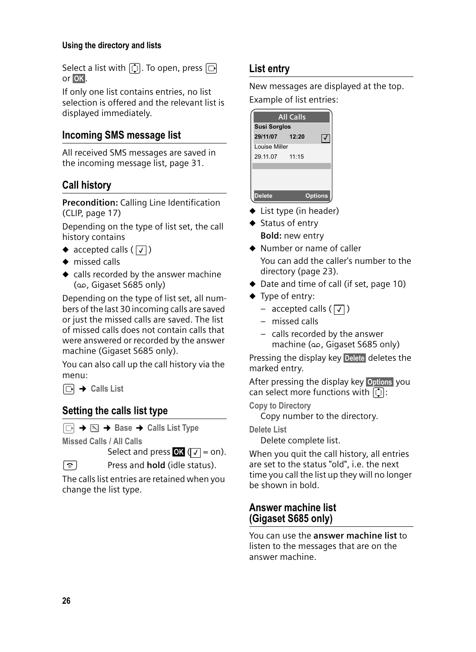#### **Using the directory and lists**

Select a list with  $\lbrack \bullet \rbrack$ . To open, press  $\lbrack \circ \rbrack$ or **OK**.

If only one list contains entries, no list selection is offered and the relevant list is displayed immediately.

#### **Incoming SMS message list**

All received SMS messages are saved in the incoming message list, page 31.

#### **Call history**

**Precondition:** Calling Line Identification (CLIP, page 17)

Depending on the type of list set, the call history contains

- accepted calls  $(\sqrt{})$
- $\bullet$  missed calls
- $\bullet$  calls recorded by the answer machine (Ã, Gigaset S685 only)

Depending on the type of list set, all numbers of the last 30 incoming calls are saved or just the missed calls are saved. The list of missed calls does not contain calls that were answered or recorded by the answer machine (Gigaset S685 only).

You can also call up the call history via the menu:

 $\Box \rightarrow$  Calls List

#### **Setting the calls list type**

<sup>v</sup>¢ ¢**Base**¢**Calls List Type**

**Missed Calls / All Calls** 

Select and press  $\bullet$  ( $\sqrt{}$  = on).

a Press and **hold** (idle status).

The calls list entries are retained when you change the list type.

#### **List entry**

New messages are displayed at the top. Example of list entries:

|                      | <b>All Calls</b> |                |
|----------------------|------------------|----------------|
| <b>Susi Sorglos</b>  |                  |                |
| 29/11/07 12:20       |                  |                |
| <b>Louise Miller</b> |                  |                |
| 29.11.07 11:15       |                  |                |
|                      |                  |                |
|                      |                  |                |
|                      |                  |                |
| Delete               |                  | <b>Options</b> |

- $\blacklozenge$  List type (in header)
- $\triangleleft$  Status of entry **Bold:** new entry
- $\triangle$  Number or name of caller You can add the caller's number to the directory (page 23).
- $\blacklozenge$  Date and time of call (if set, page 10)
- $\blacklozenge$  Type of entry:
	- accepted calls  $(\sqrt{})$
	- missed calls
	- calls recorded by the answer machine (Ã, Gigaset S685 only)

Pressing the display key Delete deletes the marked entry.

After pressing the display key Options you can select more functions with  $\lbrack \mathbf{\hat{Q}} \rbrack$ :

**Copy to Directory** 

Copy number to the directory.

**Delete List** 

Delete complete list.

When you quit the call history, all entries are set to the status "old", i.e. the next time you call the list up they will no longer be shown in bold.

#### **Answer machine list (Gigaset S685 only)**

You can use the **answer machine list** to listen to the messages that are on the answer machine.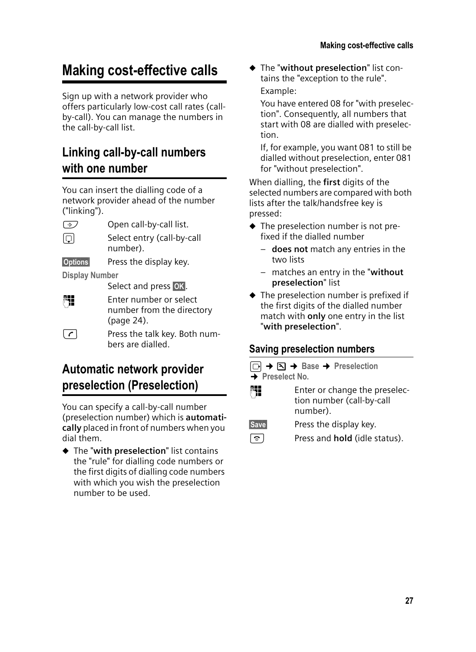# **Making cost-effective calls**

Sign up with a network provider who offers particularly low-cost call rates (callby-call). You can manage the numbers in the call-by-call list.

# **Linking call-by-call numbers with one number**

You can insert the dialling code of a network provider ahead of the number ("linking").

 $\circled{$  Open call-by-call list.

select entry (call-by-call number).

§Options§ Press the display key.

**Display Number** 

Select and press **OK**.

~ Enter number or select number from the directory (page 24).

 $\lceil \cdot \rceil$  Press the talk key. Both numbers are dialled.

## **Automatic network provider preselection (Preselection)**

You can specify a call-by-call number (preselection number) which is **automatically** placed in front of numbers when you dial them.

◆ The "with preselection" list contains the "rule" for dialling code numbers or the first digits of dialling code numbers with which you wish the preselection number to be used.

u The "**without preselection**" list contains the "exception to the rule". Example:

You have entered 08 for "with preselection". Consequently, all numbers that start with 08 are dialled with preselection.

If, for example, you want 081 to still be dialled without preselection, enter 081 for "without preselection".

When dialling, the **first** digits of the selected numbers are compared with both lists after the talk/handsfree key is pressed:

- $\blacklozenge$  The preselection number is not prefixed if the dialled number
	- **does not** match any entries in the two lists
	- matches an entry in the "**without preselection**" list
- $\blacklozenge$  The preselection number is prefixed if the first digits of the dialled number match with **only** one entry in the list "**with preselection**".

### **Saving preselection numbers**

<sup>v</sup>¢ ¢**Base**¢**Preselection → Preselect No.** 

**Fill** Enter or change the preselection number (call-by-call number).

Save Press the display key.

**a** Press and **hold** (idle status).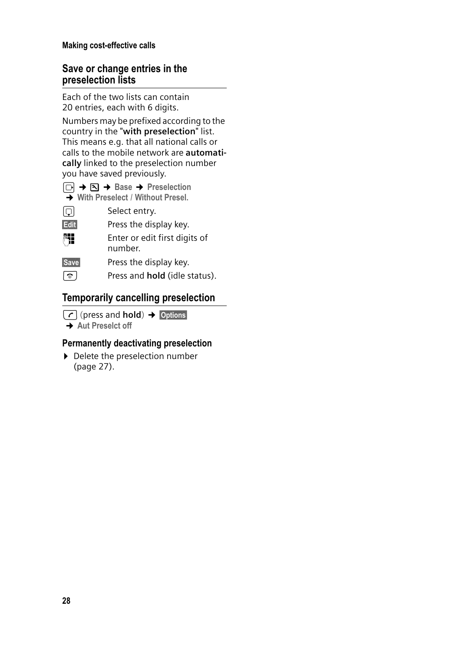#### **Making cost-effective calls**

#### **Save or change entries in the preselection lists**

Each of the two lists can contain 20 entries, each with 6 digits.

Numbers may be prefixed according to the country in the "**with preselection**" list. This means e.g. that all national calls or calls to the mobile network are **automatically** linked to the preselection number you have saved previously.



| . . | → With Preselect / Without Presel. |
|-----|------------------------------------|
| 冋   | Select entry.                      |

**Edit** Press the display key.

~ Enter or edit first digits of number.

Save Press the display key.

**a** Press and **hold** (idle status).

#### **Temporarily cancelling preselection**

<sup>c</sup>(press and **hold**)¢§Options§ **→ Aut Preselct off** 

#### **Permanently deactivating preselection**

 $\blacktriangleright$  Delete the preselection number (page 27).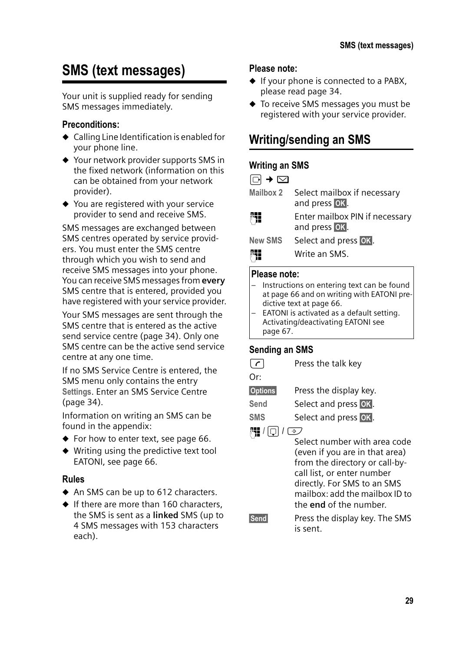# **SMS (text messages)**

Your unit is supplied ready for sending SMS messages immediately.

#### **Preconditions:**

- $\triangleleft$  Calling Line Identification is enabled for your phone line.
- $\blacklozenge$  Your network provider supports SMS in the fixed network (information on this can be obtained from your network provider).
- $\blacklozenge$  You are registered with your service provider to send and receive SMS.

SMS messages are exchanged between SMS centres operated by service providers. You must enter the SMS centre through which you wish to send and receive SMS messages into your phone. You can receive SMS messages from **every** SMS centre that is entered, provided you have registered with your service provider.

Your SMS messages are sent through the SMS centre that is entered as the active send service centre (page 34). Only one SMS centre can be the active send service centre at any one time.

If no SMS Service Centre is entered, the SMS menu only contains the entry **Settings**. Enter an SMS Service Centre (page 34).

Information on writing an SMS can be found in the appendix:

- $\blacklozenge$  For how to enter text, see page 66.
- $\blacklozenge$  Writing using the predictive text tool EATONI, see page 66.

#### **Rules**

- $\blacklozenge$  An SMS can be up to 612 characters.
- $\bullet$  If there are more than 160 characters, the SMS is sent as a **linked** SMS (up to 4 SMS messages with 153 characters each).

#### **Please note:**

- $\blacklozenge$  If your phone is connected to a PABX, please read page 34.
- $\blacklozenge$  To receive SMS messages you must be registered with your service provider.

### **Writing/sending an SMS**

#### **Writing an SMS**

- **Mailbox 2** Select mailbox if necessary and press **OK**.
- **FIL** Enter mailbox PIN if necessary and press **OK**.
- New SMS Select and press OK.
- **Fill** Write an SMS.

#### **Please note:**

- Instructions on entering text can be found at page 66 and on writing with EATONI predictive text at page 66.
- EATONI is activated as a default setting. Activating/deactivating EATONI see page 67.

#### **Sending an SMS**

 $\sqrt{\epsilon}$  Press the talk key

Or:

- §Options§ Press the display key.
- Send Select and press OK.
- **SMS** Select and press OK.
- ~ **/**s /C
	- Select number with area code (even if you are in that area) from the directory or call-bycall list, or enter number directly. For SMS to an SMS mailbox: add the mailbox ID to the **end** of the number.
- **Send** Press the display key. The SMS is sent.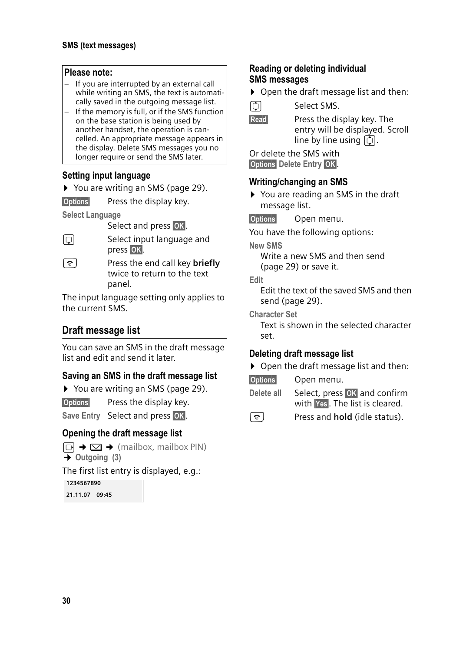#### **Please note:**

- If you are interrupted by an external call while writing an SMS, the text is automatically saved in the outgoing message list.
- If the memory is full, or if the SMS function on the base station is being used by another handset, the operation is cancelled. An appropriate message appears in the display. Delete SMS messages you no longer require or send the SMS later.

#### **Setting input language**

▶ You are writing an SMS (page 29).

**Options** Press the display key.

**Select Language** 

Select and press OK.

 $\Box$  Select input language and press **OK**.

a Press the end call key **briefly** twice to return to the text panel.

The input language setting only applies to the current SMS.

#### **Draft message list**

You can save an SMS in the draft message list and edit and send it later.

#### **Saving an SMS in the draft message list**

▶ You are writing an SMS (page 29).

§Options§ Press the display key.

Save Entry Select and press OK.

#### **Opening the draft message list**

 $\Box \rightarrow \Box \rightarrow$  (mailbox, mailbox PIN)  $\rightarrow$  Outgoing (3)

The first list entry is displayed, e.g.:

**1234567890 21.11.07 09:45**

#### **Reading or deleting individual SMS messages**

▶ Open the draft message list and then:

**q** Select SMS.

**Read** Press the display key. The entry will be displayed. Scroll line by line using  $\overline{1}$ .

Or delete the SMS with **Options** Delete Entry OK.

#### **Writing/changing an SMS**

▶ You are reading an SMS in the draft message list.

§Options§ Open menu.

You have the following options:

**New SMS** 

Write a new SMS and then send (page 29) or save it.

**Edit** 

Edit the text of the saved SMS and then send (page 29).

**Character Set**

Text is shown in the selected character set.

#### **Deleting draft message list**

▶ Open the draft message list and then:

§Options§ Open menu.

**Delete all** Select, press **OK** and confirm with Yes. The list is cleared.

a Press and **hold** (idle status).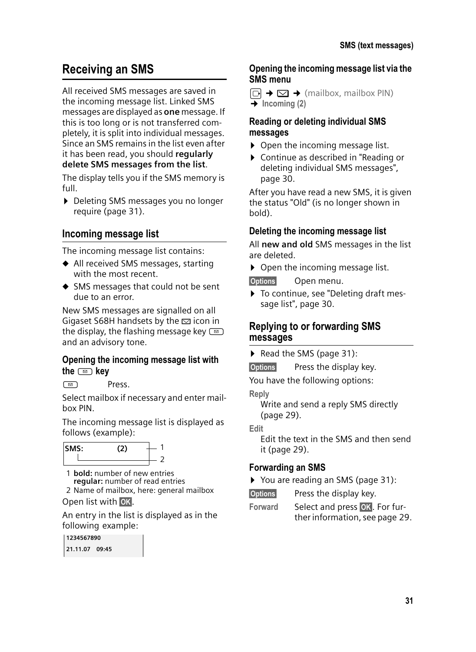# **Receiving an SMS**

All received SMS messages are saved in the incoming message list. Linked SMS messages are displayed as **one** message. If this is too long or is not transferred completely, it is split into individual messages. Since an SMS remains in the list even after it has been read, you should **regularly delete SMS messages from the list**.

The display tells you if the SMS memory is full.

▶ Deleting SMS messages you no longer require (page 31).

#### **Incoming message list**

The incoming message list contains:

- $\blacklozenge$  All received SMS messages, starting with the most recent.
- $\triangleleft$  SMS messages that could not be sent due to an error.

New SMS messages are signalled on all Gigaset S68H handsets by the  $\Xi$  icon in the display, the flashing message key  $\textcircled{\small{2}}$ and an advisory tone.

#### **Opening the incoming message list with the** f **key**

f Press.

Select mailbox if necessary and enter mailbox PIN.

The incoming message list is displayed as follows (example):



1 **bold:** number of new entries **regular:** number of read entries

2 Name of mailbox, here: general mailbox Open list with **OK**.

An entry in the list is displayed as in the following example:

| 1234567890     |  |
|----------------|--|
| 21.11.07 09:45 |  |

#### **Opening the incoming message list via the SMS menu**

 $\Box \rightarrow \Box \rightarrow$  (mailbox, mailbox PIN) ¢**Incoming (2)** 

#### **Reading or deleting individual SMS messages**

- $\triangleright$  Open the incoming message list.
- ▶ Continue as described in "Reading or deleting individual SMS messages", page 30.

After you have read a new SMS, it is given the status "Old" (is no longer shown in bold).

#### **Deleting the incoming message list**

All **new and old** SMS messages in the list are deleted.

 $\triangleright$  Open the incoming message list.

§Options§ Open menu.

▶ To continue, see "Deleting draft message list", page 30.

#### **Replying to or forwarding SMS messages**

Read the SMS (page 31):

§Options§ Press the display key.

You have the following options:

**Reply**

Write and send a reply SMS directly (page 29).

**Edit** 

Edit the text in the SMS and then send it (page 29).

#### **Forwarding an SMS**

▶ You are reading an SMS (page 31):

**Options** Press the display key.

Forward Select and press OK For further information, see page 29.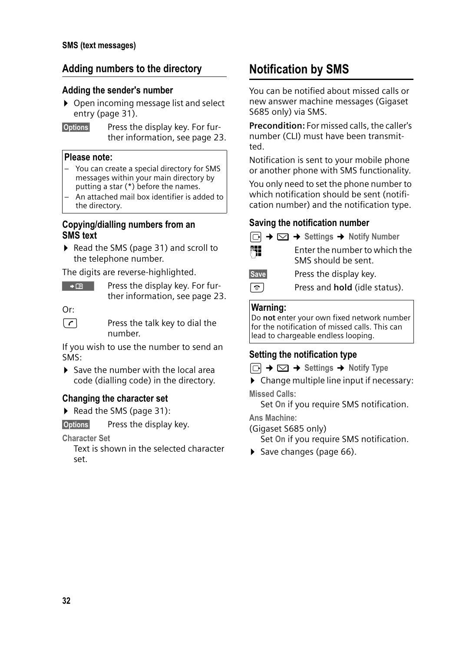#### **Adding numbers to the directory**

#### **Adding the sender's number**

- ▶ Open incoming message list and select entry (page 31).
- §Options§ Press the display key. For further information, see page 23.

#### **Please note:**

- You can create a special directory for SMS messages within your main directory by putting a star (\*) before the names.
- An attached mail box identifier is added to the directory.

#### **Copying/dialling numbers from an SMS text**

▶ Read the SMS (page 31) and scroll to the telephone number.

The digits are reverse-highlighted.

| $\rightarrow$ CB $^{\circ}$ | Press the display key. For fur- |
|-----------------------------|---------------------------------|
|                             | ther information, see page 23.  |

Or:

 $\lceil \cdot \rceil$  Press the talk key to dial the number.

If you wish to use the number to send an SMS:

 $\triangleright$  Save the number with the local area code (dialling code) in the directory.

#### **Changing the character set**

Read the SMS (page 31):

**Options** Press the display key.

**Character Set**

Text is shown in the selected character set.

## **Notification by SMS**

You can be notified about missed calls or new answer machine messages (Gigaset S685 only) via SMS.

**Precondition:** For missed calls, the caller's number (CLI) must have been transmitted.

Notification is sent to your mobile phone or another phone with SMS functionality.

You only need to set the phone number to which notification should be sent (notification number) and the notification type.

#### **Saving the notification number**

|                  | $\Box \rightarrow \Box \rightarrow$ Settings $\rightarrow$ Notify Number |
|------------------|--------------------------------------------------------------------------|
| 門                | Enter the number to which the<br>SMS should be sent.                     |
| <b>Save</b>      | Press the display key.                                                   |
| $ \hat{\sigma} $ | Press and <b>hold</b> (idle status).                                     |

#### **Warning:**

Do **not** enter your own fixed network number for the notification of missed calls. This can lead to chargeable endless looping.

#### **Setting the notification type**

 $\Box$   $\rightarrow$   $\Box$   $\rightarrow$  Settings  $\rightarrow$  Notify Type

 $\blacktriangleright$  Change multiple line input if necessary:

**Missed Calls:**

Set **On** if you require SMS notification.

**Ans Machine:** 

(Gigaset S685 only)

Set **On** if you require SMS notification.

 $\triangleright$  Save changes (page 66).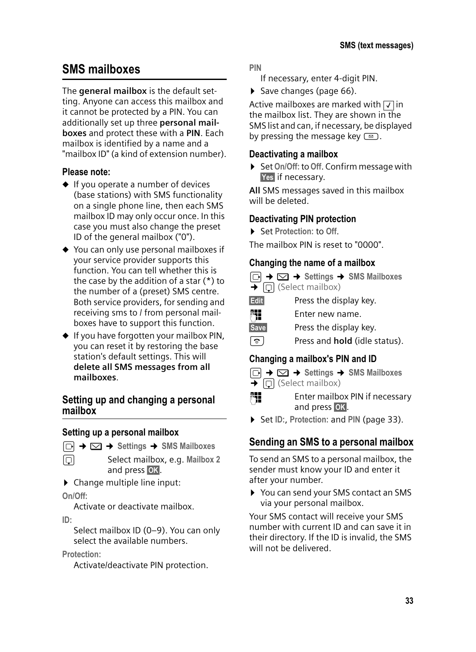### **SMS mailboxes**

The **general mailbox** is the default setting. Anyone can access this mailbox and it cannot be protected by a PIN. You can additionally set up three **personal mailboxes** and protect these with a **PIN**. Each mailbox is identified by a name and a "mailbox ID" (a kind of extension number).

#### **Please note:**

- $\triangle$  If you operate a number of devices (base stations) with SMS functionality on a single phone line, then each SMS mailbox ID may only occur once. In this case you must also change the preset ID of the general mailbox ("0").
- $\blacklozenge$  You can only use personal mailboxes if your service provider supports this function. You can tell whether this is the case by the addition of a star (\*) to the number of a (preset) SMS centre. Both service providers, for sending and receiving sms to / from personal mailboxes have to support this function.
- $\blacklozenge$  If you have forgotten your mailbox PIN, you can reset it by restoring the base station's default settings. This will **delete all SMS messages from all mailboxes**.

#### **Setting up and changing a personal mailbox**

#### **Setting up a personal mailbox**

- $\boxed{\Box}$  $\rightarrow$  $\boxed{\triangle}$   $\rightarrow$  Settings  $\rightarrow$  SMS Mailboxes
- s Select mailbox, e.g. **Mailbox 2** and press **OK**.
- $\triangleright$  Change multiple line input:

#### **On/Off:**

Activate or deactivate mailbox.

#### **ID:**

Select mailbox ID (0–9). You can only select the available numbers.

**Protection:** 

Activate/deactivate PIN protection.

**PIN**

- If necessary, enter 4-digit PIN.
- $\triangleright$  Save changes (page 66).

Active mailboxes are marked with  $\sqrt{\ }$  in the mailbox list. They are shown in the SMS list and can, if necessary, be displayed by pressing the message key  $\textcircled{2}$ .

#### **Deactivating a mailbox**

▶ Set On/Off: to Off. Confirm message with Yes if necessary.

**All** SMS messages saved in this mailbox will be deleted.

#### **Deactivating PIN protection**

▶ Set Protection: to Off.

The mailbox PIN is reset to "0000".

#### **Changing the name of a mailbox**

- $\boxed{\odot}$  $\rightarrow$  $\boxed{\sim}$  $\rightarrow$  **Settings**  $\rightarrow$  **SMS Mailboxes**  $\overline{\blacktriangleright}$   $\boxed{\Box}$  (Select mailbox) **Edit** Press the display key. Fill Enter new name. Save Press the display key.
- a Press and **hold** (idle status).

#### **Changing a mailbox's PIN and ID**



 $\boxed{\odot}$  $\rightarrow$  $\boxed{\sim}$  $\rightarrow$  **Settings**  $\rightarrow$  **SMS Mailboxes**  $\overline{\bullet}$   $\Box$  (Select mailbox)

- <sup>[1</sup>] Enter mailbox PIN if necessary and press **OK**.
- ▶ Set ID:, Protection: and PIN (page 33).

#### **Sending an SMS to a personal mailbox**

To send an SMS to a personal mailbox, the sender must know your ID and enter it after your number.

▶ You can send your SMS contact an SMS via your personal mailbox.

Your SMS contact will receive your SMS number with current ID and can save it in their directory. If the ID is invalid, the SMS will not be delivered.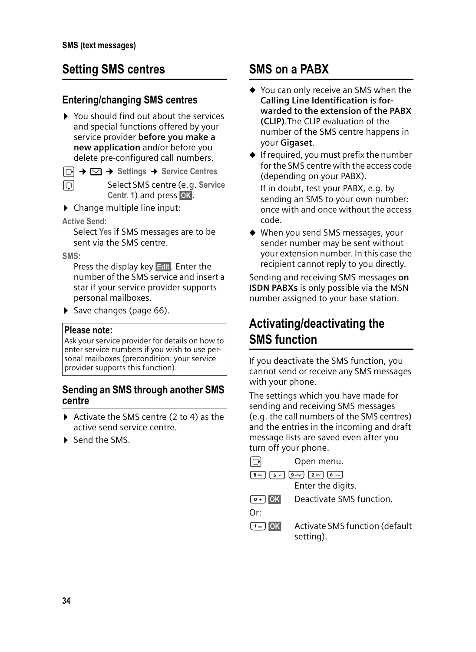### **Setting SMS centres**

#### **Entering/changing SMS centres**

- $\triangleright$  You should find out about the services and special functions offered by your service provider **before you make a new application** and/or before you delete pre-configured call numbers.
- $\Box$  $\rightarrow$  $\Box$   $\rightarrow$  Settings  $\rightarrow$  Service Centres
- s Select SMS centre (e.g. **Service Centr. 1) and press OK.**
- $\triangleright$  Change multiple line input:

**Active Send:** 

Select **Yes** if SMS messages are to be sent via the SMS centre.

**SMS:**

Press the display key  $E$ dit $\blacksquare$ . Enter the number of the SMS service and insert a star if your service provider supports personal mailboxes.

▶ Save changes (page 66).

#### **Please note:**

Ask your service provider for details on how to enter service numbers if you wish to use personal mailboxes (precondition: your service provider supports this function).

#### **Sending an SMS through another SMS centre**

- $\triangleright$  Activate the SMS centre (2 to 4) as the active send service centre.
- ▶ Send the SMS

### **SMS on a PABX**

- $\blacklozenge$  You can only receive an SMS when the **Calling Line Identification** is **forwarded to the extension of the PABX (CLIP)**.The CLIP evaluation of the number of the SMS centre happens in your **Gigaset**.
- $\triangleq$  If required, you must prefix the number for the SMS centre with the access code (depending on your PABX).

If in doubt, test your PABX, e.g. by sending an SMS to your own number: once with and once without the access code.

 $\blacklozenge$  When you send SMS messages, your sender number may be sent without your extension number. In this case the recipient cannot reply to you directly.

Sending and receiving SMS messages **on ISDN PABXs** is only possible via the MSN number assigned to your base station.

### **Activating/deactivating the SMS function**

If you deactivate the SMS function, you cannot send or receive any SMS messages with your phone.

The settings which you have made for sending and receiving SMS messages (e.g. the call numbers of the SMS centres) and the entries in the incoming and draft message lists are saved even after you turn off your phone.

 $\Box$  Open menu.

 $\boxed{8 \text{ tur}}$   $\boxed{5 \text{ jkl}}$   $\boxed{9 \text{ ways}}$   $\boxed{2 \text{ abc}}$   $\boxed{6 \text{ mno}}$ Enter the digits.

**OF DEACTIVATE SMS function.** 

Or:

³§OK§ Activate SMS function (default setting).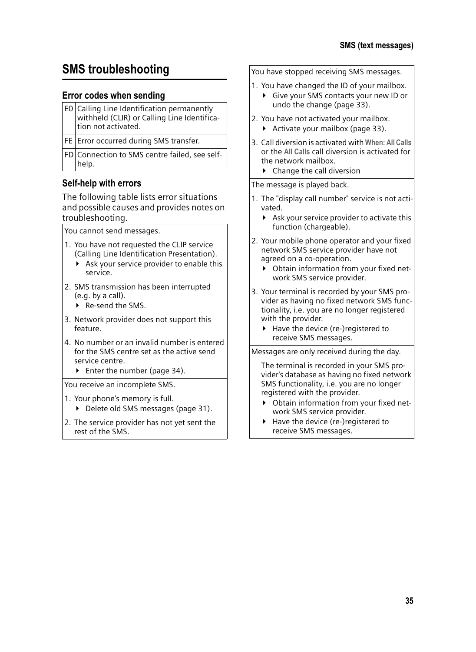### **SMS troubleshooting**

#### **Error codes when sending**

| E0 Calling Line Identification permanently<br>withheld (CLIR) or Calling Line Identifica-<br>tion not activated. |
|------------------------------------------------------------------------------------------------------------------|
| <b>FE</b> Error occurred during SMS transfer.                                                                    |
| FD Connection to SMS centre failed, see self-<br>help.                                                           |

#### **Self-help with errors**

The following table lists error situations and possible causes and provides notes on troubleshooting.

You cannot send messages.

- 1. You have not requested the CLIP service (Calling Line Identification Presentation).
	- $\triangleright$  Ask your service provider to enable this service.
- 2. SMS transmission has been interrupted (e.g. by a call).
	- ▶ Re-send the SMS.
- 3. Network provider does not support this feature.
- 4. No number or an invalid number is entered for the SMS centre set as the active send service centre.
	- $\blacktriangleright$  Enter the number (page 34).

You receive an incomplete SMS.

- 1. Your phone's memory is full.
	- ▶ Delete old SMS messages (page 31).
- 2. The service provider has not yet sent the rest of the SMS.

You have stopped receiving SMS messages.

- 1. You have changed the ID of your mailbox.
	- $\blacktriangleright$  Give your SMS contacts your new ID or undo the change (page 33).
- 2. You have not activated your mailbox.
	- $\blacktriangleright$  Activate your mailbox (page 33).
- 3. Call diversion is activated with **When: All Calls** or the **All Calls** call diversion is activated for the network mailbox.
	- $\triangleright$  Change the call diversion

The message is played back.

- 1. The "display call number" service is not activated.
	- $\blacktriangleright$  Ask your service provider to activate this function (chargeable).
- 2. Your mobile phone operator and your fixed network SMS service provider have not agreed on a co-operation.
	- ▶ Obtain information from your fixed network SMS service provider.
- 3. Your terminal is recorded by your SMS provider as having no fixed network SMS functionality, i.e. you are no longer registered with the provider.
	- $\blacktriangleright$  Have the device (re-)registered to receive SMS messages.

Messages are only received during the day.

The terminal is recorded in your SMS provider's database as having no fixed network SMS functionality, i.e. you are no longer registered with the provider.

- ▶ Obtain information from your fixed network SMS service provider.
- $\blacktriangleright$  Have the device (re-)registered to receive SMS messages.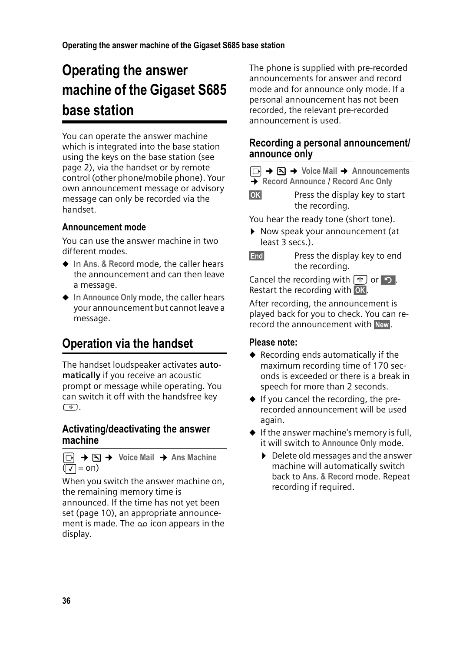# **Operating the answer machine of the Gigaset S685 base station**

You can operate the answer machine which is integrated into the base station using the keys on the base station (see page 2), via the handset or by remote control (other phone/mobile phone). Your own announcement message or advisory message can only be recorded via the handset.

### **Announcement mode**

You can use the answer machine in two different modes.

- ◆ In Ans. & Record mode, the caller hears the announcement and can then leave a message.
- ◆ In Announce Only mode, the caller hears your announcement but cannot leave a message.

# **Operation via the handset**

The handset loudspeaker activates **automatically** if you receive an acoustic prompt or message while operating. You can switch it off with the handsfree key  $\Box$ 

#### **Activating/deactivating the answer machine**

$$
\begin{array}{ccc}\n\boxed{\bigcirc} & \rightarrow & \boxed{\searrow} & \rightarrow & \text{Voice Mail} & \rightarrow & \text{Ans Machine} \\
\boxed{\bigvee} = \text{on} & & \n\end{array}
$$

When you switch the answer machine on, the remaining memory time is announced. If the time has not yet been set (page 10), an appropriate announcement is made. The × icon appears in the display.

The phone is supplied with pre-recorded announcements for answer and record mode and for announce only mode. If a personal announcement has not been recorded, the relevant pre-recorded announcement is used.

### **Recording a personal announcement/ announce only**

|  |  |  |  | □ → □ → Voice Mail → Announcements |
|--|--|--|--|------------------------------------|
|  |  |  |  |                                    |

- ¢**Record Announce** / **Record Anc Only**
- **OK** Press the display key to start the recording.

You hear the ready tone (short tone).

- ▶ Now speak your announcement (at least 3 secs.).
- **End** Press the display key to end the recording.

Cancel the recording with  $\boxed{\circ}$  or  $\boxed{\circ}$ . Restart the recording with OK.

After recording, the announcement is played back for you to check. You can rerecord the announcement with New.

#### **Please note:**

- $\triangle$  Recording ends automatically if the maximum recording time of 170 seconds is exceeded or there is a break in speech for more than 2 seconds.
- $\bullet$  If you cancel the recording, the prerecorded announcement will be used again.
- $\triangleq$  If the answer machine's memory is full, it will switch to **Announce Only** mode.
	- $\triangleright$  Delete old messages and the answer machine will automatically switch back to **Ans. & Record** mode. Repeat recording if required.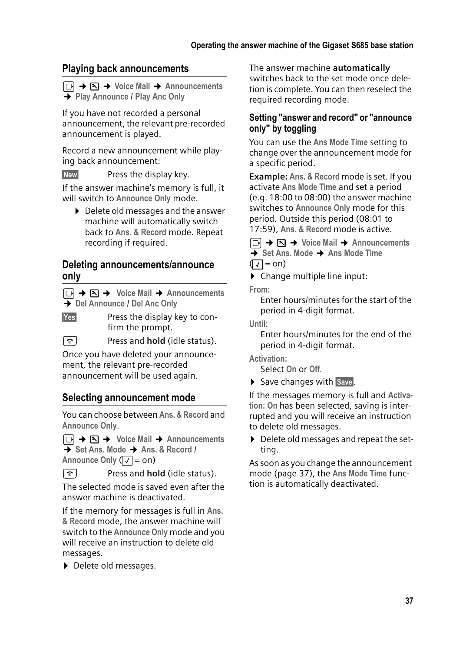# **Playing back announcements**

<sup>v</sup>¢ ¢**Voice Mail** ¢**Announcements**  ¢**Play Announce** / **Play Anc Only**

If you have not recorded a personal announcement, the relevant pre-recorded announcement is played.

Record a new announcement while playing back announcement:

New Press the display key.

If the answer machine's memory is full, it will switch to **Announce Only** mode.

▶ Delete old messages and the answer machine will automatically switch back to **Ans. & Record** mode. Repeat recording if required.

### **Deleting announcements/announce only**

<sup>v</sup>¢ ¢ **Voice Mail** ¢**Announcements** ¢**Del Announce** / **Del Anc Only**

Yes Press the display key to confirm the prompt.

**a** Press and **hold** (idle status).

Once you have deleted your announcement, the relevant pre-recorded announcement will be used again.

## **Selecting announcement mode**

You can choose between **Ans. & Record** and **Announce Only**.

 $\boxed{\Box}$  $\rightarrow$  $\boxed{\Delta}$   $\rightarrow$  Voice Mail  $\rightarrow$  Announcements ¢**Set Ans. Mode** ¢**Ans. & Record** / Announce Only ( $\sqrt{}$  = on)

**a** Press and **hold** (idle status).

The selected mode is saved even after the answer machine is deactivated.

If the memory for messages is full in **Ans. & Record** mode, the answer machine will switch to the **Announce Only** mode and you will receive an instruction to delete old messages.

Delete old messages.

The answer machine **automatically** switches back to the set mode once deletion is complete. You can then reselect the required recording mode.

### **Setting "answer and record" or "announce only" by toggling**

You can use the **Ans Mode Time** setting to change over the announcement mode for a specific period.

**Example: Ans. & Record** mode is set. If you activate **Ans Mode Time** and set a period (e.g. 18:00 to 08:00) the answer machine switches to **Announce Only** mode for this period. Outside this period (08:01 to 17:59), **Ans. & Record** mode is active.

<sup>v</sup>¢ ¢**Voice Mail** ¢**Announcements**  ¢**Set Ans. Mode** ¢**Ans Mode Time**   $(\sqrt{)}$  = on)

 $\triangleright$  Change multiple line input:

**From:**

Enter hours/minutes for the start of the period in 4-digit format.

**Until:**

Enter hours/minutes for the end of the period in 4-digit format.

**Activation:**

Select **On** or **Off.**

▶ Save changes with Save.

If the messages memory is full and **Activation: On** has been selected, saving is interrupted and you will receive an instruction to delete old messages.

▶ Delete old messages and repeat the setting.

As soon as you change the announcement mode (page 37), the **Ans Mode Time** function is automatically deactivated.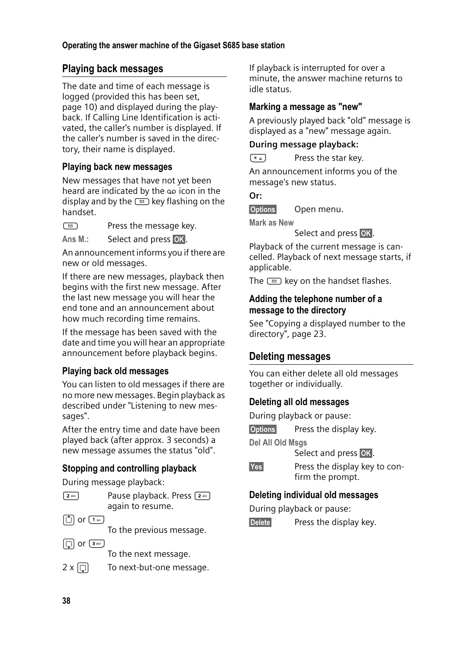# **Playing back messages**

The date and time of each message is logged (provided this has been set, page 10) and displayed during the playback. If Calling Line Identification is activated, the caller's number is displayed. If the caller's number is saved in the directory, their name is displayed.

### **Playing back new messages**

New messages that have not yet been heard are indicated by the  $\infty$  icon in the display and by the  $\circled{=}$  key flashing on the handset.

 $\Box$  Press the message key.

Ans M.: Select and press **OK**.

An announcement informs you if there are new or old messages.

If there are new messages, playback then begins with the first new message. After the last new message you will hear the end tone and an announcement about how much recording time remains.

If the message has been saved with the date and time you will hear an appropriate announcement before playback begins.

## **Playing back old messages**

You can listen to old messages if there are no more new messages. Begin playback as described under "Listening to new messages".

After the entry time and date have been played back (after approx. 3 seconds) a new message assumes the status "old".

## **Stopping and controlling playback**

During message playback:

|--|

Pause playback. Press [2 abc] again to resume.

 $\Box$  or  $\Box$ 

To the previous message.

 $\Box$  or  $\overline{3}$  def

To the next message.

 $2 \times \lbrack \bigcirc \rbrack$  To next-but-one message.

If playback is interrupted for over a minute, the answer machine returns to idle status.

### **Marking a message as "new"**

A previously played back "old" message is displayed as a "new" message again.

#### **During message playback:**

 $\left(\begin{matrix} \ast & 0 \\ 0 & \ast \end{matrix}\right)$  Press the star key.

An announcement informs you of the message's new status.

#### **Or:**

§Options§ Open menu.

**Mark as New** 

Select and press OK.

Playback of the current message is cancelled. Playback of next message starts, if applicable.

The  $\text{F}$  key on the handset flashes.

#### **Adding the telephone number of a message to the directory**

See "Copying a displayed number to the directory", page 23.

# **Deleting messages**

You can either delete all old messages together or individually.

## **Deleting all old messages**

During playback or pause:

**Options** Press the display key.

**Del All Old Msgs**

Select and press **OK**.

**Fress the display key to con**firm the prompt.

# **Deleting individual old messages**

During playback or pause:

**Delete** Press the display key.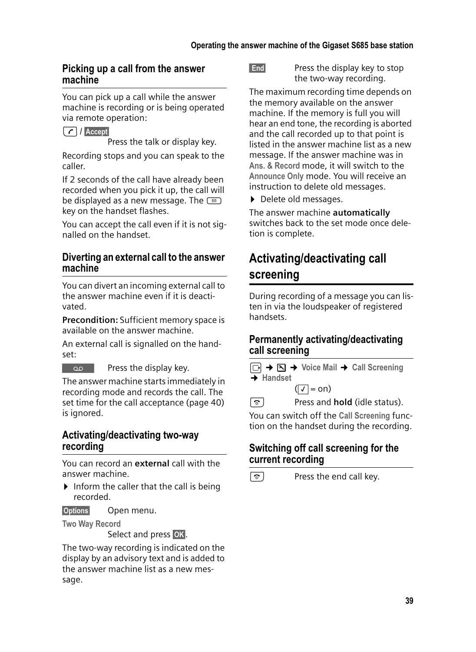#### **Picking up a call from the answer machine**

You can pick up a call while the answer machine is recording or is being operated via remote operation:

 $\lceil$  /  $\rceil$  Accept

Press the talk or display key.

Recording stops and you can speak to the caller.

If 2 seconds of the call have already been recorded when you pick it up, the call will be displayed as a new message. The  $\textcircled{\texttt{m}}$ key on the handset flashes.

You can accept the call even if it is not signalled on the handset.

#### **Diverting an external call to the answer machine**

You can divert an incoming external call to the answer machine even if it is deactivated.

**Precondition:** Sufficient memory space is available on the answer machine.

An external call is signalled on the handset:

 $\overline{\phantom{a}}$  Press the display key.

The answer machine starts immediately in recording mode and records the call. The set time for the call acceptance (page 40) is ignored.

#### **Activating/deactivating two-way recording**

You can record an **external** call with the answer machine.

 $\blacktriangleright$  Inform the caller that the call is being recorded.

§Options§ Open menu.

**Two Way Record** 

Select and press OK.

The two-way recording is indicated on the display by an advisory text and is added to the answer machine list as a new message.

**End** Press the display key to stop the two-way recording.

The maximum recording time depends on the memory available on the answer machine. If the memory is full you will hear an end tone, the recording is aborted and the call recorded up to that point is listed in the answer machine list as a new message. If the answer machine was in **Ans. & Record** mode, it will switch to the **Announce Only** mode. You will receive an instruction to delete old messages.

▶ Delete old messages.

The answer machine **automatically** switches back to the set mode once deletion is complete.

# **Activating/deactivating call screening**

During recording of a message you can listen in via the loudspeaker of registered handsets.

### **Permanently activating/deactivating call screening**



s Press and **hold** (idle status).

You can switch off the **Call Screening** function on the handset during the recording.

# **Switching off call screening for the current recording**

 $\boxed{\circ}$  Press the end call key.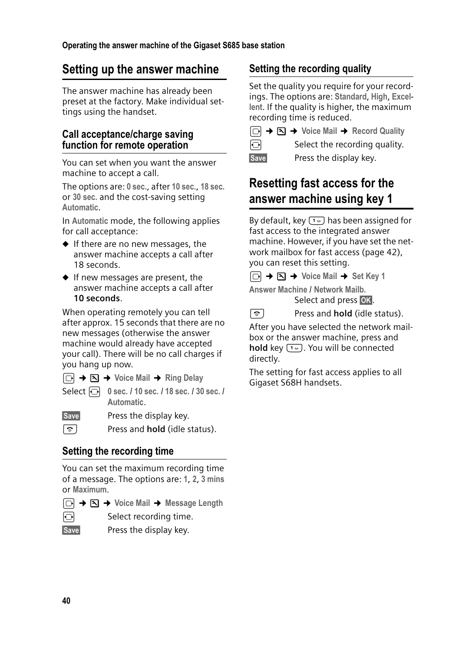# **Setting up the answer machine**

The answer machine has already been preset at the factory. Make individual settings using the handset.

### **Call acceptance/charge saving function for remote operation**

You can set when you want the answer machine to accept a call.

The options are: **0 sec.**, after **10 sec.**, **18 sec.** or **30 sec.** and the cost-saving setting **Automatic**.

In **Automatic** mode, the following applies for call acceptance:

- $\blacklozenge$  If there are no new messages, the answer machine accepts a call after 18 seconds.
- $\blacklozenge$  If new messages are present, the answer machine accepts a call after **10 seconds**.

When operating remotely you can tell after approx. 15 seconds that there are no new messages (otherwise the answer machine would already have accepted your call). There will be no call charges if you hang up now.

- <sup>v</sup>¢ ¢**Voice Mail** ¢**Ring Delay**
- Select r **0 sec.** / **10 sec.** / **18 sec.** / **30 sec.** / **Automatic**.

Save Press the display key.

a Press and **hold** (idle status).

# **Setting the recording time**

You can set the maximum recording time of a message. The options are: **1**, **2**, **3 mins** or **Maximum**.

- <sup>v</sup>¢ ¢**Voice Mail** ¢**Message Length**
- $\Theta$  Select recording time.
- 
- Save Press the display key.

# **Setting the recording quality**

Set the quality you require for your recordings. The options are: **Standard**, **High**, **Excellent**. If the quality is higher, the maximum recording time is reduced.

|            | $\boxed{\odot}$ $\rightarrow$ $\boxed{\sim}$ $\rightarrow$ Voice Mail $\rightarrow$ Record Quality |
|------------|----------------------------------------------------------------------------------------------------|
| $\bigodot$ | Select the recording quality.                                                                      |

- 
- Save Press the display key.

# **Resetting fast access for the answer machine using key 1**

By default, key  $\boxed{1\omega}$  has been assigned for fast access to the integrated answer machine. However, if you have set the network mailbox for fast access (page 42), you can reset this setting.

 $\Box$  **→**  $\Box$  **→ Voice Mail → Set Key 1** 

**Answer Machine** / **Network Mailb.** Select and press **OK**.

**a** Press and **hold** (idle status).

After you have selected the network mailbox or the answer machine, press and **hold** key  $\boxed{1\omega}$ . You will be connected directly.

The setting for fast access applies to all Gigaset S68H handsets.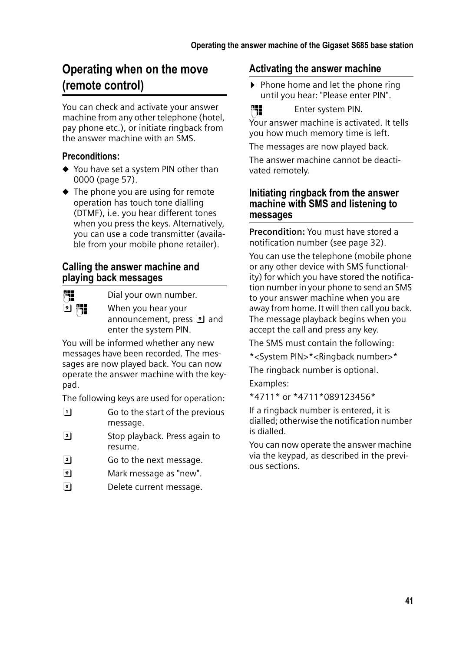# **Operating when on the move (remote control)**

You can check and activate your answer machine from any other telephone (hotel, pay phone etc.), or initiate ringback from the answer machine with an SMS.

### **Preconditions:**

- $\blacklozenge$  You have set a system PIN other than 0000 (page 57).
- $\triangle$  The phone you are using for remote operation has touch tone dialling (DTMF), i.e. you hear different tones when you press the keys. Alternatively, you can use a code transmitter (available from your mobile phone retailer).

### **Calling the answer machine and playing back messages**

Fill Dial your own number.

인 隅 vhen you hear your announcement, press **9** and enter the system PIN.

You will be informed whether any new messages have been recorded. The messages are now played back. You can now operate the answer machine with the keypad.

The following keys are used for operation:

- $\boxed{1}$  Go to the start of the previous message.
- **2** Stop playback. Press again to resume.
- 3 Go to the next message.
- $\mathbb{R}$  Mark message as "new".
- **o** Delete current message.

### **Activating the answer machine**

 $\triangleright$  Phone home and let the phone ring until you hear: "Please enter PIN".

Film Enter system PIN.

Your answer machine is activated. It tells you how much memory time is left.

The messages are now played back.

The answer machine cannot be deactivated remotely.

## **Initiating ringback from the answer machine with SMS and listening to messages**

**Precondition:** You must have stored a notification number (see page 32).

You can use the telephone (mobile phone or any other device with SMS functionality) for which you have stored the notification number in your phone to send an SMS to your answer machine when you are away from home. It will then call you back. The message playback begins when you accept the call and press any key.

The SMS must contain the following:

\*<System PIN>\*<Ringback number>\*

The ringback number is optional.

Examples:

\*4711\* or \*4711\*089123456\*

If a ringback number is entered, it is dialled; otherwise the notification number is dialled.

You can now operate the answer machine via the keypad, as described in the previous sections.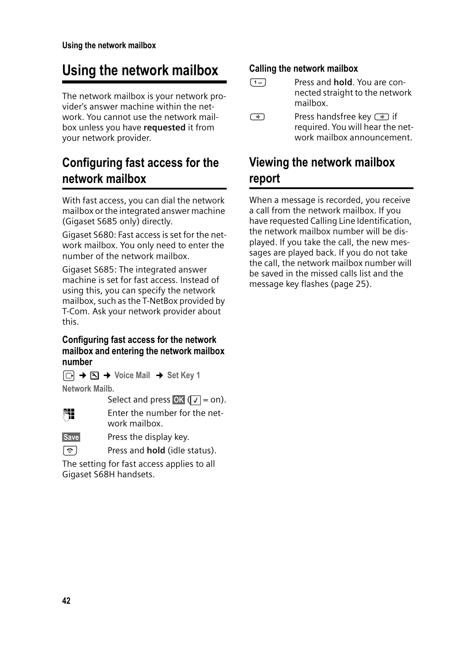# **Using the network mailbox**

The network mailbox is your network provider's answer machine within the network. You cannot use the network mailbox unless you have **requested** it from your network provider.

# **Configuring fast access for the network mailbox**

With fast access, you can dial the network mailbox or the integrated answer machine (Gigaset S685 only) directly.

Gigaset S680: Fast access is set for the network mailbox. You only need to enter the number of the network mailbox.

Gigaset S685: The integrated answer machine is set for fast access. Instead of using this, you can specify the network mailbox, such as the T-NetBox provided by T-Com. Ask your network provider about this.

#### **Configuring fast access for the network mailbox and entering the network mailbox number**

<sup>v</sup>¢ ¢**Voice Mail** ¢**Set Key 1**

**Network Mailb.**

Select and press OK  $(\sqrt{})$  = on).

FI Enter the number for the network mailbox.

Save Press the display key.

a Press and **hold** (idle status).

The setting for fast access applies to all Gigaset S68H handsets.

## **Calling the network mailbox**

- ³ Press and **hold**. You are connected straight to the network mailbox.
- $\overline{\bullet}$  Press handsfree key  $\overline{\bullet}$  if required. You will hear the network mailbox announcement.

# **Viewing the network mailbox report**

When a message is recorded, you receive a call from the network mailbox. If you have requested Calling Line Identification, the network mailbox number will be displayed. If you take the call, the new messages are played back. If you do not take the call, the network mailbox number will be saved in the missed calls list and the message key flashes (page 25).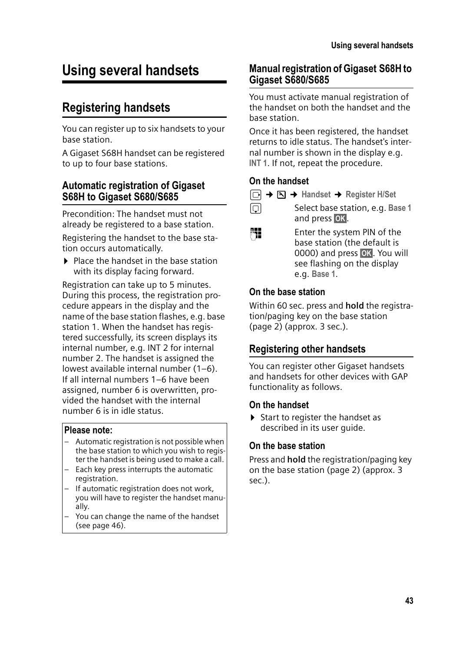# **Using several handsets**

# **Registering handsets**

You can register up to six handsets to your base station.

A Gigaset S68H handset can be registered to up to four base stations.

#### **Automatic registration of Gigaset S68H to Gigaset S680/S685**

Precondition: The handset must not already be registered to a base station.

Registering the handset to the base station occurs automatically.

 $\blacktriangleright$  Place the handset in the base station with its display facing forward.

Registration can take up to 5 minutes. During this process, the registration procedure appears in the display and the name of the base station flashes, e.g. base station 1. When the handset has registered successfully, its screen displays its internal number, e.g. INT 2 for internal number 2. The handset is assigned the lowest available internal number (1–6). If all internal numbers 1–6 have been assigned, number 6 is overwritten, provided the handset with the internal number 6 is in idle status.

#### **Please note:**

- Automatic registration is not possible when the base station to which you wish to register the handset is being used to make a call.
- Each key press interrupts the automatic registration.
- If automatic registration does not work, you will have to register the handset manually.
- You can change the name of the handset (see page 46).

#### **Manual registration of Gigaset S68H to Gigaset S680/S685**

You must activate manual registration of the handset on both the handset and the base station.

Once it has been registered, the handset returns to idle status. The handset's internal number is shown in the display e.g. **INT 1**. If not, repeat the procedure.

#### **On the handset**

- <sup>v</sup>¢ ¢**Handset** ¢**Register H/Set**
- 
- **ightharroring Select base station, e.g. Base 1** and press **OK**.
- ~ Enter the system PIN of the base station (the default is 0000) and press **QK**, You will see flashing on the display e.g. **Base 1**.

#### **On the base station**

Within 60 sec. press and **hold** the registration/paging key on the base station (page 2) (approx. 3 sec.).

## **Registering other handsets**

You can register other Gigaset handsets and handsets for other devices with GAP functionality as follows.

#### **On the handset**

 $\triangleright$  Start to register the handset as described in its user guide.

#### **On the base station**

Press and **hold** the registration/paging key on the base station (page 2) (approx. 3 sec.).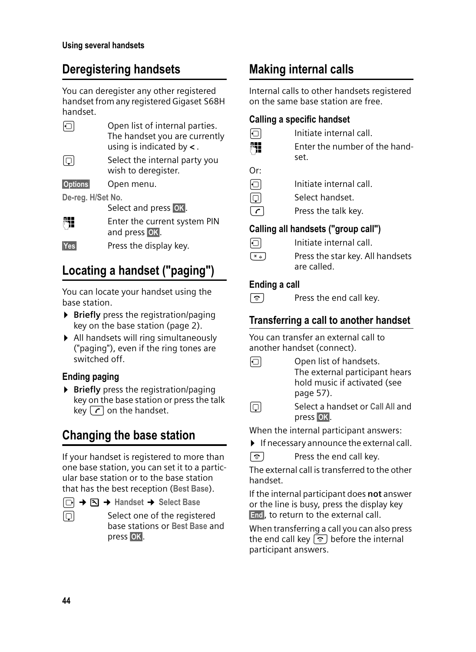# **Deregistering handsets**

You can deregister any other registered handset from any registered Gigaset S68H handset.

|                   | Open list of internal parties.<br>The handset you are currently<br>using is indicated by $\lt$ . |
|-------------------|--------------------------------------------------------------------------------------------------|
| IQI               | Select the internal party you<br>wish to deregister.                                             |
| <b>Options</b>    | Open menu.                                                                                       |
| De-reg. H/Set No. |                                                                                                  |
|                   | Select and press OK.                                                                             |
|                   | Enter the current system PIN<br>and press OK.                                                    |
| Yes               | Press the display key.                                                                           |

# **Locating a handset ("paging")**

You can locate your handset using the base station.

- **Briefly** press the registration/paging key on the base station (page 2).
- $\blacktriangleright$  All handsets will ring simultaneously ("paging"), even if the ring tones are switched off.

# **Ending paging**

**Briefly** press the registration/paging key on the base station or press the talk key  $\lceil \cdot \rceil$  on the handset.

# **Changing the base station**

If your handset is registered to more than one base station, you can set it to a particular base station or to the base station that has the best reception (**Best Base**).

- <sup>v</sup>¢ ¢**Handset**¢**Select Base**
- select one of the registered base stations or **Best Base** and press **OK**.

# **Making internal calls**

Internal calls to other handsets registered on the same base station are free.

## **Calling a specific handset**

- $\Box$  Initiate internal call. **Fill** Enter the number of the handset.
- Or:
- $\Box$  Initiate internal call.
- 同 Select handset.
- $\lceil \cdot \rceil$  Press the talk key.

# **Calling all handsets ("group call")**

- $\Box$  Initiate internal call.
- $\left(\begin{matrix} \ast & 0 \\ 0 & \ast \end{matrix}\right)$  Press the star key. All handsets are called.

# **Ending a call**

 $\boxed{\circ}$  Press the end call key.

# **Transferring a call to another handset**

You can transfer an external call to another handset (connect).

- $\Box$  Open list of handsets. The external participant hears hold music if activated (see page 57).
- select a handset or **Call All** and press **OK**.

When the internal participant answers:

 $\blacktriangleright$  If necessary announce the external call.

 $\boxed{\circ}$  Press the end call key.

The external call is transferred to the other handset.

If the internal participant does **not** answer or the line is busy, press the display key End, to return to the external call.

When transferring a call you can also press the end call key  $\circled{}$  before the internal participant answers.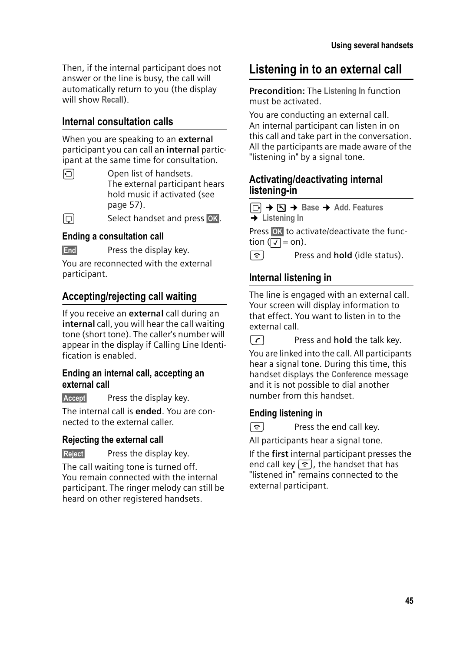Then, if the internal participant does not answer or the line is busy, the call will automatically return to you (the display will show **Recall**).

# **Internal consultation calls**

When you are speaking to an **external** participant you can call an **internal** participant at the same time for consultation.

 $\Box$  Open list of handsets. The external participant hears hold music if activated (see page 57).

 $\Box$  Select handset and press OK.

### **Ending a consultation call**

**End** Press the display key.

You are reconnected with the external participant.

# **Accepting/rejecting call waiting**

If you receive an **external** call during an **internal** call, you will hear the call waiting tone (short tone). The caller's number will appear in the display if Calling Line Identification is enabled.

#### **Ending an internal call, accepting an external call**

Accept Press the display key.

The internal call is **ended**. You are connected to the external caller.

#### **Rejecting the external call**

Reject Press the display key.

The call waiting tone is turned off. You remain connected with the internal participant. The ringer melody can still be heard on other registered handsets.

# **Listening in to an external call**

**Precondition:** The **Listening In** function must be activated.

You are conducting an external call. An internal participant can listen in on this call and take part in the conversation. All the participants are made aware of the "listening in" by a signal tone.

## **Activating/deactivating internal listening-in**

<sup>v</sup>¢ ¢**Base**¢**Add. Features** 

¢**Listening In**

Press **OK** to activate/deactivate the function ( $\sqrt{1}$  = on).

a Press and **hold** (idle status).

# **Internal listening in**

The line is engaged with an external call. Your screen will display information to that effect. You want to listen in to the external call.

**c** Press and **hold** the talk key.

You are linked into the call. All participants hear a signal tone. During this time, this handset displays the **Conference** message and it is not possible to dial another number from this handset.

## **Ending listening in**



 $\boxed{\circ}$  Press the end call key.

All participants hear a signal tone.

If the **first** internal participant presses the end call key  $\lceil \widehat{\mathcal{C}} \rceil$ , the handset that has "listened in" remains connected to the external participant.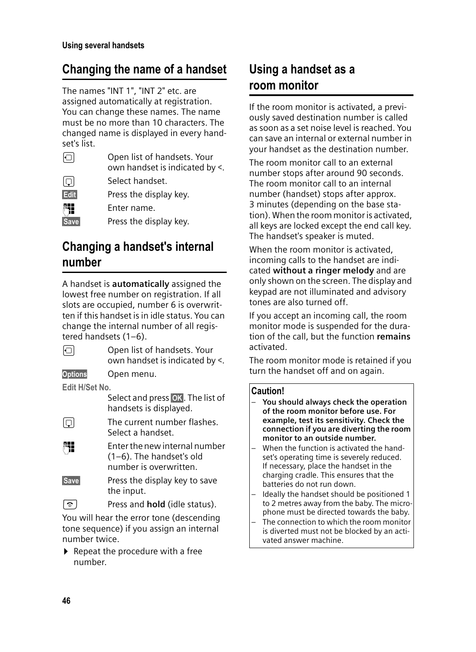# **Changing the name of a handset**

The names "INT 1", "INT 2" etc. are assigned automatically at registration. You can change these names. The name must be no more than 10 characters. The changed name is displayed in every handset's list.

| ЮI   | Open list of handsets. Your<br>own handset is indicated by <. |
|------|---------------------------------------------------------------|
| IQI  | Select handset.                                               |
| Edit | Press the display key.                                        |
|      | Enter name.                                                   |
| Save | Press the display key.                                        |
|      |                                                               |

# **Changing a handset's internal number**

A handset is **automatically** assigned the lowest free number on registration. If all slots are occupied, number 6 is overwritten if this handset is in idle status. You can change the internal number of all registered handsets (1–6).

|                | Open list of handsets. Your<br>own handset is indicated by <. |
|----------------|---------------------------------------------------------------|
| <b>Options</b> | Open menu.                                                    |
| Edit H/Set No. |                                                               |
|                | Select and press OK. The list of<br>handsets is displayed.    |
| lol            | The current number flashes.<br>Select a handset.              |
|                | Enter the new internal number                                 |

(1–6). The handset's old number is overwritten.

Save Press the display key to save the input.

a Press and **hold** (idle status).

You will hear the error tone (descending tone sequence) if you assign an internal number twice.

 $\blacktriangleright$  Repeat the procedure with a free number.

# **Using a handset as a room monitor**

If the room monitor is activated, a previously saved destination number is called as soon as a set noise level is reached. You can save an internal or external number in your handset as the destination number.

The room monitor call to an external number stops after around 90 seconds. The room monitor call to an internal number (handset) stops after approx. 3 minutes (depending on the base station). When the room monitor is activated, all keys are locked except the end call key. The handset's speaker is muted.

When the room monitor is activated. incoming calls to the handset are indicated **without a ringer melody** and are only shown on the screen. The display and keypad are not illuminated and advisory tones are also turned off.

If you accept an incoming call, the room monitor mode is suspended for the duration of the call, but the function **remains** activated.

The room monitor mode is retained if you turn the handset off and on again.

#### **Caution!**

- **You should always check the operation of the room monitor before use. For example, test its sensitivity. Check the connection if you are diverting the room monitor to an outside number.**
- When the function is activated the handset's operating time is severely reduced. If necessary, place the handset in the charging cradle. This ensures that the batteries do not run down.
- Ideally the handset should be positioned 1 to 2 metres away from the baby. The microphone must be directed towards the baby.
- The connection to which the room monitor is diverted must not be blocked by an activated answer machine.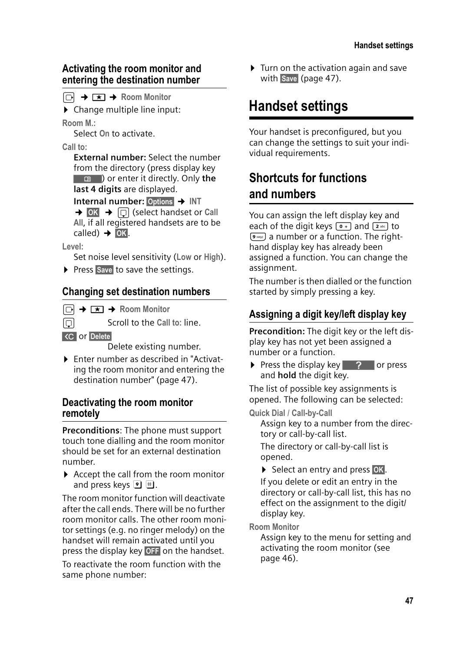### **Activating the room monitor and entering the destination number**

 $\boxed{\odot}$  **→**  $\boxed{\star}$  → Room Monitor

 $\triangleright$  Change multiple line input:

**Room M.:**

Select **On** to activate.

**Call to:**

**External number:** Select the number from the directory (press display key **n** (**n c**) or enter it directly. Only the **last 4 digits** are displayed.

**Internal number:** Options → INT

 $\rightarrow$  **OK**  $\rightarrow$   $\boxed{ }$  (select handset or Call **All**, if all registered handsets are to be  $\text{called)} \rightarrow \text{OK}.$ 

**Level:**

Set noise level sensitivity (**Low** or **High**).

▶ Press Save to save the settings.

# **Changing set destination numbers**

 $\Box \rightarrow \Box \rightarrow$  Room Monitor

**Scroll to the Call to: line.** 

**KC** or Delete

Delete existing number.

▶ Enter number as described in "Activating the room monitor and entering the destination number" (page 47).

### **Deactivating the room monitor remotely**

**Preconditions**: The phone must support touch tone dialling and the room monitor should be set for an external destination number.

 $\blacktriangleright$  Accept the call from the room monitor and press keys  $\mathbf{9} \#$ .

The room monitor function will deactivate after the call ends. There will be no further room monitor calls. The other room monitor settings (e.g. no ringer melody) on the handset will remain activated until you press the display key **OFF** on the handset.

To reactivate the room function with the same phone number:

 $\blacktriangleright$  Turn on the activation again and save with Save (page 47).

# **Handset settings**

Your handset is preconfigured, but you can change the settings to suit your individual requirements.

# **Shortcuts for functions and numbers**

You can assign the left display key and each of the digit keys  $\boxed{\bullet}$  and  $\boxed{\bullet}$  to  $\boxed{\bullet_{\text{max}}}$  a number or a function. The righthand display key has already been assigned a function. You can change the assignment.

The number is then dialled or the function started by simply pressing a key.

# **Assigning a digit key/left display key**

**Precondition:** The digit key or the left display key has not yet been assigned a number or a function.

 $\triangleright$  Press the display key  $\triangleright$  ? or press and **hold** the digit key.

The list of possible key assignments is opened. The following can be selected:

**Quick Dial** / **Call-by-Call**

Assign key to a number from the directory or call-by-call list.

The directory or call-by-call list is opened.

▶ Select an entry and press OK.

If you delete or edit an entry in the directory or call-by-call list, this has no effect on the assignment to the digit/ display key.

**Room Monitor** 

Assign key to the menu for setting and activating the room monitor (see page 46).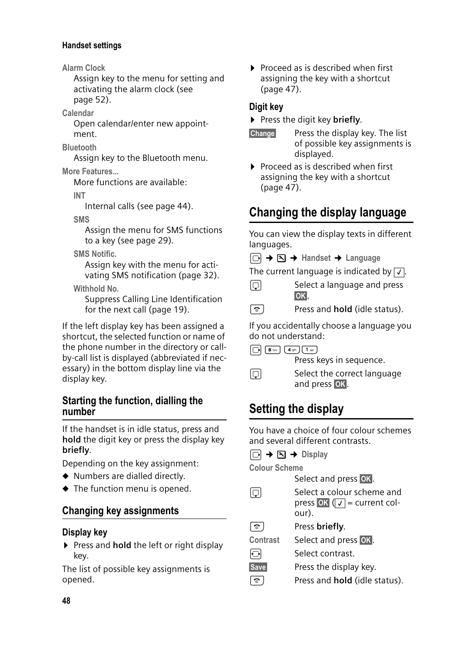#### **Handset settings**

**Alarm Clock** 

Assign key to the menu for setting and activating the alarm clock (see page 52).

**Calendar**

Open calendar/enter new appointment.

**Bluetooth**

Assign key to the Bluetooth menu.

#### **More Features...**

More functions are available:

**INT**

Internal calls (see page 44).

**SMS**

Assign the menu for SMS functions to a key (see page 29).

**SMS Notific.** 

Assign key with the menu for activating SMS notification (page 32).

**Withhold No.** 

Suppress Calling Line Identification for the next call (page 19).

If the left display key has been assigned a shortcut, the selected function or name of the phone number in the directory or callby-call list is displayed (abbreviated if necessary) in the bottom display line via the display key.

#### **Starting the function, dialling the number**

If the handset is in idle status, press and **hold** the digit key or press the display key **briefly**.

Depending on the key assignment:

- $\blacklozenge$  Numbers are dialled directly.
- $\blacklozenge$  The function menu is opened.

## **Changing key assignments**

#### **Display key**

▶ Press and **hold** the left or right display key.

The list of possible key assignments is opened.

 $\triangleright$  Proceed as is described when first assigning the key with a shortcut (page 47).

### **Digit key**

**Press the digit key briefly.** 

- **Change** Press the display key. The list of possible key assignments is displayed.
- $\triangleright$  Proceed as is described when first assigning the key with a shortcut (page 47).

# **Changing the display language**

You can view the display texts in different languages.

 $\Box$  **→**  $\Box$  **→ Handset → Language** 

The current language is indicated by  $\boxed{\checkmark}$ .

- $\Box$  Select a language and press §OK§.
- **a** Press and **hold** (idle status).

If you accidentally choose a language you do not understand:

 $\boxed{)}$   $\boxed{8 \text{ tur}}$   $\boxed{4 \text{ ghi}}$   $\boxed{1 \text{ }\omega}$ 

Press keys in sequence.

select the correct language and press OK.

# **Setting the display**

You have a choice of four colour schemes and several different contrasts.

 $\Box \rightarrow \Box \rightarrow$  Display

**Colour Scheme** 

Select and press **OK**.

- select a colour scheme and press **OK** ( $\sqrt{ }$  = current colour). a Press **briefly**. **Contrast** Select and press OK.  $\Theta$  Select contrast.
- Save Press the display key.
- **a** Press and **hold** (idle status).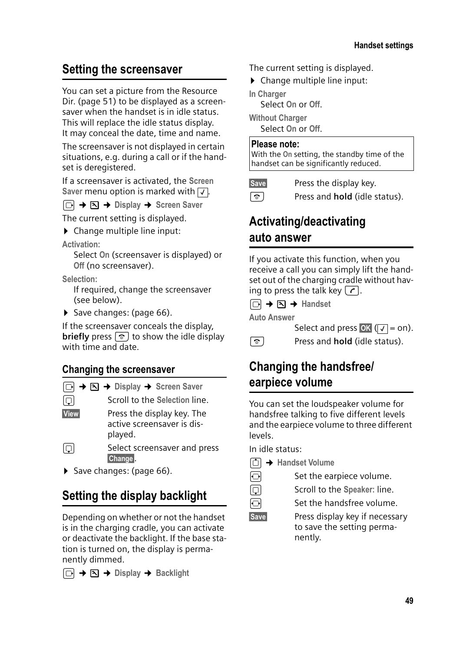# **Setting the screensaver**

You can set a picture from the Resource Dir. (page 51) to be displayed as a screensaver when the handset is in idle status. This will replace the idle status display. It may conceal the date, time and name.

The screensaver is not displayed in certain situations, e.g. during a call or if the handset is deregistered.

If a screensaver is activated, the **Screen**  Saver menu option is marked with  $\sqrt{ }$ .

<sup>v</sup>¢ ¢**Display** ¢**Screen Saver**

The current setting is displayed.

 $\triangleright$  Change multiple line input:

**Activation:**

Select **On** (screensaver is displayed) or **Off** (no screensaver).

**Selection:**

If required, change the screensaver (see below).

 $\triangleright$  Save changes: (page 66).

If the screensaver conceals the display, **briefly** press  $\boxed{\circ}$  to show the idle display with time and date.

# **Changing the screensaver**

 $\boxed{\Box}$  $\rightarrow$  $\boxed{\Delta}$   $\rightarrow$  Display  $\rightarrow$  Screen Saver

**Scroll to the Selection line.** 

View Press the display key. The active screensaver is displayed.

 $\Box$  Select screensaver and press Change<sub></sub>

▶ Save changes: (page 66).

# **Setting the display backlight**

Depending on whether or not the handset is in the charging cradle, you can activate or deactivate the backlight. If the base station is turned on, the display is permanently dimmed.

<sup>v</sup>¢ ¢**Display** ¢**Backlight** 

The current setting is displayed.

 $\triangleright$  Change multiple line input:

**In Charger** Select **On** or **Off**.

**Without Charger**

Select **On** or **Off**.

#### **Please note:**

With the **On** setting, the standby time of the handset can be significantly reduced.

Save Press the display key.

a Press and **hold** (idle status).

# **Activating/deactivating auto answer**

If you activate this function, when you receive a call you can simply lift the handset out of the charging cradle without having to press the talk key  $\lceil \cdot \rceil$ .

 $\Box$   $\rightarrow$   $\Box$   $\rightarrow$  Handset

**Auto Answer**

Select and press OK  $(\sqrt{}) =$  on).

**a** Press and **hold** (idle status).

# **Changing the handsfree/ earpiece volume**

You can set the loudspeaker volume for handsfree talking to five different levels and the earpiece volume to three different levels.

In idle status:

- <sup>t</sup>¢**Handset Volume**
- $\overline{\odot}$  Set the earpiece volume.
- **Scroll to the Speaker: line.**
- $\overline{\odot}$  Set the handsfree volume.

Save Press display key if necessary to save the setting permanently.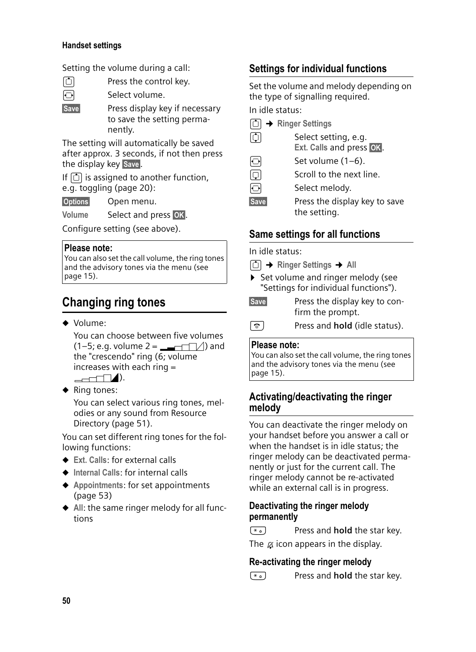#### **Handset settings**

Setting the volume during a call:

Press the control key. Select volume.

Save Press display key if necessary to save the setting permanently.

The setting will automatically be saved after approx. 3 seconds, if not then press the display key Save.

If  $\Box$  is assigned to another function, e.g. toggling (page 20):

§Options§ Open menu.

Volume Select and press **OK**.

Configure setting (see above).

#### **Please note:**

You can also set the call volume, the ring tones and the advisory tones via the menu (see page 15).

# **Changing ring tones**

 $\bullet$  Volume:

You can choose between five volumes  $(1-5; e.g. volume 2 = \nightharpoonup (1-1)$  and the "crescendo" ring (6; volume increases with each ring =  $\rightharpoonup$   $\hspace{1em}$   $\hspace{1em}$   $\hspace{1em}$   $\hspace{1em}$   $\hspace{1em}$   $\hspace{1em}$   $\hspace{1em}$   $\hspace{1em}$   $\hspace{1em}$   $\hspace{1em}$   $\hspace{1em}$   $\hspace{1em}$   $\hspace{1em}$   $\hspace{1em}$   $\hspace{1em}$   $\hspace{1em}$   $\hspace{1em}$   $\hspace{1em}$   $\hspace{1em}$   $\hspace{1em}$   $\hspace{1em}$   $\hs$ 

 $\blacklozenge$  Ring tones:

You can select various ring tones, melodies or any sound from Resource Directory (page 51).

You can set different ring tones for the following functions:

- ◆ Ext. Calls: for external calls
- ◆ Internal Calls: for internal calls
- ◆ Appointments: for set appointments (page 53)
- $\blacklozenge$  All: the same ringer melody for all functions

# **Settings for individual functions**

Set the volume and melody depending on the type of signalling required.

In idle status:

|             | [û] → Ringer Settings                            |
|-------------|--------------------------------------------------|
| IQI         | Select setting, e.g.<br>Ext. Calls and press OK. |
| ЮI          | Set volume $(1-6)$ .                             |
| 问           | Scroll to the next line.                         |
| Ð           | Select melody.                                   |
| <b>Save</b> | Press the display key to save<br>the setting.    |

# **Same settings for all functions**

In idle status:

- <sup>t</sup>¢**Ringer Settings** ¢**All**
- ▶ Set volume and ringer melody (see "Settings for individual functions").
- Save Press the display key to confirm the prompt.
- a Press and **hold** (idle status).

#### **Please note:**

You can also set the call volume, the ring tones and the advisory tones via the menu (see page 15).

### **Activating/deactivating the ringer melody**

You can deactivate the ringer melody on your handset before you answer a call or when the handset is in idle status; the ringer melody can be deactivated permanently or just for the current call. The ringer melody cannot be re-activated while an external call is in progress.

#### **Deactivating the ringer melody permanently**

 $(\overline{a})$  Press and **hold** the star key.

The  $\alpha$  icon appears in the display.

## **Re-activating the ringer melody**

 $(\overline{a})$  Press and **hold** the star key.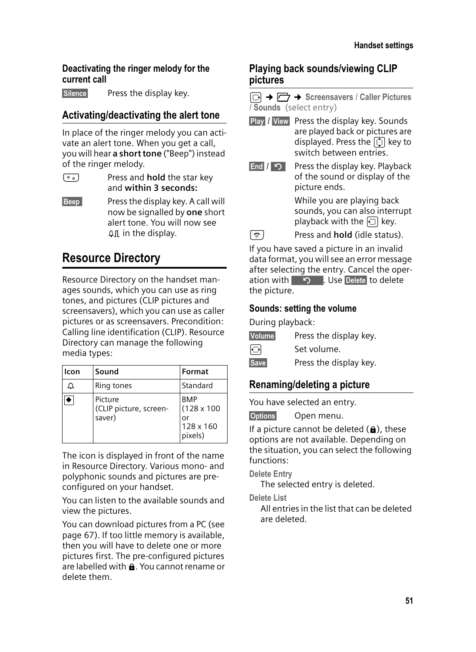#### **Deactivating the ringer melody for the current call**

Silence Press the display key.

# **Activating/deactivating the alert tone**

In place of the ringer melody you can activate an alert tone. When you get a call, you will hear **a short tone** ("Beep") instead of the ringer melody.

- $\left(\begin{array}{cc} \ast & \ast \\ \end{array}\right)$  Press and **hold** the star key and **within 3 seconds:**
- **Beep** Press the display key. A call will now be signalled by **one** short alert tone. You will now see  $\Delta \Pi$  in the display.

# **Resource Directory**

Resource Directory on the handset manages sounds, which you can use as ring tones, and pictures (CLIP pictures and screensavers), which you can use as caller pictures or as screensavers. Precondition: Calling line identification (CLIP). Resource Directory can manage the following media types:

| Icon | Sound                                       | Format                                                         |
|------|---------------------------------------------|----------------------------------------------------------------|
| ▵    | Ring tones                                  | Standard                                                       |
|      | Picture<br>(CLIP picture, screen-<br>saver) | <b>BMP</b><br>$(128 \times 100)$<br>or<br>128 x 160<br>pixels) |

The icon is displayed in front of the name in Resource Directory. Various mono- and polyphonic sounds and pictures are preconfigured on your handset.

You can listen to the available sounds and view the pictures.

You can download pictures from a PC (see page 67). If too little memory is available, then you will have to delete one or more pictures first. The pre-configured pictures are labelled with  $\mathbf{\hat{n}}$ . You cannot rename or delete them.

## **Playing back sounds/viewing CLIP pictures**

<sup>v</sup>¢Ï¢**Screensavers** / **Caller Pictures**  / **Sounds** (select entry)

- Play / View Press the display key. Sounds are played back or pictures are displayed. Press the  $\Box$  key to switch between entries.
- $\boxed{\mathsf{End}$  /  $\boxed{\mathsf{S}}$  Press the display key. Playback of the sound or display of the picture ends.

While you are playing back sounds, you can also interrupt playback with the  $\Box$  key.

**a** Press and **hold** (idle status).

If you have saved a picture in an invalid data format, you will see an error message after selecting the entry. Cancel the operation with  $\Box$  Use Delete to delete the picture.

### **Sounds: setting the volume**

During playback:

Volume Press the display key.

 $\overline{\Theta}$  Set volume.

Save Press the display key.

## **Renaming/deleting a picture**

You have selected an entry.

§Options§ Open menu.

If a picture cannot be deleted  $(\oplus)$ , these options are not available. Depending on the situation, you can select the following functions:

**Delete Entry** 

The selected entry is deleted.

**Delete List** 

All entries in the list that can be deleted are deleted.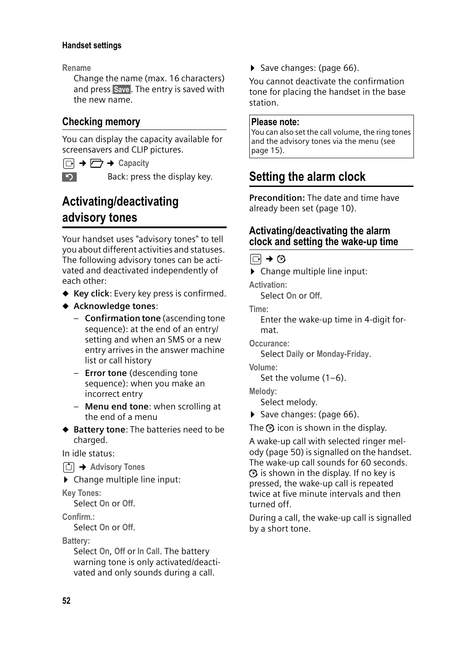#### **Handset settings**

**Rename**

Change the name (max. 16 characters) and press Save. The entry is saved with the new name.

## **Checking memory**

You can display the capacity available for screensavers and CLIP pictures.

 $\Box \rightarrow \Box \rightarrow$  Capacity

Back: press the display key.

# **Activating/deactivating advisory tones**

Your handset uses "advisory tones" to tell you about different activities and statuses. The following advisory tones can be activated and deactivated independently of each other:

- ◆ Key click: Every key press is confirmed.
- ◆ Acknowledge tones:
	- **Confirmation tone** (ascending tone sequence): at the end of an entry/ setting and when an SMS or a new entry arrives in the answer machine list or call history
	- **Error tone** (descending tone sequence): when you make an incorrect entry
	- **Menu end tone**: when scrolling at the end of a menu
- ◆ Battery tone: The batteries need to be charged.

In idle status:

- <sup>t</sup>¢**Advisory Tones**
- $\triangleright$  Change multiple line input:

**Key Tones:** 

Select **On** or **Off**.

**Confirm.:**

Select **On** or **Off**.

**Battery:**

Select **On**, **Off** or **In Call**. The battery warning tone is only activated/deactivated and only sounds during a call.

▶ Save changes: (page 66).

You cannot deactivate the confirmation tone for placing the handset in the base station.

#### **Please note:**

You can also set the call volume, the ring tones and the advisory tones via the menu (see page 15).

# **Setting the alarm clock**

**Precondition:** The date and time have already been set (page 10).

### **Activating/deactivating the alarm clock and setting the wake-up time**

 $\boxdot$  +  $\odot$ 

 $\triangleright$  Change multiple line input:

**Activation:** Select **On** or **Off**.

**Time:** 

Enter the wake-up time in 4-digit format.

**Occurance:**

Select **Daily** or **Monday-Friday**.

**Volume:** 

Set the volume (1–6).

**Melody:** 

Select melody.

 $\triangleright$  Save changes: (page 66).

The  $\odot$  icon is shown in the display.

A wake-up call with selected ringer melody (page 50) is signalled on the handset. The wake-up call sounds for 60 seconds.  $\Theta$  is shown in the display. If no key is pressed, the wake-up call is repeated twice at five minute intervals and then turned off.

During a call, the wake-up call is signalled by a short tone.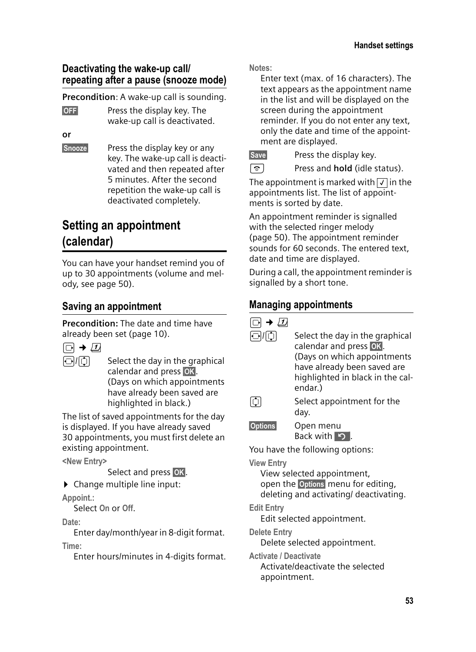## **Deactivating the wake-up call/ repeating after a pause (snooze mode)**

**Precondition**: A wake-up call is sounding.

**OFF** Press the display key. The wake-up call is deactivated.

**or**

§Snooze§ Press the display key or any key. The wake-up call is deactivated and then repeated after 5 minutes. After the second repetition the wake-up call is deactivated completely.

# **Setting an appointment (calendar)**

You can have your handset remind you of up to 30 appointments (volume and melody, see page 50).

# **Saving an appointment**

**Precondition:** The date and time have already been set (page 10).



 $\Box/\Box$  Select the day in the graphical calendar and press OK. (Days on which appointments have already been saved are highlighted in black.)

The list of saved appointments for the day is displayed. If you have already saved 30 appointments, you must first delete an existing appointment.

**<New Entry>** 

Select and press OK.

 $\blacktriangleright$  Change multiple line input:

**Appoint.:**

Select **On** or **Off**.

**Date:**

Enter day/month/year in 8-digit format. **Time:** 

Enter hours/minutes in 4-digits format.

**Notes:**

Enter text (max. of 16 characters). The text appears as the appointment name in the list and will be displayed on the screen during the appointment reminder. If you do not enter any text, only the date and time of the appointment are displayed.

Save Press the display key.

**a** Press and **hold** (idle status).

The appointment is marked with  $\sqrt{\ }$  in the appointments list. The list of appointments is sorted by date.

An appointment reminder is signalled with the selected ringer melody (page 50). The appointment reminder sounds for 60 seconds. The entered text, date and time are displayed.

During a call, the appointment reminder is signalled by a short tone.

# **Managing appointments**

| $\rightarrow$ 11  |                                                                                                                                                                        |
|-------------------|------------------------------------------------------------------------------------------------------------------------------------------------------------------------|
| 回顺                | Select the day in the graphical<br>calendar and press OK.<br>(Days on which appointments<br>have already been saved are<br>highlighted in black in the cal-<br>endar.) |
| $ \mathbb{O} $    | Select appointment for the<br>day.                                                                                                                                     |
| <b>Options</b>    | Open menu<br>Back with 9.                                                                                                                                              |
|                   | You have the following options:                                                                                                                                        |
| <b>View Entry</b> | View selected appointment,<br>open the Options menu for editing,<br>deleting and activating/ deactivating.                                                             |
|                   |                                                                                                                                                                        |

**Edit Entry** 

Edit selected appointment.

**Delete Entry** 

Delete selected appointment.

**Activate / Deactivate** Activate/deactivate the selected appointment.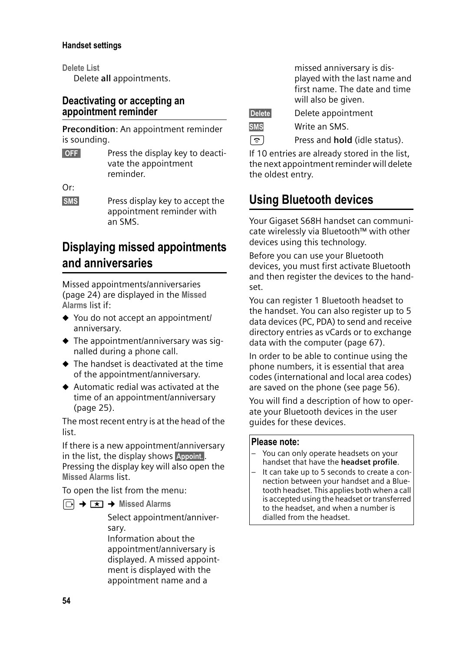#### **Handset settings**

**Delete List**

Delete **all** appointments.

## **Deactivating or accepting an appointment reminder**

**Precondition**: An appointment reminder is sounding.

**SOFF** Press the display key to deactivate the appointment reminder.

 $Or$ 

**SMS** Press display key to accept the appointment reminder with an SMS.

# **Displaying missed appointments and anniversaries**

Missed appointments/anniversaries (page 24) are displayed in the **Missed Alarms** list if:

- $\blacklozenge$  You do not accept an appointment/ anniversary.
- $\triangle$  The appointment/anniversary was signalled during a phone call.
- $\triangle$  The handset is deactivated at the time of the appointment/anniversary.
- $\blacklozenge$  Automatic redial was activated at the time of an appointment/anniversary (page 25).

The most recent entry is at the head of the list.

If there is a new appointment/anniversary in the list, the display shows Appoint. Pressing the display key will also open the **Missed Alarms** list.

To open the list from the menu:

 $\boxed{\odot}$  **→**  $\boxed{\times}$  **→ Missed Alarms** 

Select appointment/anniversary.

Information about the appointment/anniversary is displayed. A missed appointment is displayed with the appointment name and a

missed anniversary is displayed with the last name and first name. The date and time will also be given.

Delete Delete appointment

SMS Write an SMS.

**a** Press and **hold** (idle status).

If 10 entries are already stored in the list, the next appointment reminder will delete the oldest entry.

# **Using Bluetooth devices**

Your Gigaset S68H handset can communicate wirelessly via Bluetooth™ with other devices using this technology.

Before you can use your Bluetooth devices, you must first activate Bluetooth and then register the devices to the handset.

You can register 1 Bluetooth headset to the handset. You can also register up to 5 data devices (PC, PDA) to send and receive directory entries as vCards or to exchange data with the computer (page 67).

In order to be able to continue using the phone numbers, it is essential that area codes (international and local area codes) are saved on the phone (see page 56).

You will find a description of how to operate your Bluetooth devices in the user guides for these devices.

#### **Please note:**

- You can only operate headsets on your handset that have the **headset profile**.
- It can take up to 5 seconds to create a connection between your handset and a Bluetooth headset. This applies both when a call is accepted using the headset or transferred to the headset, and when a number is dialled from the headset.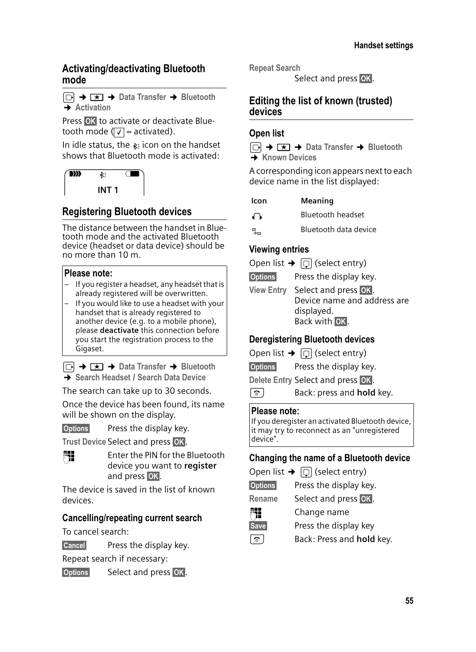#### **Activating/deactivating Bluetooth mode**

<sup>v</sup>¢í¢**Data Transfer** ¢**Bluetooth**  $\overline{+}$  Activation

Press OK to activate or deactivate Bluetooth mode ( $\sqrt{ }$  = activated).

In idle status, the  $*$  icon on the handset shows that Bluetooth mode is activated:



# **Registering Bluetooth devices**

The distance between the handset in Bluetooth mode and the activated Bluetooth device (headset or data device) should be no more than 10 m.

#### **Please note:**

- If you register a headset, any headset that is already registered will be overwritten.
- If you would like to use a headset with your handset that is already registered to another device (e.g. to a mobile phone), please **deactivate** this connection before you start the registration process to the Gigaset.

 $\Box$  **→**  $\Box$  → Data Transfer → Bluetooth ¢**Search Headset** / **Search Data Device**

The search can take up to 30 seconds.

Once the device has been found, its name will be shown on the display.

**Options** Press the display key.

Trust Device Select and press **OK**.



**↑↑ Enter the PIN for the Bluetooth** device you want to **register** and press **OK**.

The device is saved in the list of known devices.

#### **Cancelling/repeating current search**

To cancel search:

Cancel Press the display key.

Repeat search if necessary:

**Options** Select and press OK.

**Repeat Search**

Select and press OK.

### **Editing the list of known (trusted) devices**

#### **Open list**

<sup>v</sup>¢í¢**Data Transfer** ¢**Bluetooth**  ¢**Known Devices**

A corresponding icon appears next to each device name in the list displayed:

- **Icon Meaning**
- **o Bluetooth headset**
- **Bluetooth data device**

### **Viewing entries**

- Open list  $\rightarrow$   $\Box$  (select entry)
- **Options** Press the display key.
- View Entry Select and press **©K**. Device name and address are displayed. Back with OK.

## **Deregistering Bluetooth devices**

- Open list  $\rightarrow$   $\Box$  (select entry)
- **Options** Press the display key.
- **Delete Entry Select and press OK**.
- a Back: press and **hold** key.

#### **Please note:**

If you deregister an activated Bluetooth device, it may try to reconnect as an "unregistered device".

#### **Changing the name of a Bluetooth device**

Open list  $\rightarrow$   $\Box$  (select entry) **Options** Press the display key. Rename Select and press **OK**. **Fill** Change name Save Press the display key **a** Back: Press and **hold** key.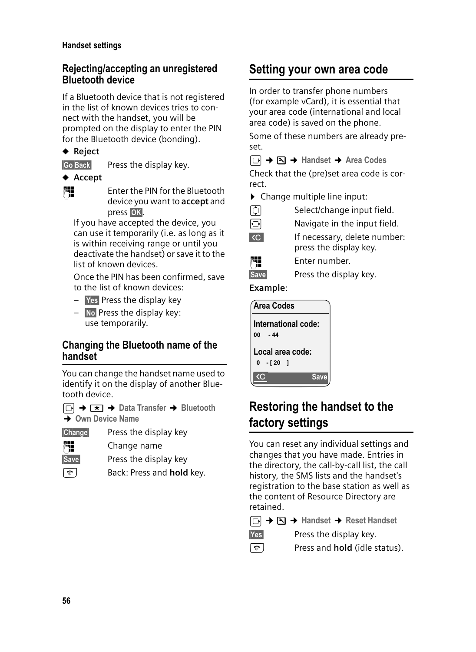#### **Handset settings**

### **Rejecting/accepting an unregistered Bluetooth device**

If a Bluetooth device that is not registered in the list of known devices tries to connect with the handset, you will be prompted on the display to enter the PIN for the Bluetooth device (bonding).

## **← Reject**

Go Back Press the display key.

#### **← Accept**

~ Enter the PIN for the Bluetooth device you want to **accept** and press OK.

If you have accepted the device, you can use it temporarily (i.e. as long as it is within receiving range or until you deactivate the handset) or save it to the list of known devices.

Once the PIN has been confirmed, save to the list of known devices:

- $-$  **Yes** Press the display key
- $\overline{\phantom{a}}$  No Press the display key: use temporarily.

### **Changing the Bluetooth name of the handset**

You can change the handset name used to identify it on the display of another Bluetooth device.

- <sup>v</sup>¢í¢**Data Transfer** ¢**Bluetooth** ¢**Own Device Name**
- §Change§ Press the display key
- **Fill** Change name
- Save Press the display key
- **a** Back: Press and **hold** key.

# **Setting your own area code**

In order to transfer phone numbers (for example vCard), it is essential that your area code (international and local area code) is saved on the phone.

Some of these numbers are already preset.

<sup>v</sup>¢ ¢**Handset** ¢**Area Codes** 

Check that the (pre)set area code is correct.

▶ Change multiple line input:<br>  $\begin{array}{cc} \boxed{\downarrow} & \text{Select/change input} \end{array}$ 

| J<br>I |  |  |
|--------|--|--|
|        |  |  |

- Select/change input field.
- $\Theta$  Navigate in the input field.
- $\overline{AC}$  If necessary, delete number: press the display key.



~ Enter number.



**Example**:

| <b>Area Codes</b>   |  |  |             |  |  |  |
|---------------------|--|--|-------------|--|--|--|
| International code: |  |  |             |  |  |  |
| $00 - 44$           |  |  |             |  |  |  |
| Local area code:    |  |  |             |  |  |  |
| $0 - 120$ 1         |  |  |             |  |  |  |
|                     |  |  | <b>Save</b> |  |  |  |

# **Restoring the handset to the factory settings**

You can reset any individual settings and changes that you have made. Entries in the directory, the call-by-call list, the call history, the SMS lists and the handset's registration to the base station as well as the content of Resource Directory are retained.

<sup>v</sup>¢ ¢**Handset** ¢**Reset Handset**

**Fress the display key.** Press the display key.

**a** Press and **hold** (idle status).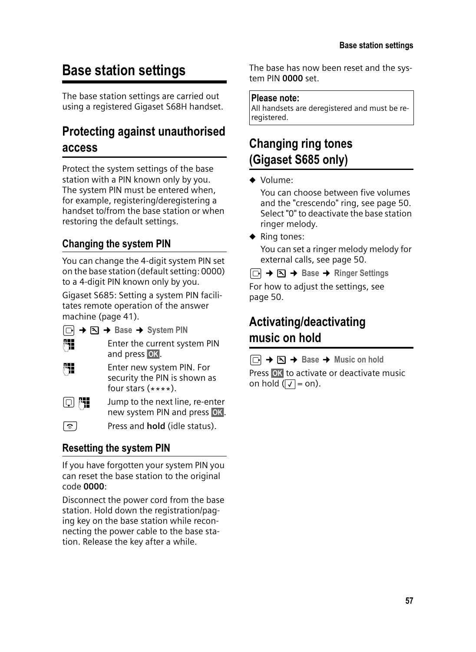# **Base station settings**

The base station settings are carried out using a registered Gigaset S68H handset.

# **Protecting against unauthorised access**

Protect the system settings of the base station with a PIN known only by you. The system PIN must be entered when, for example, registering/deregistering a handset to/from the base station or when restoring the default settings.

# **Changing the system PIN**

You can change the 4-digit system PIN set on the base station (default setting: 0000) to a 4-digit PIN known only by you.

Gigaset S685: Setting a system PIN facilitates remote operation of the answer machine (page 41).

<sup>v</sup>¢ ¢**Base**¢**System PIN** 



~ Enter the current system PIN and press OK.

~ Enter new system PIN. For security the PIN is shown as four stars  $(****$ ).

 $\boxed{\Box}$   $\begin{bmatrix} \blacksquare \blacksquare \blacksquare \end{bmatrix}$  Jump to the next line, re-enter new system PIN and press OK.

a Press and **hold** (idle status).

# **Resetting the system PIN**

If you have forgotten your system PIN you can reset the base station to the original code **0000**:

Disconnect the power cord from the base station. Hold down the registration/paging key on the base station while reconnecting the power cable to the base station. Release the key after a while.

The base has now been reset and the system PIN **0000** set.

### **Please note:**

All handsets are deregistered and must be reregistered.

# **Changing ring tones (Gigaset S685 only)**

#### $\blacklozenge$  Volume:

You can choose between five volumes and the "crescendo" ring, see page 50. Select "0" to deactivate the base station ringer melody.

 $\blacklozenge$  Ring tones:

You can set a ringer melody melody for external calls, see page 50.

<sup>v</sup>¢ ¢**Base**¢**Ringer Settings** For how to adjust the settings, see page 50.

# **Activating/deactivating music on hold**

 $\Box$  $\rightarrow$  $\Box$   $\rightarrow$  Base  $\rightarrow$  Music on hold Press OK to activate or deactivate music on hold  $(\sqrt{7})$  = on).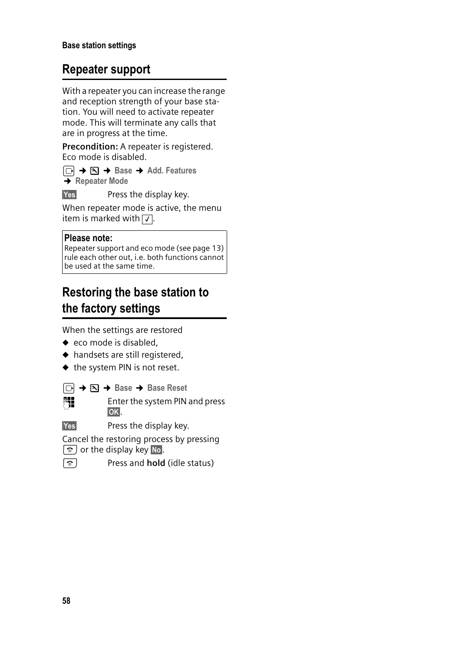# **Repeater support**

With a repeater you can increase the range and reception strength of your base station. You will need to activate repeater mode. This will terminate any calls that are in progress at the time.

**Precondition:** A repeater is registered. Eco mode is disabled.

<sup>v</sup>¢ ¢**Base**¢**Add. Features**   $→$  **Repeater Mode** 

Yes Press the display key.

When repeater mode is active, the menu item is marked with  $\sqrt{ }$ .

#### **Please note:**

Repeater support and eco mode (see page 13) rule each other out, i.e. both functions cannot be used at the same time.

# **Restoring the base station to the factory settings**

When the settings are restored

- $\bullet$  eco mode is disabled,
- $\blacklozenge$  handsets are still registered,
- $\blacklozenge$  the system PIN is not reset.

<sup>v</sup>¢ ¢**Base**¢**Base Reset**  FI Enter the system PIN and press §OK§.

Yes Press the display key.

Cancel the restoring process by pressing  $\lceil \widehat{\infty} \rceil$  or the display key  $\lceil \widehat{\infty} \rceil$ .

**a** Press and **hold** (idle status)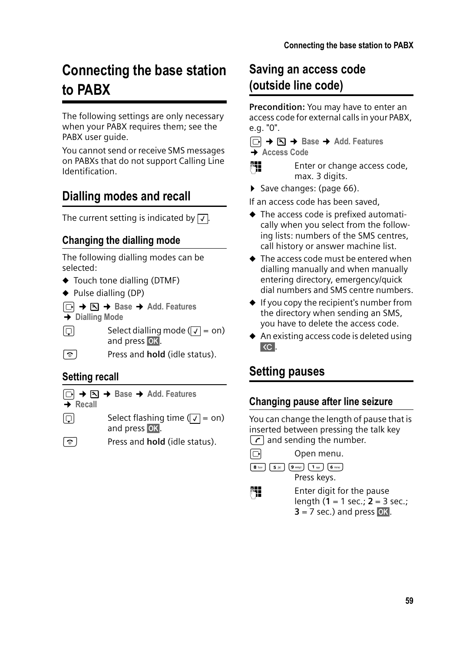# **Connecting the base station to PABX**

The following settings are only necessary when your PABX requires them; see the PABX user guide.

You cannot send or receive SMS messages on PABXs that do not support Calling Line Identification.

# **Dialling modes and recall**

The current setting is indicated by  $\boxed{\checkmark}$ .

# **Changing the dialling mode**

The following dialling modes can be selected:

- $\blacklozenge$  Touch tone dialling (DTMF)
- $\blacklozenge$  Pulse dialling (DP)
- <sup>v</sup>¢ ¢**Base**¢**Add. Features**
- ¢**Dialling Mode**
- $\boxed{\Box}$  Select dialling mode  $(\boxed{\lor} = \text{on})$ and press **OK**.
- a Press and **hold** (idle status).

# **Setting recall**

- <sup>v</sup>¢ ¢**Base**¢**Add. Features → Recall**
- $\boxed{\Box}$  Select flashing time  $(\boxed{\lor} = \text{on})$ and press OK.
- **a** Press and **hold** (idle status).

# **Saving an access code (outside line code)**

**Precondition:** You may have to enter an access code for external calls in your PABX, e.g. "0".

<sup>v</sup>¢ ¢**Base**¢**Add. Features** 

¢**Access Code** 

Enter or change access code, max. 3 digits.

▶ Save changes: (page 66).

If an access code has been saved,

- $\blacklozenge$  The access code is prefixed automatically when you select from the following lists: numbers of the SMS centres, call history or answer machine list.
- $\blacklozenge$  The access code must be entered when dialling manually and when manually entering directory, emergency/quick dial numbers and SMS centre numbers.
- $\bullet$  If you copy the recipient's number from the directory when sending an SMS, you have to delete the access code.
- $\triangle$  An existing access code is deleted using  $\overline{AC}$ .

# **Setting pauses**

# **Changing pause after line seizure**

You can change the length of pause that is inserted between pressing the talk key  $\lceil \cdot \rceil$  and sending the number.

 $\Box$  Open menu.

 $\begin{bmatrix} 8 \text{ tur} \\ 5 \text{ jkl} \end{bmatrix} \begin{bmatrix} 9 \text{ way} \\ 9 \text{ way} \end{bmatrix} \begin{bmatrix} 1 \text{ so } 6 \text{ mm} \end{bmatrix}$ Press keys.

- 
- **Fill** Enter digit for the pause length (**1** = 1 sec.; **2** = 3 sec.;  $3 = 7$  sec.) and press  $\overline{OK}$ .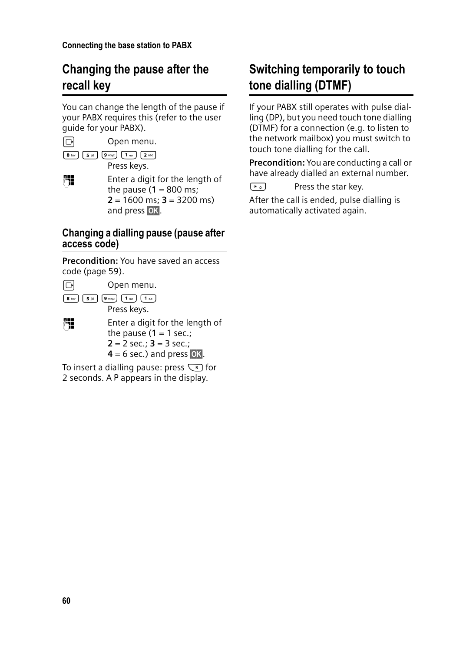# **Changing the pause after the recall key**

You can change the length of the pause if your PABX requires this (refer to the user guide for your PABX).

 $\Box$  Open menu.  $\begin{array}{|c|c|c|c|}\hline \mathbf{8} & \text{tuv} & \mathbf{5} & \text{jkl} \\\hline \end{array} \begin{array}{|c|c|c|c|}\hline \mathbf{9} & \text{woyz} & \mathbf{1} & \text{a} & \mathbf{2} & \text{abc} \\\hline \end{array}$ Press keys.

FI Enter a digit for the length of the pause  $(1 = 800 \text{ ms})$ **2** = 1600 ms; **3** = 3200 ms) and press **OK**.

### **Changing a dialling pause (pause after access code)**

**Precondition:** You have saved an access code (page 59).

| Open menu.                                                                                                                        |
|-----------------------------------------------------------------------------------------------------------------------------------|
| 8 tuv     5 jkl   [9 wxyz ] [ 1 as ]<br>أ مه 1]<br>Press keys.                                                                    |
| Enter a digit for the length of<br>the pause $(1 = 1 \text{ sec.})$<br>$2 = 2$ sec.; $3 = 3$ sec.;<br>$4 = 6$ sec.) and press OK. |

To insert a dialling pause: press  $\overline{\mathbb{R}}$  for 2 seconds. A P appears in the display.

# **Switching temporarily to touch tone dialling (DTMF)**

If your PABX still operates with pulse dialling (DP), but you need touch tone dialling (DTMF) for a connection (e.g. to listen to the network mailbox) you must switch to touch tone dialling for the call.

**Precondition:** You are conducting a call or have already dialled an external number.

 $\left(\begin{matrix} \ast & 0 \\ 0 & \ast \end{matrix}\right)$  Press the star key.

After the call is ended, pulse dialling is automatically activated again.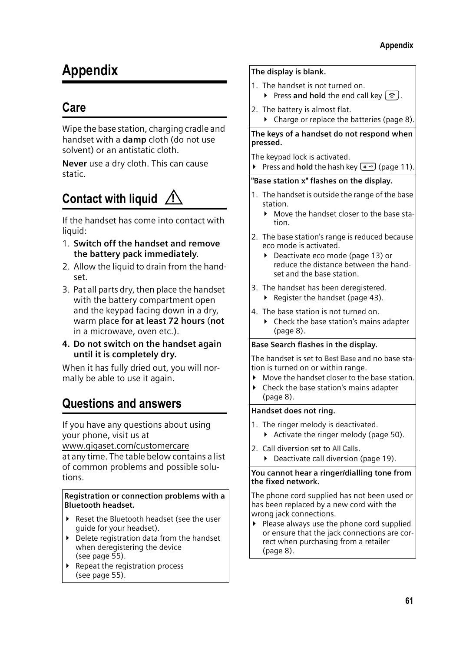# **Appendix**

# **Care**

Wipe the base station, charging cradle and handset with a **damp** cloth (do not use solvent) or an antistatic cloth.

**Never** use a dry cloth. This can cause static.

#### **Contact with liquid !**

If the handset has come into contact with liquid:

- 1. **Switch off the handset and remove the battery pack immediately**.
- 2. Allow the liquid to drain from the handset.
- 3. Pat all parts dry, then place the handset with the battery compartment open and the keypad facing down in a dry, warm place **for at least 72 hours** (**not** in a microwave, oven etc.).
- **4. Do not switch on the handset again until it is completely dry.**

When it has fully dried out, you will normally be able to use it again.

# **Questions and answers**

If you have any questions about using your phone, visit us at www.gigaset.com/customercare

at any time. The table below contains a list of common problems and possible solutions.

#### **Registration or connection problems with a Bluetooth headset.**

- $\blacktriangleright$  Reset the Bluetooth headset (see the user guide for your headset).
- $\blacktriangleright$  Delete registration data from the handset when deregistering the device (see page 55).
- $\blacktriangleright$  Repeat the registration process (see page 55).

#### **The display is blank.**

- 1. The handset is not turned on.
	- **Exercise 2 Press and hold** the end call key  $\sqrt{2}$ .
- 2. The battery is almost flat.
	- ▶ Charge or replace the batteries (page 8).

**The keys of a handset do not respond when pressed.**

The keypad lock is activated.

**►** Press and **hold** the hash key  $(\pm \infty)$  (page 11).

**"Base station x" flashes on the display.**

- 1. The handset is outside the range of the base station.
	- $\blacktriangleright$  Move the handset closer to the base station.
- 2. The base station's range is reduced because eco mode is activated.
	- ▶ Deactivate eco mode (page 13) or reduce the distance between the handset and the base station.
- 3. The handset has been deregistered.  $\blacktriangleright$  Register the handset (page 43).
- 4. The base station is not turned on.
	- $\blacktriangleright$  Check the base station's mains adapter (page 8).

#### **Base Search flashes in the display.**

The handset is set to **Best Base** and no base station is turned on or within range.

- Move the handset closer to the base station.
- $\blacktriangleright$  Check the base station's mains adapter (page 8).

#### **Handset does not ring.**

- 1. The ringer melody is deactivated.
	- $\blacktriangleright$  Activate the ringer melody (page 50).
- 2. Call diversion set to **All Calls**.
	- ▶ Deactivate call diversion (page 19).

#### **You cannot hear a ringer/dialling tone from the fixed network.**

The phone cord supplied has not been used or has been replaced by a new cord with the wrong jack connections.

 $\blacktriangleright$  Please always use the phone cord supplied or ensure that the jack connections are correct when purchasing from a retailer (page 8).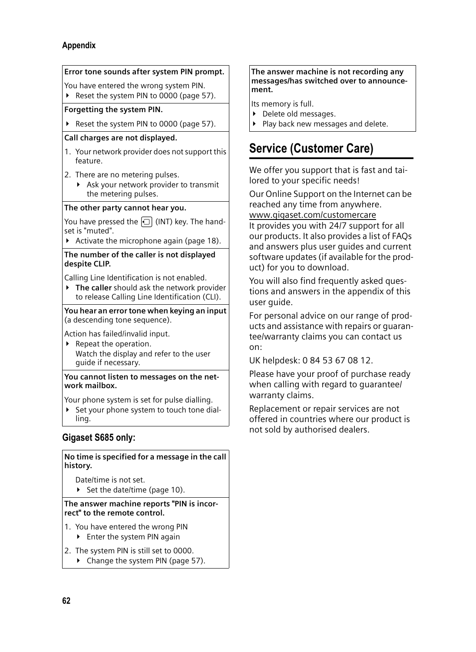#### **Appendix**



#### **Gigaset S685 only:**

**No time is specified for a message in the call history.**

Date/time is not set.

 $\blacktriangleright$  Set the date/time (page 10).

**The answer machine reports "PIN is incorrect" to the remote control.**

- 1. You have entered the wrong PIN
	- $\blacktriangleright$  Enter the system PIN again
- 2. The system PIN is still set to 0000.
	- $\blacktriangleright$  Change the system PIN (page 57).

#### **The answer machine is not recording any messages/has switched over to announcement.**

Its memory is full.

- ▶ Delete old messages.
- Play back new messages and delete.

# **Service (Customer Care)**

We offer you support that is fast and tailored to your specific needs!

Our Online Support on the Internet can be reached any time from anywhere. www.gigaset.com/customercare It provides you with 24/7 support for all our products. It also provides a list of FAQs

and answers plus user guides and current software updates (if available for the product) for you to download.

You will also find frequently asked questions and answers in the appendix of this user quide.

For personal advice on our range of products and assistance with repairs or guarantee/warranty claims you can contact us on:

UK helpdesk: 0 84 53 67 08 12.

Please have your proof of purchase ready when calling with regard to guarantee/ warranty claims.

Replacement or repair services are not offered in countries where our product is not sold by authorised dealers.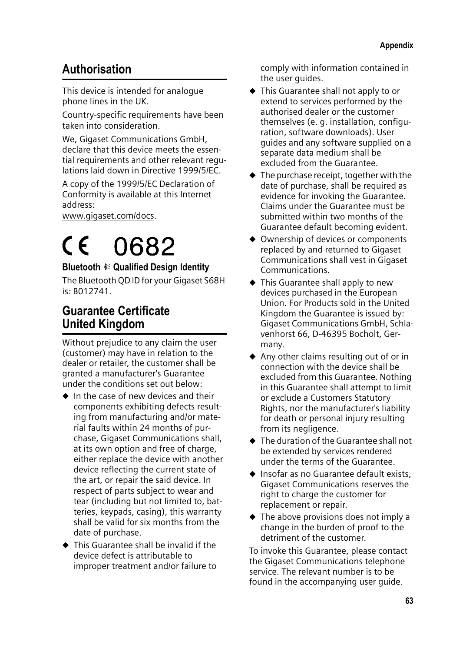# **Authorisation**

This device is intended for analogue phone lines in the UK.

Country-specific requirements have been taken into consideration.

We, Gigaset Communications GmbH, declare that this device meets the essential requirements and other relevant regulations laid down in Directive 1999/5/EC.

A copy of the 1999/5/EC Declaration of Conformity is available at this Internet address:

www.gigaset.com/docs.

# 0682  $\epsilon$

### **Bluetooth** ò **Qualified Design Identity**

The Bluetooth QD ID for your Gigaset S68H is: B012741.

# **Guarantee Certificate United Kingdom**

Without prejudice to any claim the user (customer) may have in relation to the dealer or retailer, the customer shall be granted a manufacturer's Guarantee under the conditions set out below:

- $\bullet$  In the case of new devices and their components exhibiting defects resulting from manufacturing and/or material faults within 24 months of purchase, Gigaset Communications shall, at its own option and free of charge, either replace the device with another device reflecting the current state of the art, or repair the said device. In respect of parts subject to wear and tear (including but not limited to, batteries, keypads, casing), this warranty shall be valid for six months from the date of purchase.
- $\blacklozenge$  This Guarantee shall be invalid if the device defect is attributable to improper treatment and/or failure to

comply with information contained in the user guides.

- $\blacklozenge$  This Guarantee shall not apply to or extend to services performed by the authorised dealer or the customer themselves (e. g. installation, configuration, software downloads). User guides and any software supplied on a separate data medium shall be excluded from the Guarantee.
- $\blacklozenge$  The purchase receipt, together with the date of purchase, shall be required as evidence for invoking the Guarantee. Claims under the Guarantee must be submitted within two months of the Guarantee default becoming evident.
- $\triangle$  Ownership of devices or components replaced by and returned to Gigaset Communications shall vest in Gigaset Communications.
- $\blacklozenge$  This Guarantee shall apply to new devices purchased in the European Union. For Products sold in the United Kingdom the Guarantee is issued by: Gigaset Communications GmbH, Schlavenhorst 66, D-46395 Bocholt, Germany.
- $\triangle$  Any other claims resulting out of or in connection with the device shall be excluded from this Guarantee. Nothing in this Guarantee shall attempt to limit or exclude a Customers Statutory Rights, nor the manufacturer's liability for death or personal injury resulting from its negligence.
- $\blacklozenge$  The duration of the Guarantee shall not be extended by services rendered under the terms of the Guarantee.
- $\triangle$  Insofar as no Guarantee default exists, Gigaset Communications reserves the right to charge the customer for replacement or repair.
- $\blacklozenge$  The above provisions does not imply a change in the burden of proof to the detriment of the customer.

To invoke this Guarantee, please contact the Gigaset Communications telephone service. The relevant number is to be found in the accompanying user guide.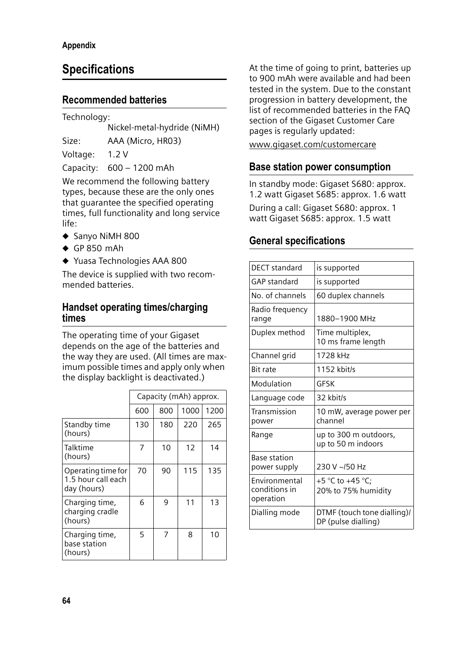# **Specifications**

## **Recommended batteries**

Technology:

Nickel-metal-hydride (NiMH)

Size: AAA (Micro, HR03)

Voltage: 1.2 V

Capacity: 600 – 1200 mAh

We recommend the following battery types, because these are the only ones that guarantee the specified operating times, full functionality and long service life:

- $\triangle$  Sanyo NiMH 800
- $\triangleleft$  GP 850 mAh
- ◆ Yuasa Technologies AAA 800

The device is supplied with two recommended batteries.

### **Handset operating times/charging times**

The operating time of your Gigaset depends on the age of the batteries and the way they are used. (All times are maximum possible times and apply only when the display backlight is deactivated.)

|                                                         | Capacity (mAh) approx. |     |      |      |  |  |
|---------------------------------------------------------|------------------------|-----|------|------|--|--|
|                                                         | 600                    | 800 | 1000 | 1200 |  |  |
| Standby time<br>(hours)                                 | 130                    | 180 | 220  | 265  |  |  |
| Talktime<br>(hours)                                     | 7                      | 10  | 12   | 14   |  |  |
| Operating time for<br>1.5 hour call each<br>day (hours) | 70                     | 90  | 115  | 135  |  |  |
| Charging time,<br>charging cradle<br>(hours)            | 6                      | 9   | 11   | 13   |  |  |
| Charging time,<br>base station<br>(hours)               | 5                      |     | 8    | 10   |  |  |

At the time of going to print, batteries up to 900 mAh were available and had been tested in the system. Due to the constant progression in battery development, the list of recommended batteries in the FAQ section of the Gigaset Customer Care pages is regularly updated:

www.gigaset.com/customercare

# **Base station power consumption**

In standby mode: Gigaset S680: approx. 1.2 watt Gigaset S685: approx. 1.6 watt

During a call: Gigaset S680: approx. 1 watt Gigaset S685: approx. 1.5 watt

# **General specifications**

| DFCT standard                               | is supported                                       |
|---------------------------------------------|----------------------------------------------------|
| <b>GAP</b> standard                         | is supported                                       |
| No. of channels                             | 60 duplex channels                                 |
| Radio frequency<br>range                    | 1880-1900 MHz                                      |
| Duplex method                               | Time multiplex,<br>10 ms frame length              |
| Channel grid                                | 1728 kHz                                           |
| <b>Bit rate</b>                             | 1152 kbit/s                                        |
| Modulation                                  | GFSK                                               |
| Language code                               | 32 khit/s                                          |
| Transmission<br>power                       | 10 mW, average power per<br>channel                |
| Range                                       | up to 300 m outdoors,<br>up to 50 m indoors        |
| <b>Base station</b><br>power supply         | 230 V ~/50 Hz                                      |
| Environmental<br>conditions in<br>operation | +5 °C to +45 °C:<br>20% to 75% humidity            |
| Dialling mode                               | DTMF (touch tone dialling)/<br>DP (pulse dialling) |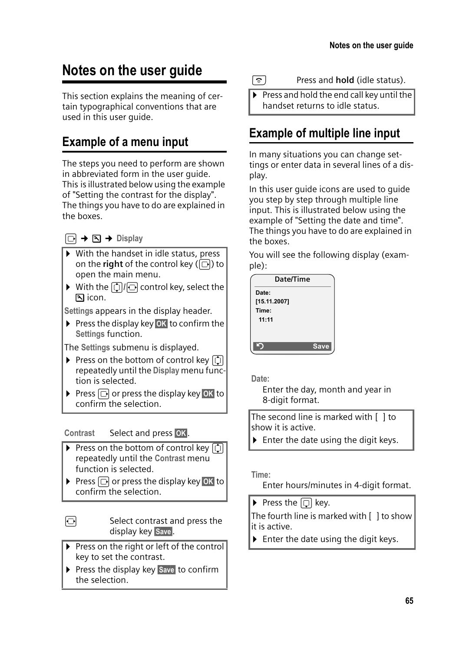# **Notes on the user guide**

This section explains the meaning of certain typographical conventions that are used in this user guide.

# **Example of a menu input**

The steps you need to perform are shown in abbreviated form in the user guide. This is illustrated below using the example of "Setting the contrast for the display". The things you have to do are explained in the boxes.

 $\Box \rightarrow \Box \rightarrow$  Display

- $\triangleright$  With the handset in idle status, press on the **right** of the control key ( $\boxed{\Box}$ ) to open the main menu.
- $\blacktriangleright$  With the  $\textcircled{\tiny{\textsf{T}}}/\textcircled{\tiny{\textsf{G}}}$  control key, select the icon.

**Settings** appears in the display header.

 $\triangleright$  Press the display key **OK** to confirm the **Settings** function.

The **Settings** submenu is displayed.

- ▶ Press on the bottom of control key **[1**] repeatedly until the **Display** menu function is selected.
- Press  $\Box$  or press the display key OK to confirm the selection.

**Contrast** Select and press OK.

- $\triangleright$  Press on the bottom of control key  $\lbrack \hat{\cdot} \rangle$ repeatedly until the **Contrast** menu function is selected.
- Press  $\Box$  or press the display key **OK** to  $\overline{\text{confirm}}$  the selection.

 $\overline{\odot}$  Select contrast and press the display key Save.

- $\triangleright$  Press on the right or left of the control key to set the contrast.
- ▶ Press the display key Save to confirm the selection.

s Press and **hold** (idle status).

 $\triangleright$  Press and hold the end call key until the handset returns to idle status.

# **Example of multiple line input**

In many situations you can change settings or enter data in several lines of a display.

In this user guide icons are used to guide you step by step through multiple line input. This is illustrated below using the example of "Setting the date and time". The things you have to do are explained in the boxes.

You will see the following display (example):



**Date:**

Enter the day, month and year in 8-digit format.

The second line is marked with [ ] to show it is active.

 $\blacktriangleright$  Enter the date using the digit keys.

**Time:**

Enter hours/minutes in 4-digit format.

Press the  $\lbrack\Box\rbrack$  key.

The fourth line is marked with [ ] to show it is active.

 $\blacktriangleright$  Enter the date using the digit keys.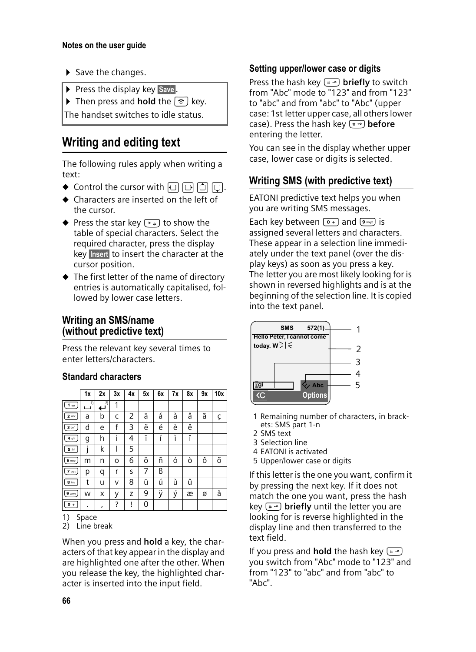- $\blacktriangleright$  Save the changes.
- $\triangleright$  Press the display key Save.
- Then press and **hold** the  $\boxed{\circ}$  key.

The handset switches to idle status.

# **Writing and editing text**

The following rules apply when writing a text:

- $\blacklozenge$  Control the cursor with  $\Box$   $\Box$   $\Box$   $\Box$   $\Box$ .
- $\triangle$  Characters are inserted on the left of the cursor.
- $\blacklozenge$  Press the star key  $(* \square)$  to show the table of special characters. Select the required character, press the display key Insert to insert the character at the cursor position.
- $\blacklozenge$  The first letter of the name of directory entries is automatically capitalised, followed by lower case letters.

# **Writing an SMS/name (without predictive text)**

Press the relevant key several times to enter letters/characters.

## **Standard characters**

|                   | 1x | 2x                    | 3x | 4x | 5x | 6x | <b>7x</b> | 8x | 9x | 10x |
|-------------------|----|-----------------------|----|----|----|----|-----------|----|----|-----|
| 1 <sub>op</sub>   | 1) | 2)<br>$\mathbf \cdot$ | 1  |    |    |    |           |    |    |     |
| $2$ abc           | a  | b                     | C  | 2  | ä  | á  | à         | â  | ã  | Ç   |
| 3 def             | d  | e                     | f  | 3  | ë  | é  | è         | ê  |    |     |
| 4 ghi             | g  | h                     | i  | 4  | ï  | í  | ì         | î  |    |     |
| $5$ jkl           | İ  | k                     | ı  | 5  |    |    |           |    |    |     |
| $6 \text{ mno}$   | m  | n                     | O  | 6  | ö  | ñ  | ó         | ò  | ô  | õ   |
| 7 <sub>pqrs</sub> | р  | q                     | r  | S  | 7  | ß  |           |    |    |     |
| $8$ tuv           | t  | u                     | v  | 8  | ü  | ú  | ù         | û  |    |     |
| $9$ voyz          | W  | x                     | у  | Z  | 9  | ÿ  | ý         | æ  | ø  | å   |
| $\sqrt{0}$        |    | ,                     | ?  | į  | 0  |    |           |    |    |     |

1) Space

2) Line break

When you press and **hold** a key, the characters of that key appear in the display and are highlighted one after the other. When you release the key, the highlighted character is inserted into the input field.

## **Setting upper/lower case or digits**

Press the hash key  $(\overline{a})$  **briefly** to switch from "Abc" mode to "123" and from "123" to "abc" and from "abc" to "Abc" (upper case: 1st letter upper case, all others lower case). Press the hash key ( $\overline{f}$ ) **before** entering the letter.

You can see in the display whether upper case, lower case or digits is selected.

# **Writing SMS (with predictive text)**

EATONI predictive text helps you when you are writing SMS messages.

Each key between  $\boxed{\bullet}$  and  $\boxed{\bullet}$  is assigned several letters and characters. These appear in a selection line immediately under the text panel (over the display keys) as soon as you press a key. The letter you are most likely looking for is shown in reversed highlights and is at the beginning of the selection line. It is copied into the text panel.



- 1 Remaining number of characters, in brackets: SMS part 1-n
- 2 SMS text
- 3 Selection line
- 4 EATONI is activated
- 5 Upper/lower case or digits

If this letter is the one you want, confirm it by pressing the next key. If it does not match the one you want, press the hash key  $(*\neg)$  **briefly** until the letter you are looking for is reverse highlighted in the display line and then transferred to the text field.

If you press and **hold** the hash key  $(\overline{m})$ you switch from "Abc" mode to "123" and from "123" to "abc" and from "abc" to "Abc".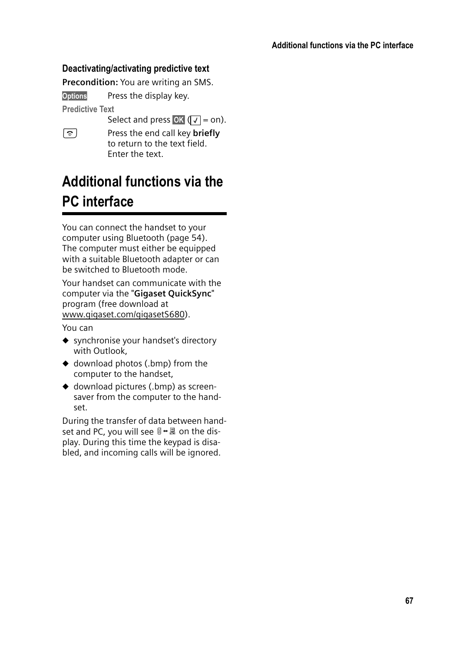#### **Deactivating/activating predictive text**

**Precondition:** You are writing an SMS.

Options Press the display key.

**Predictive Text** 

Select and press OK  $(\sqrt{}) = on$ ).

a Press the end call key **briefly** to return to the text field. Enter the text.

# **Additional functions via the PC interface**

You can connect the handset to your computer using Bluetooth (page 54). The computer must either be equipped with a suitable Bluetooth adapter or can be switched to Bluetooth mode.

Your handset can communicate with the computer via the "**Gigaset QuickSync**" program (free download at www.gigaset.com/gigasetS680).

You can

- $\bullet$  synchronise your handset's directory with Outlook,
- $\triangleleft$  download photos (.bmp) from the computer to the handset,
- $\blacklozenge$  download pictures (.bmp) as screensaver from the computer to the handset.

During the transfer of data between handset and PC, you will see  $\mathbb{S} \rightarrow \mathbb{R}$  on the display. During this time the keypad is disabled, and incoming calls will be ignored.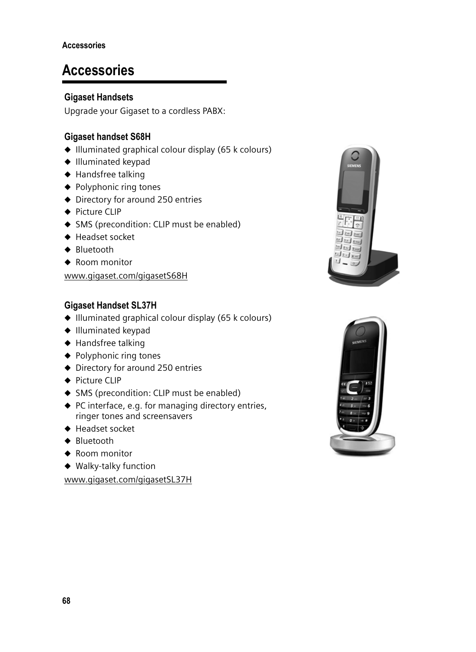# **Accessories**

### **Gigaset Handsets**

Upgrade your Gigaset to a cordless PABX:

### **Gigaset handset S68H**

- $\triangleq$  Illuminated graphical colour display (65 k colours)
- $\triangleleft$  Illuminated keypad
- $\triangleleft$  Handsfree talking
- $\blacklozenge$  Polyphonic ring tones
- $\blacklozenge$  Directory for around 250 entries
- $\triangle$  Picture CLIP
- $\triangleleft$  SMS (precondition: CLIP must be enabled)
- $\triangle$  Headset socket
- $\triangle$  Bluetooth
- $\triangleleft$  Room monitor

www.gigaset.com/gigasetS68H

## **Gigaset Handset SL37H**

- $\blacklozenge$  Illuminated graphical colour display (65 k colours)
- $\blacklozenge$  Illuminated keypad
- $\blacklozenge$  Handsfree talking
- $\blacklozenge$  Polyphonic ring tones
- $\blacklozenge$  Directory for around 250 entries
- $\triangle$  Picture CLIP
- $\triangleleft$  SMS (precondition: CLIP must be enabled)
- $\blacklozenge$  PC interface, e.g. for managing directory entries, ringer tones and screensavers
- $\blacklozenge$  Headset socket
- $\triangleleft$  Bluetooth
- $\triangleleft$  Room monitor
- $\blacklozenge$  Walky-talky function

www.gigaset.com/gigasetSL37H



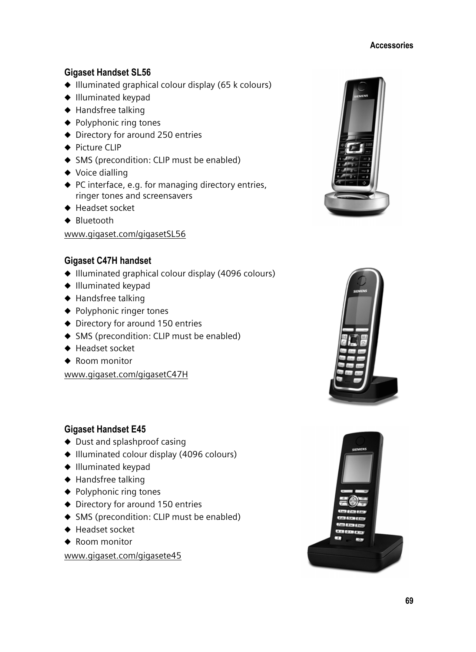#### **Accessories**

#### **Gigaset Handset SL56**

- $\triangleq$  Illuminated graphical colour display (65 k colours)
- $\triangleleft$  Illuminated keypad
- $\triangleleft$  Handsfree talking
- $\blacklozenge$  Polyphonic ring tones
- $\triangle$  Directory for around 250 entries
- $\triangle$  Picture CLIP
- $\triangleleft$  SMS (precondition: CLIP must be enabled)
- $\blacklozenge$  Voice dialling
- $\blacklozenge$  PC interface, e.g. for managing directory entries, ringer tones and screensavers
- $\blacklozenge$  Headset socket
- $\triangle$  Bluetooth

www.gigaset.com/gigasetSL56

#### **Gigaset C47H handset**

- $\triangleq$  Illuminated graphical colour display (4096 colours)
- $\bullet$  Illuminated keypad
- $\triangleleft$  Handsfree talking
- $\blacklozenge$  Polyphonic ringer tones
- $\blacklozenge$  Directory for around 150 entries
- $\triangleleft$  SMS (precondition: CLIP must be enabled)
- ♦ Headset socket
- $\triangle$  Room monitor

www.gigaset.com/gigasetC47H

#### **Gigaset Handset E45**

- $\blacklozenge$  Dust and splashproof casing
- $\blacklozenge$  Illuminated colour display (4096 colours)
- $\triangleleft$  Illuminated keypad
- $\blacklozenge$  Handsfree talking
- $\blacklozenge$  Polyphonic ring tones
- $\blacklozenge$  Directory for around 150 entries
- ◆ SMS (precondition: CLIP must be enabled)
- $\blacklozenge$  Headset socket
- $\triangle$  Room monitor

www.gigaset.com/gigasete45





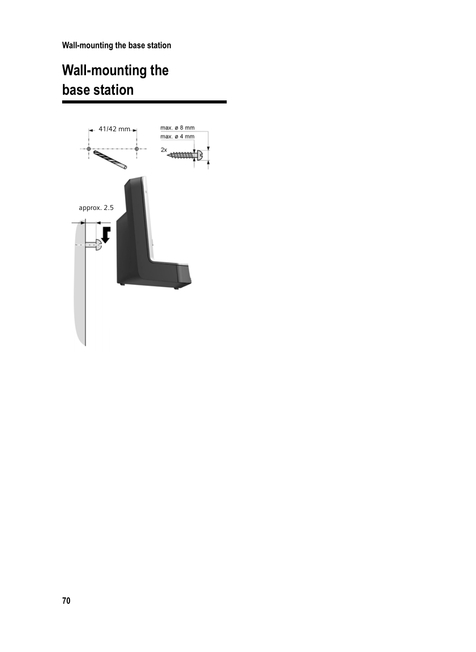**Wall-mounting the base station**

# **Wall-mounting the base station**

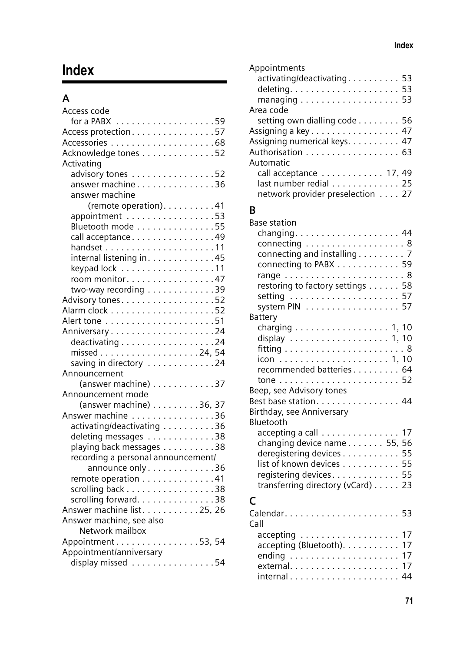# **Index**

# **A**

| Access code                                       |
|---------------------------------------------------|
|                                                   |
| Access protection57                               |
|                                                   |
| Acknowledge tones 52                              |
| Activating                                        |
| advisory tones 52                                 |
| answer machine 36                                 |
| answer machine                                    |
| (remote operation). 41                            |
| appointment 53                                    |
| Bluetooth mode 55                                 |
| call acceptance49                                 |
|                                                   |
| internal listening in. 45                         |
| keypad lock 11                                    |
| room monitor47                                    |
| two-way recording 39                              |
| Advisory tones. 52                                |
|                                                   |
|                                                   |
| Anniversary24                                     |
| deactivating 24                                   |
|                                                   |
| saving in directory 24                            |
| Announcement                                      |
| (answer machine) $\ldots \ldots \ldots \ldots$ 37 |
| Announcement mode                                 |
| (answer machine) 36, 37                           |
| Answer machine 36                                 |
| activating/deactivating 36                        |
| deleting messages 38                              |
| playing back messages 38                          |
| recording a personal announcement/                |
| announce only 36                                  |
| remote operation 41                               |
| scrolling back 38                                 |
|                                                   |
| scrolling forward38<br>Answer machine list25, 26  |
| Answer machine, see also                          |
| Network mailbox                                   |
| Appointment 53, 54                                |
| Appointment/anniversary                           |
| display missed 54                                 |
|                                                   |

| Appointments                                            |  |
|---------------------------------------------------------|--|
| activating/deactivating 53                              |  |
|                                                         |  |
| managing $\ldots \ldots \ldots \ldots \ldots \ldots 53$ |  |
| Area code                                               |  |
| setting own dialling code 56                            |  |
| Assigning a key 47                                      |  |
| Assigning numerical keys. 47                            |  |
| Authorisation 63                                        |  |
| Automatic                                               |  |
| call acceptance 17, 49                                  |  |
| last number redial 25                                   |  |
| network provider preselection 27                        |  |
|                                                         |  |

# **B**

| Base station                      |  |
|-----------------------------------|--|
|                                   |  |
| connecting 8                      |  |
| connecting and installing 7       |  |
| connecting to PABX 59             |  |
|                                   |  |
| restoring to factory settings 58  |  |
|                                   |  |
| system PIN 57                     |  |
| Battery                           |  |
| charging 1, 10                    |  |
|                                   |  |
|                                   |  |
|                                   |  |
| recommended batteries 64          |  |
|                                   |  |
| Beep, see Advisory tones          |  |
| Best base station 44              |  |
| Birthday, see Anniversary         |  |
| Bluetooth                         |  |
| accepting a call 17               |  |
| changing device name 55, 56       |  |
| deregistering devices 55          |  |
| list of known devices 55          |  |
| registering devices 55            |  |
| transferring directory (vCard) 23 |  |
| C                                 |  |
|                                   |  |
| Call                              |  |
| accepting 17                      |  |
| accepting (Bluetooth). 17         |  |
|                                   |  |
| external 17                       |  |

external. . . . . . . . . . . . . . . . . . . . . <sup>17</sup> internal . . . . . . . . . . . . . . . . . . . . . <sup>44</sup>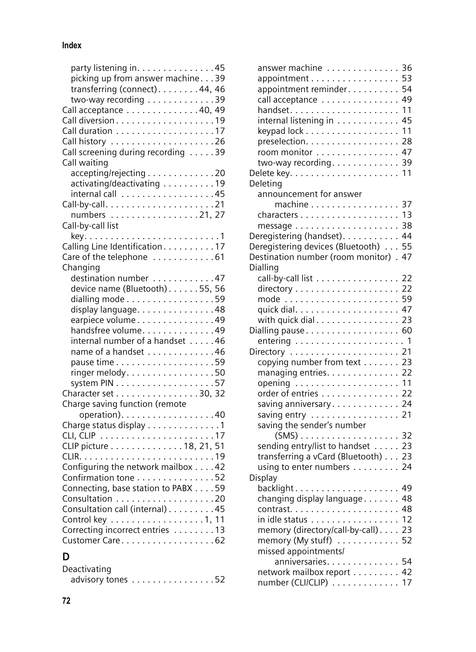#### **Index**

| party listening in. 45              |
|-------------------------------------|
| picking up from answer machine. 39  |
| transferring (connect). 44, 46      |
| two-way recording 39                |
| Call acceptance 40, 49              |
|                                     |
| Call duration 17                    |
|                                     |
|                                     |
| Call screening during recording 39  |
| Call waiting                        |
| accepting/rejecting 20              |
| activating/deactivating 19          |
|                                     |
|                                     |
| numbers 21, 27                      |
| Call-by-call list                   |
|                                     |
| Calling Line Identification. 17     |
| Care of the telephone 61            |
| Changing                            |
| destination number 47               |
| device name (Bluetooth)55, 56       |
| dialling mode 59                    |
|                                     |
| display language. 48                |
| earpiece volume49                   |
| handsfree volume49                  |
| internal number of a handset 46     |
| name of a handset 46                |
|                                     |
| ringer melody. 50                   |
|                                     |
| Character set 30, 32                |
| Charge saving function (remote      |
| operation). 40                      |
| Charge status display 1             |
|                                     |
| CLIP picture 18, 21, 51             |
|                                     |
| Configuring the network mailbox 42  |
| Confirmation tone 52                |
|                                     |
| Connecting, base station to PABX 59 |
|                                     |
| Consultation call (internal) 45     |
| Control key 1, 11                   |
| Correcting incorrect entries 13     |
| Customer Care62                     |
| D                                   |

| Deactivating      |  |  |  |  |
|-------------------|--|--|--|--|
| advisory tones 52 |  |  |  |  |
|                   |  |  |  |  |

| answer machine 36<br>appointment<br>appointment reminder | 53<br>54 |
|----------------------------------------------------------|----------|
| call acceptance 49                                       |          |
|                                                          | 11       |
| internal listening in 45                                 |          |
| keypad lock                                              | 11       |
| preselection.                                            | 28       |
| room monitor 47                                          |          |
| two-way recording. $\dots \dots \dots$                   | 39       |
|                                                          | 11       |
| Deleting                                                 |          |
| announcement for answer                                  |          |
| machine 37                                               |          |
|                                                          |          |
|                                                          |          |
|                                                          |          |
| Deregistering (handset). 44                              |          |
| Deregistering devices (Bluetooth) 55                     | 47       |
| Destination number (room monitor).                       |          |
| Dialling                                                 |          |
| call-by-call list 22                                     |          |
|                                                          |          |
| mode  59                                                 |          |
|                                                          |          |
| with quick dial 23                                       |          |
| Dialling pause 60                                        |          |
|                                                          |          |
| Directory  21                                            |          |
| copying number from text 23                              |          |
| managing entries. 22                                     |          |
| opening  11                                              |          |
| order of entries 22                                      |          |
| saving anniversary 24                                    |          |
| saving entry  21                                         |          |
| saving the sender's number                               |          |
|                                                          |          |
| sending entry/list to handset 23                         |          |
| transferring a vCard (Bluetooth) 23                      |          |
| using to enter numbers 24                                |          |
| Display                                                  |          |
| backlight 49                                             |          |
| changing display language 48                             |          |
| . 48<br>contrast                                         |          |
| in idle status 12                                        |          |
| memory (directory/call-by-call). 23                      |          |
| memory (My stuff) 52                                     |          |
| missed appointments/                                     |          |
| anniversaries. 54                                        |          |
| network mailbox report 42                                |          |
| number (CLI/CLIP) 17                                     |          |
|                                                          |          |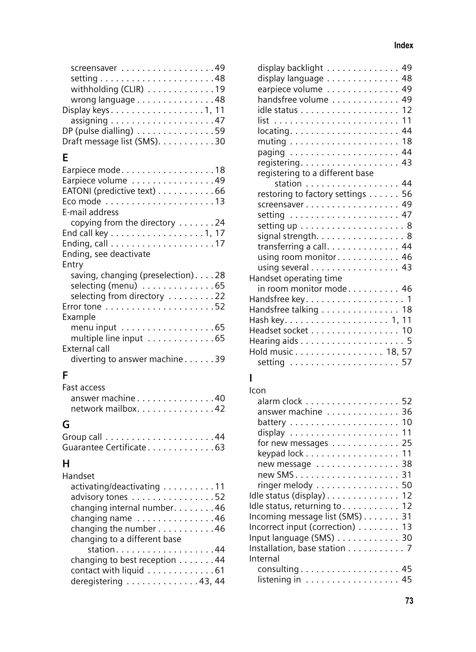| screensaver49                                      |
|----------------------------------------------------|
|                                                    |
| withholding (CLIR) 19                              |
| wrong language 48                                  |
| Display keys1, 11                                  |
|                                                    |
| DP (pulse dialling) $\dots\dots\dots\dots\dots$ 59 |
| Draft message list (SMS). 30                       |
|                                                    |

## **E**

| Earpiece mode18                                       |
|-------------------------------------------------------|
| Earpiece volume 49                                    |
| EATONI (predictive text) 66                           |
|                                                       |
| E-mail address                                        |
| copying from the directory 24                         |
| End call key 1, 17                                    |
|                                                       |
| Ending, see deactivate                                |
| Entry                                                 |
|                                                       |
| saving, changing (preselection). 28                   |
| selecting (menu) $\dots\dots\dots\dots.$ 65           |
| selecting from directory 22                           |
|                                                       |
| Example                                               |
| menu input $\ldots \ldots \ldots \ldots \ldots .65$   |
| multiple line input $\ldots \ldots \ldots \ldots$ .65 |
| External call                                         |
| diverting to answer machine39                         |

## **F**

| <b>Fast access</b> |
|--------------------|
| answer machine40   |
| network mailbox42  |
|                    |

## **G**

| Guarantee Certificate 63 |  |
|--------------------------|--|
|                          |  |

### **H**

| Handset                       |
|-------------------------------|
| activating/deactivating 11    |
| advisory tones 52             |
| changing internal number. 46  |
| changing name 46              |
| changing the number 46        |
| changing to a different base  |
|                               |
| changing to best reception 44 |
| contact with liquid 61        |
| deregistering 43, 44          |
|                               |

|                                                                    | display backlight 49 |
|--------------------------------------------------------------------|----------------------|
| display language 48                                                |                      |
| earpiece volume 49                                                 |                      |
| handsfree volume 49                                                |                      |
|                                                                    |                      |
|                                                                    | 11                   |
|                                                                    |                      |
|                                                                    |                      |
|                                                                    |                      |
| paging                                                             | 44                   |
|                                                                    |                      |
| registering to a different base                                    |                      |
| station 44                                                         |                      |
| restoring to factory settings 56                                   |                      |
| screensaver 49                                                     |                      |
| setting $\ldots \ldots \ldots \ldots \ldots \ldots$ . 47           |                      |
| setting up $\ldots \ldots \ldots \ldots \ldots$ .                  |                      |
|                                                                    |                      |
| signal strength. 8                                                 |                      |
| transferring a call. 44                                            |                      |
| using room monitor 46                                              |                      |
| using several 43                                                   |                      |
| Handset operating time                                             |                      |
| in room monitor mode 46                                            |                      |
| Handsfree key 1                                                    |                      |
| Handsfree talking 18                                               |                      |
|                                                                    |                      |
| Headset socket 10                                                  |                      |
|                                                                    |                      |
|                                                                    |                      |
|                                                                    |                      |
| Hold music 18, 57                                                  |                      |
|                                                                    | 57                   |
|                                                                    |                      |
| ı                                                                  |                      |
| Icon                                                               |                      |
| alarm clock 52                                                     |                      |
| answer machine                                                     | 36                   |
|                                                                    | 10                   |
|                                                                    | 11                   |
|                                                                    |                      |
| for new messages 25                                                | 11                   |
| keypad $lock \ldots \ldots \ldots \ldots \ldots$                   |                      |
| new message                                                        | 38                   |
|                                                                    | 31                   |
| ringer melody                                                      | 50                   |
| Idle status (display)                                              | 12                   |
| Idle status, returning to                                          | 12                   |
| Incoming message list (SMS) 31                                     |                      |
| Incorrect input (correction) 13                                    |                      |
| Input language (SMS)                                               | 30                   |
| Installation, base station                                         | .7                   |
| Internal                                                           |                      |
|                                                                    | 45                   |
| consulting<br>listening in $\ldots \ldots \ldots \ldots \ldots$ 45 |                      |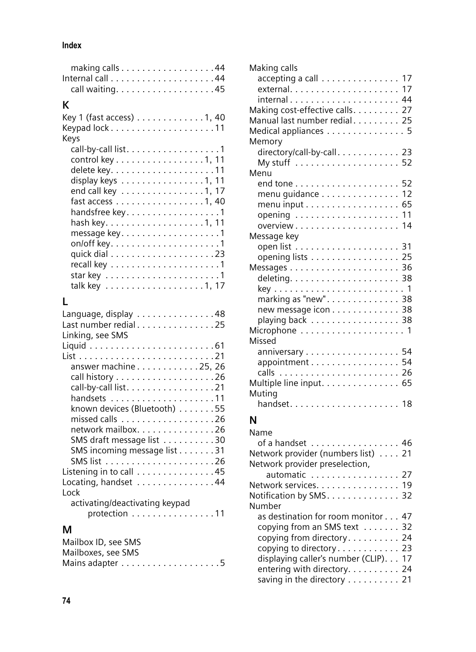#### **Index**

## **K**

| Key 1 (fast access) $\dots\dots\dots\dots$ 1, 40              |
|---------------------------------------------------------------|
| Keys                                                          |
| call-by-call list. 1                                          |
| control key 1, 11                                             |
|                                                               |
| display keys $\ldots \ldots \ldots \ldots \ldots 1, 11$       |
| end call key 1, 17                                            |
| fast access $\ldots \ldots \ldots \ldots \ldots \ldots$ 1, 40 |
| handsfree key. 1                                              |
|                                                               |
| message key1                                                  |
|                                                               |
|                                                               |
|                                                               |
|                                                               |
|                                                               |
|                                                               |
|                                                               |

# **L**

| Language, display 48<br>Last number redial 25<br>Linking, see SMS |
|-------------------------------------------------------------------|
|                                                                   |
|                                                                   |
| answer machine 25, 26                                             |
|                                                                   |
|                                                                   |
| call-by-call list. 21                                             |
|                                                                   |
| known devices (Bluetooth) 55                                      |
|                                                                   |
| network mailbox. 26                                               |
| SMS draft message list 30                                         |
| SMS incoming message list 31                                      |
|                                                                   |
| Listening in to call 45                                           |
| Locating, handset 44                                              |
| Lock                                                              |
| activating/deactivating keypad                                    |
| protection $\ldots \ldots \ldots \ldots \ldots 11$                |
|                                                                   |
| М                                                                 |
| Mailbox ID, see SMS                                               |
| Mailboxes, see SMS                                                |
|                                                                   |
|                                                                   |
|                                                                   |

| Making calls                                         |
|------------------------------------------------------|
| accepting a call 17                                  |
|                                                      |
|                                                      |
| Making cost-effective calls. 27                      |
| Manual last number redial 25                         |
| Medical appliances 5                                 |
| Memory                                               |
| directory/call-by-call. 23                           |
|                                                      |
| Menu                                                 |
|                                                      |
| menu guidance 12                                     |
| menu input $\ldots \ldots \ldots \ldots \ldots$ . 65 |
| opening  11                                          |
|                                                      |
| Message key                                          |
|                                                      |
| opening lists 25                                     |
|                                                      |
|                                                      |
|                                                      |
| marking as "new". 38                                 |
| new message icon 38                                  |
| playing back 38                                      |
|                                                      |
| Missed                                               |
| anniversary 54                                       |
| appointment 54                                       |
| calls                                                |
| Multiple line input. 65                              |
| Muting                                               |
|                                                      |
| N                                                    |
| N <sub>nm<sub>n</sub></sub>                          |

| Name                                  |
|---------------------------------------|
| of a handset 46                       |
| Network provider (numbers list) 21    |
| Network provider preselection,        |
| automatic 27                          |
| Network services. 19                  |
| Notification by SMS. 32               |
| Number                                |
| as destination for room monitor 47    |
| copying from an SMS text 32           |
| copying from directory 24             |
| copying to directory 23               |
| displaying caller's number (CLIP). 17 |
| entering with directory. 24           |
| saving in the directory 21            |
|                                       |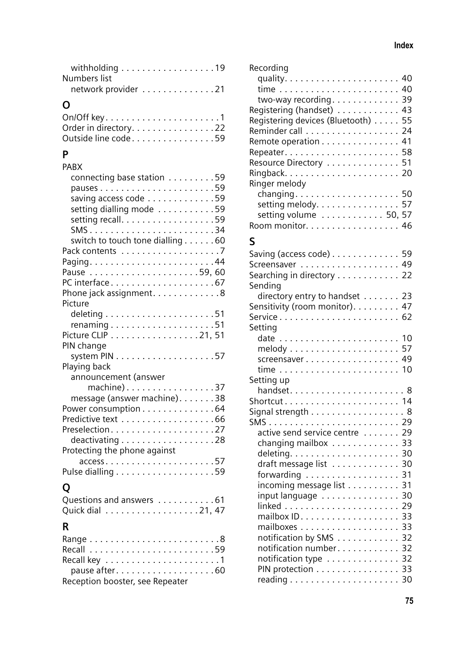| withholding 19      |  |  |  |  |  |  |  |
|---------------------|--|--|--|--|--|--|--|
| Numbers list        |  |  |  |  |  |  |  |
| network provider 21 |  |  |  |  |  |  |  |
|                     |  |  |  |  |  |  |  |

# **O**

| Order in directory. 22 |  |
|------------------------|--|
| Outside line code59    |  |
|                        |  |

## **P**

| PABX                                                      |
|-----------------------------------------------------------|
| connecting base station 59                                |
|                                                           |
|                                                           |
| setting dialling mode 59                                  |
| setting recall. 59                                        |
| SMS34                                                     |
| switch to touch tone dialling 60                          |
|                                                           |
|                                                           |
| Pause 59,60                                               |
| PC interface67                                            |
| Phone jack assignment. 8                                  |
| Picture                                                   |
|                                                           |
|                                                           |
|                                                           |
| Picture CLIP 21, 51                                       |
| PIN change                                                |
| system $PIN \ldots \ldots \ldots \ldots \ldots \ldots 57$ |
| Playing back                                              |
| announcement (answer                                      |
| machine)37                                                |
| message (answer machine)38                                |
| Power consumption 64                                      |
| Predictive text 66                                        |
| Preselection27                                            |
| deactivating 28                                           |
| Protecting the phone against                              |
|                                                           |
|                                                           |
|                                                           |
| O                                                         |
| Questions and answers 61                                  |
| Quick dial 21, 47                                         |
| R                                                         |
|                                                           |
|                                                           |

| pause after60                   |  |
|---------------------------------|--|
| Reception booster, see Repeater |  |
|                                 |  |

| Recording                          |
|------------------------------------|
|                                    |
|                                    |
| two-way recording 39               |
| Registering (handset) 43           |
| Registering devices (Bluetooth) 55 |
|                                    |
| Remote operation 41                |
|                                    |
| Resource Directory 51              |
|                                    |
| Ringer melody                      |
| changing 50                        |
| setting melody. 57                 |
| setting volume 50, 57              |
| Room monitor. 46                   |
|                                    |

### **S**

| Saving (access code) 59<br>Screensaver 49 |  |
|-------------------------------------------|--|
|                                           |  |
| Searching in directory 22<br>Sending      |  |
| directory entry to handset 23             |  |
| Sensitivity (room monitor). 47            |  |
|                                           |  |
| Setting                                   |  |
| date  10                                  |  |
|                                           |  |
| screensaver 49                            |  |
|                                           |  |
| Setting up                                |  |
| handset8                                  |  |
| Shortcut 14                               |  |
| Signal strength 8                         |  |
|                                           |  |
| active send service centre  29            |  |
| changing mailbox 33                       |  |
|                                           |  |
| draft message list 30                     |  |
| forwarding 31                             |  |
| incoming message list 31                  |  |
| input language 30                         |  |
|                                           |  |
|                                           |  |
|                                           |  |
| notification by SMS 32                    |  |
| notification number 32                    |  |
|                                           |  |
| notification type 32                      |  |
| PIN protection 33                         |  |
|                                           |  |
|                                           |  |